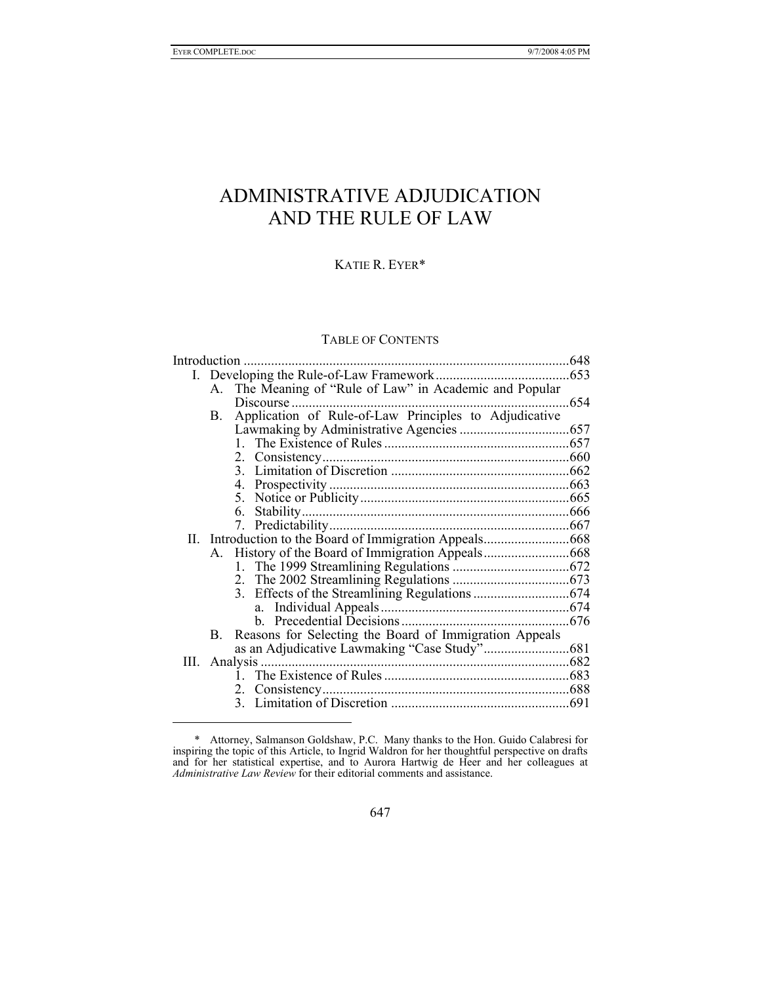# ADMINISTRATIVE ADJUDICATION AND THE RULE OF LAW

# KATIE R. EYER\*

# TABLE OF CONTENTS

|      | Introduction                                                    |      |
|------|-----------------------------------------------------------------|------|
|      |                                                                 |      |
|      | The Meaning of "Rule of Law" in Academic and Popular<br>$A_{-}$ |      |
|      |                                                                 | .654 |
|      | Application of Rule-of-Law Principles to Adjudicative<br>B.     |      |
|      |                                                                 |      |
|      |                                                                 |      |
|      |                                                                 |      |
|      |                                                                 |      |
|      | 4.                                                              |      |
|      |                                                                 |      |
|      | 6.                                                              |      |
|      |                                                                 |      |
|      |                                                                 |      |
|      | $A_{-}$                                                         |      |
|      |                                                                 |      |
|      |                                                                 |      |
|      |                                                                 |      |
|      |                                                                 |      |
|      |                                                                 |      |
|      | B. Reasons for Selecting the Board of Immigration Appeals       |      |
|      |                                                                 |      |
| III. | Analysis.                                                       |      |
|      |                                                                 |      |
|      |                                                                 |      |
|      |                                                                 |      |
|      |                                                                 |      |

 <sup>\*</sup> Attorney, Salmanson Goldshaw, P.C. Many thanks to the Hon. Guido Calabresi for inspiring the topic of this Article, to Ingrid Waldron for her thoughtful perspective on drafts and for her statistical expertise, and to Aurora Hartwig de Heer and her colleagues at *Administrative Law Review* for their editorial comments and assistance.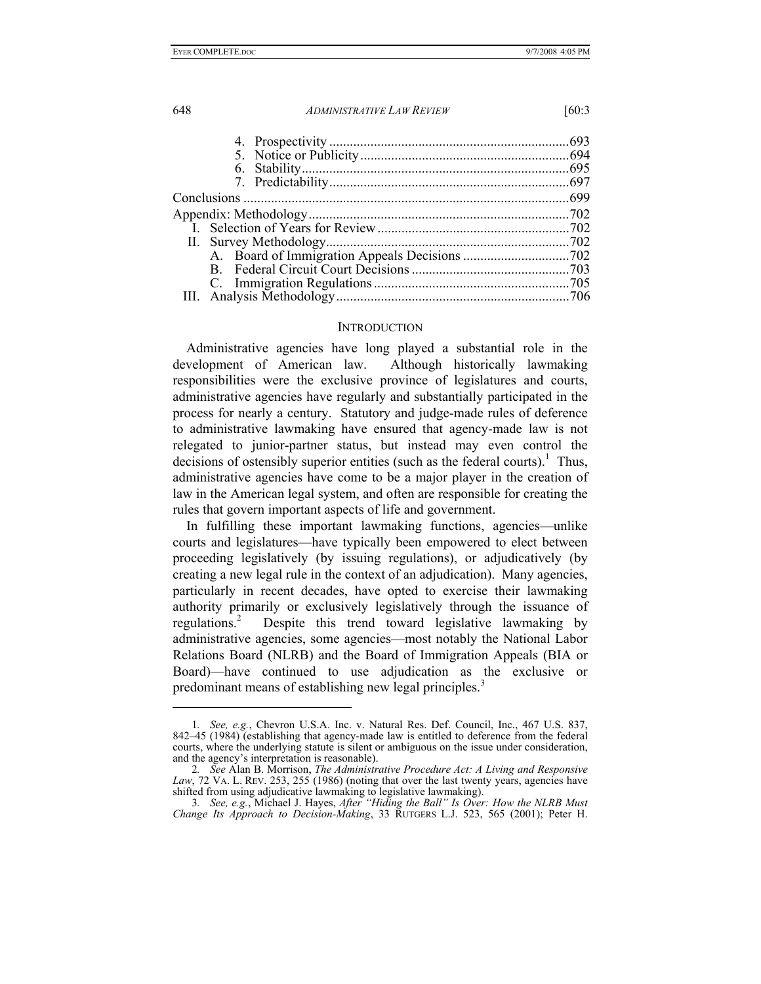#### **INTRODUCTION**

Administrative agencies have long played a substantial role in the development of American law. Although historically lawmaking responsibilities were the exclusive province of legislatures and courts, administrative agencies have regularly and substantially participated in the process for nearly a century. Statutory and judge-made rules of deference to administrative lawmaking have ensured that agency-made law is not relegated to junior-partner status, but instead may even control the decisions of ostensibly superior entities (such as the federal courts).<sup>1</sup> Thus, administrative agencies have come to be a major player in the creation of law in the American legal system, and often are responsible for creating the rules that govern important aspects of life and government.

In fulfilling these important lawmaking functions, agencies—unlike courts and legislatures—have typically been empowered to elect between proceeding legislatively (by issuing regulations), or adjudicatively (by creating a new legal rule in the context of an adjudication). Many agencies, particularly in recent decades, have opted to exercise their lawmaking authority primarily or exclusively legislatively through the issuance of regulations.<sup>2</sup> Despite this trend toward legislative lawmaking by administrative agencies, some agencies—most notably the National Labor Relations Board (NLRB) and the Board of Immigration Appeals (BIA or Board)—have continued to use adjudication as the exclusive or predominant means of establishing new legal principles.<sup>3</sup>

<sup>1</sup>*. See, e.g.*, Chevron U.S.A. Inc. v. Natural Res. Def. Council, Inc., 467 U.S. 837, 842–45 (1984) (establishing that agency-made law is entitled to deference from the federal courts, where the underlying statute is silent or ambiguous on the issue under consideration, and the agency's interpretation is reasonable).

<sup>2</sup>*. See* Alan B. Morrison, *The Administrative Procedure Act: A Living and Responsive*  Law, 72 VA. L. REV. 253, 255 (1986) (noting that over the last twenty years, agencies have shifted from using adjudicative lawmaking to legislative lawmaking).

<sup>3</sup>*. See, e.g.*, Michael J. Hayes, *After "Hiding the Ball" Is Over: How the NLRB Must Change Its Approach to Decision-Making*, 33 RUTGERS L.J. 523, 565 (2001); Peter H.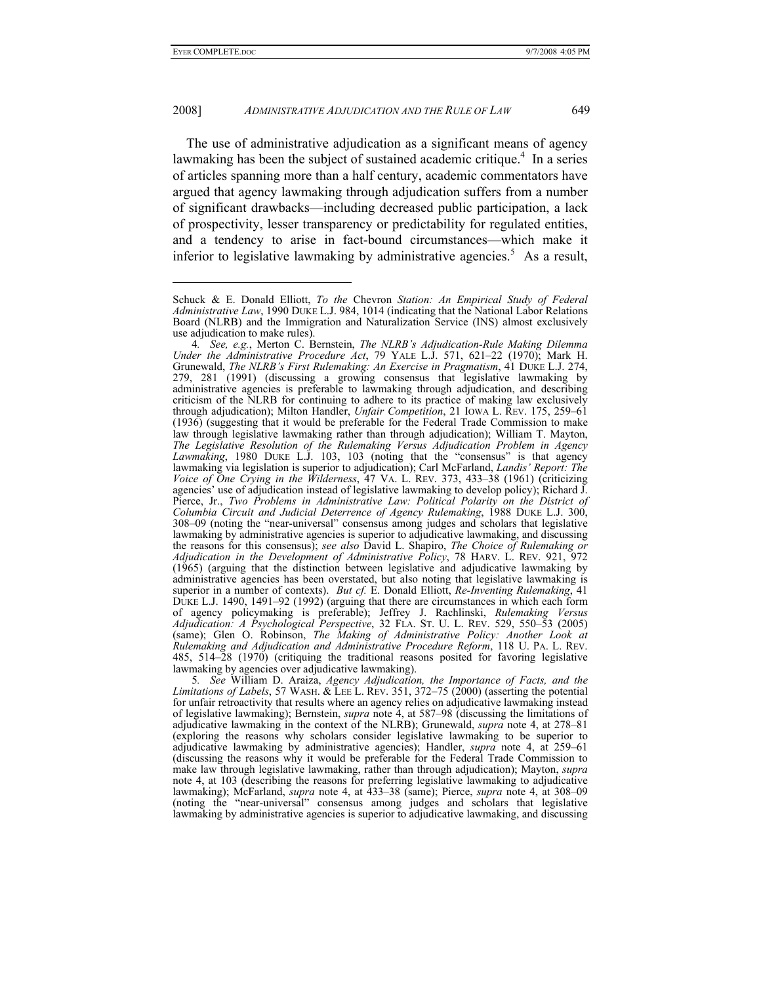$\overline{a}$ 

The use of administrative adjudication as a significant means of agency lawmaking has been the subject of sustained academic critique.<sup>4</sup> In a series of articles spanning more than a half century, academic commentators have argued that agency lawmaking through adjudication suffers from a number of significant drawbacks—including decreased public participation, a lack of prospectivity, lesser transparency or predictability for regulated entities, and a tendency to arise in fact-bound circumstances—which make it inferior to legislative lawmaking by administrative agencies.<sup>5</sup> As a result,

4*. See, e.g.*, Merton C. Bernstein, *The NLRB's Adjudication-Rule Making Dilemma Under the Administrative Procedure Act*, 79 YALE L.J. 571, 621–22 (1970); Mark H. Grunewald, *The NLRB's First Rulemaking: An Exercise in Pragmatism*, 41 DUKE L.J. 274, 279, 281 (1991) (discussing a growing consensus that legislative lawmaking by administrative agencies is preferable to lawmaking through adjudication, and describing criticism of the NLRB for continuing to adhere to its practice of making law exclusively through adjudication); Milton Handler, *Unfair Competition*, 21 IOWA L. REV. 175, 259–61 (1936) (suggesting that it would be preferable for the Federal Trade Commission to make law through legislative lawmaking rather than through adjudication); William T. Mayton, *The Legislative Resolution of the Rulemaking Versus Adjudication Problem in Agency Lawmaking*, 1980 DUKE L.J. 103, 103 (noting that the "consensus" is that agency lawmaking via legislation is superior to adjudication); Carl McFarland, *Landis' Report: The Voice of One Crying in the Wilderness*, 47 VA. L. REV. 373, 433–38 (1961) (criticizing agencies' use of adjudication instead of legislative lawmaking to develop policy); Richard J. Pierce, Jr., *Two Problems in Administrative Law: Political Polarity on the District of Columbia Circuit and Judicial Deterrence of Agency Rulemaking*, 1988 DUKE L.J. 300, 308–09 (noting the "near-universal" consensus among judges and scholars that legislative lawmaking by administrative agencies is superior to adjudicative lawmaking, and discussing the reasons for this consensus); *see also* David L. Shapiro, *The Choice of Rulemaking or Adjudication in the Development of Administrative Policy*, 78 HARV. L. REV. 921, 972 (1965) (arguing that the distinction between legislative and adjudicative lawmaking by administrative agencies has been overstated, but also noting that legislative lawmaking is superior in a number of contexts). *But cf.* E. Donald Elliott, *Re-Inventing Rulemaking*, 41 DUKE L.J. 1490, 1491–92 (1992) (arguing that there are circumstances in which each form of agency policymaking is preferable); Jeffrey J. Rachlinski, *Rulemaking Versus Adjudication: A Psychological Perspective*, 32 FLA. ST. U. L. REV. 529, 550–53 (2005) (same); Glen O. Robinson, *The Making of Administrative Policy: Another Look at Rulemaking and Adjudication and Administrative Procedure Reform*, 118 U. PA. L. REV. 485, 514–28 (1970) (critiquing the traditional reasons posited for favoring legislative lawmaking by agencies over adjudicative lawmaking).

5*. See* William D. Araiza, *Agency Adjudication, the Importance of Facts, and the Limitations of Labels*, 57 WASH. & LEE L. REV. 351, 372–75 (2000) (asserting the potential for unfair retroactivity that results where an agency relies on adjudicative lawmaking instead of legislative lawmaking); Bernstein, *supra* note 4, at 587–98 (discussing the limitations of adjudicative lawmaking in the context of the NLRB); Grunewald, *supra* note 4, at 278–81 (exploring the reasons why scholars consider legislative lawmaking to be superior to adjudicative lawmaking by administrative agencies); Handler, *supra* note 4, at 259–61 (discussing the reasons why it would be preferable for the Federal Trade Commission to make law through legislative lawmaking, rather than through adjudication); Mayton, *supra*  note 4, at 103 (describing the reasons for preferring legislative lawmaking to adjudicative lawmaking); McFarland, *supra* note 4, at 433–38 (same); Pierce, *supra* note 4, at 308–09 (noting the "near-universal" consensus among judges and scholars that legislative lawmaking by administrative agencies is superior to adjudicative lawmaking, and discussing

Schuck & E. Donald Elliott, *To the* Chevron *Station: An Empirical Study of Federal Administrative Law*, 1990 DUKE L.J. 984, 1014 (indicating that the National Labor Relations Board (NLRB) and the Immigration and Naturalization Service (INS) almost exclusively use adjudication to make rules).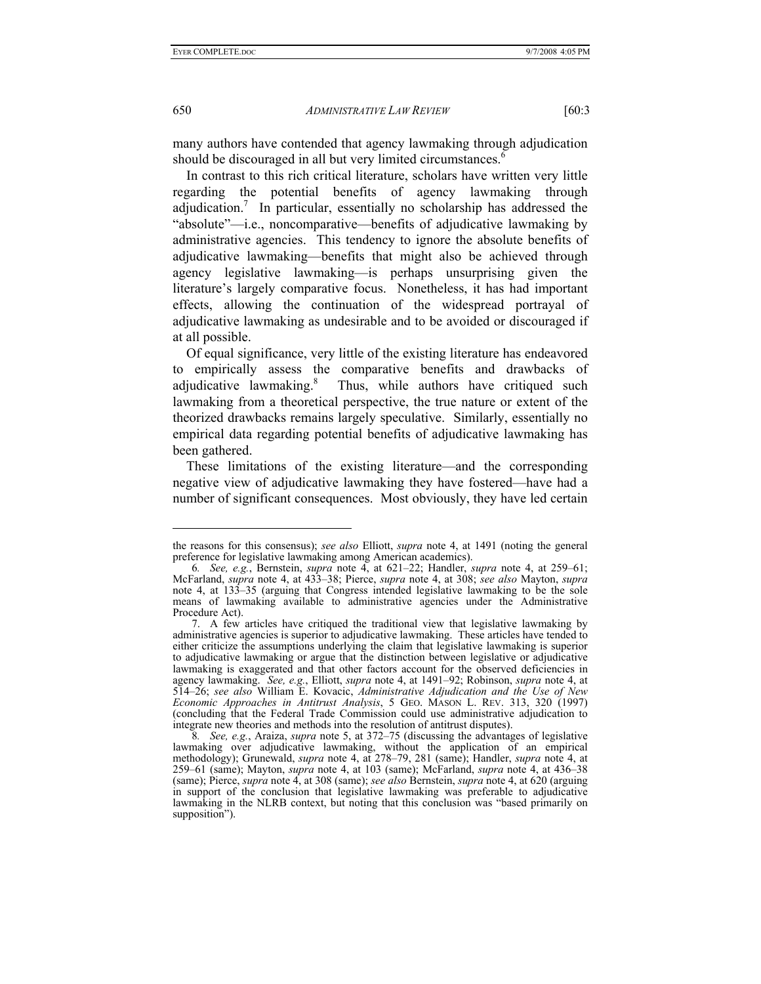many authors have contended that agency lawmaking through adjudication should be discouraged in all but very limited circumstances. $6$ 

In contrast to this rich critical literature, scholars have written very little regarding the potential benefits of agency lawmaking through adjudication.<sup>7</sup> In particular, essentially no scholarship has addressed the "absolute"—i.e., noncomparative—benefits of adjudicative lawmaking by administrative agencies. This tendency to ignore the absolute benefits of adjudicative lawmaking—benefits that might also be achieved through agency legislative lawmaking—is perhaps unsurprising given the literature's largely comparative focus. Nonetheless, it has had important effects, allowing the continuation of the widespread portrayal of adjudicative lawmaking as undesirable and to be avoided or discouraged if at all possible.

Of equal significance, very little of the existing literature has endeavored to empirically assess the comparative benefits and drawbacks of adjudicative lawmaking.<sup>8</sup> Thus, while authors have critiqued such lawmaking from a theoretical perspective, the true nature or extent of the theorized drawbacks remains largely speculative. Similarly, essentially no empirical data regarding potential benefits of adjudicative lawmaking has been gathered.

These limitations of the existing literature—and the corresponding negative view of adjudicative lawmaking they have fostered—have had a number of significant consequences. Most obviously, they have led certain

the reasons for this consensus); *see also* Elliott, *supra* note 4, at 1491 (noting the general preference for legislative lawmaking among American academics).

<sup>6</sup>*. See, e.g.*, Bernstein, *supra* note 4, at 621–22; Handler, *supra* note 4, at 259–61; McFarland, *supra* note 4, at 433–38; Pierce, *supra* note 4, at 308; *see also* Mayton, *supra*  note 4, at 133–35 (arguing that Congress intended legislative lawmaking to be the sole means of lawmaking available to administrative agencies under the Administrative Procedure Act).

 <sup>7.</sup> A few articles have critiqued the traditional view that legislative lawmaking by administrative agencies is superior to adjudicative lawmaking. These articles have tended to either criticize the assumptions underlying the claim that legislative lawmaking is superior to adjudicative lawmaking or argue that the distinction between legislative or adjudicative lawmaking is exaggerated and that other factors account for the observed deficiencies in agency lawmaking. *See, e.g.*, Elliott, *supra* note 4, at 1491–92; Robinson, *supra* note 4, at 514–26; *see also* William E. Kovacic, *Administrative Adjudication and the Use of New Economic Approaches in Antitrust Analysis*, 5 GEO. MASON L. REV. 313, 320 (1997) (concluding that the Federal Trade Commission could use administrative adjudication to integrate new theories and methods into the resolution of antitrust disputes).

<sup>8</sup>*. See, e.g.*, Araiza, *supra* note 5, at 372–75 (discussing the advantages of legislative lawmaking over adjudicative lawmaking, without the application of an empirical methodology); Grunewald, *supra* note 4, at 278–79, 281 (same); Handler, *supra* note 4, at 259–61 (same); Mayton, *supra* note 4, at 103 (same); McFarland, *supra* note 4, at 436–38 (same); Pierce, *supra* note 4, at 308 (same); *see also* Bernstein, *supra* note 4, at 620 (arguing in support of the conclusion that legislative lawmaking was preferable to adjudicative lawmaking in the NLRB context, but noting that this conclusion was "based primarily on supposition").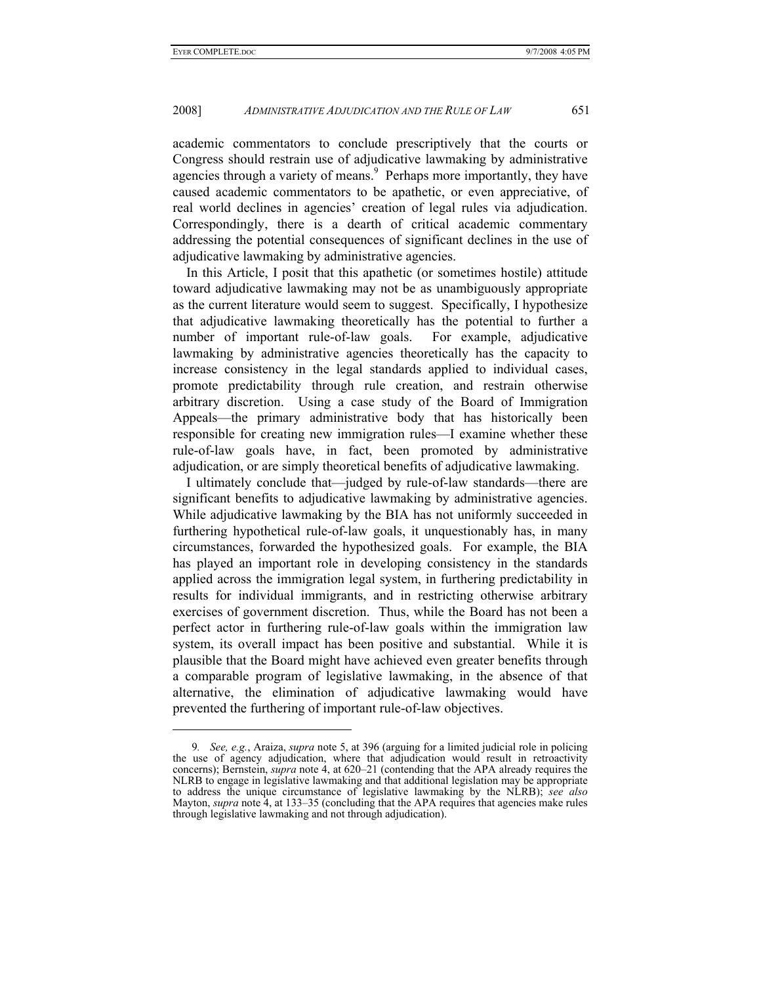academic commentators to conclude prescriptively that the courts or Congress should restrain use of adjudicative lawmaking by administrative agencies through a variety of means.<sup>9</sup> Perhaps more importantly, they have caused academic commentators to be apathetic, or even appreciative, of real world declines in agencies' creation of legal rules via adjudication. Correspondingly, there is a dearth of critical academic commentary addressing the potential consequences of significant declines in the use of adjudicative lawmaking by administrative agencies.

In this Article, I posit that this apathetic (or sometimes hostile) attitude toward adjudicative lawmaking may not be as unambiguously appropriate as the current literature would seem to suggest. Specifically, I hypothesize that adjudicative lawmaking theoretically has the potential to further a number of important rule-of-law goals. For example, adjudicative lawmaking by administrative agencies theoretically has the capacity to increase consistency in the legal standards applied to individual cases, promote predictability through rule creation, and restrain otherwise arbitrary discretion. Using a case study of the Board of Immigration Appeals—the primary administrative body that has historically been responsible for creating new immigration rules—I examine whether these rule-of-law goals have, in fact, been promoted by administrative adjudication, or are simply theoretical benefits of adjudicative lawmaking.

I ultimately conclude that—judged by rule-of-law standards—there are significant benefits to adjudicative lawmaking by administrative agencies. While adjudicative lawmaking by the BIA has not uniformly succeeded in furthering hypothetical rule-of-law goals, it unquestionably has, in many circumstances, forwarded the hypothesized goals. For example, the BIA has played an important role in developing consistency in the standards applied across the immigration legal system, in furthering predictability in results for individual immigrants, and in restricting otherwise arbitrary exercises of government discretion. Thus, while the Board has not been a perfect actor in furthering rule-of-law goals within the immigration law system, its overall impact has been positive and substantial. While it is plausible that the Board might have achieved even greater benefits through a comparable program of legislative lawmaking, in the absence of that alternative, the elimination of adjudicative lawmaking would have prevented the furthering of important rule-of-law objectives.

<sup>9</sup>*. See, e.g.*, Araiza, *supra* note 5, at 396 (arguing for a limited judicial role in policing the use of agency adjudication, where that adjudication would result in retroactivity concerns); Bernstein, *supra* note 4, at 620–21 (contending that the APA already requires the NLRB to engage in legislative lawmaking and that additional legislation may be appropriate to address the unique circumstance of legislative lawmaking by the NLRB); *see also*  Mayton, *supra* note 4, at 133–35 (concluding that the APA requires that agencies make rules through legislative lawmaking and not through adjudication).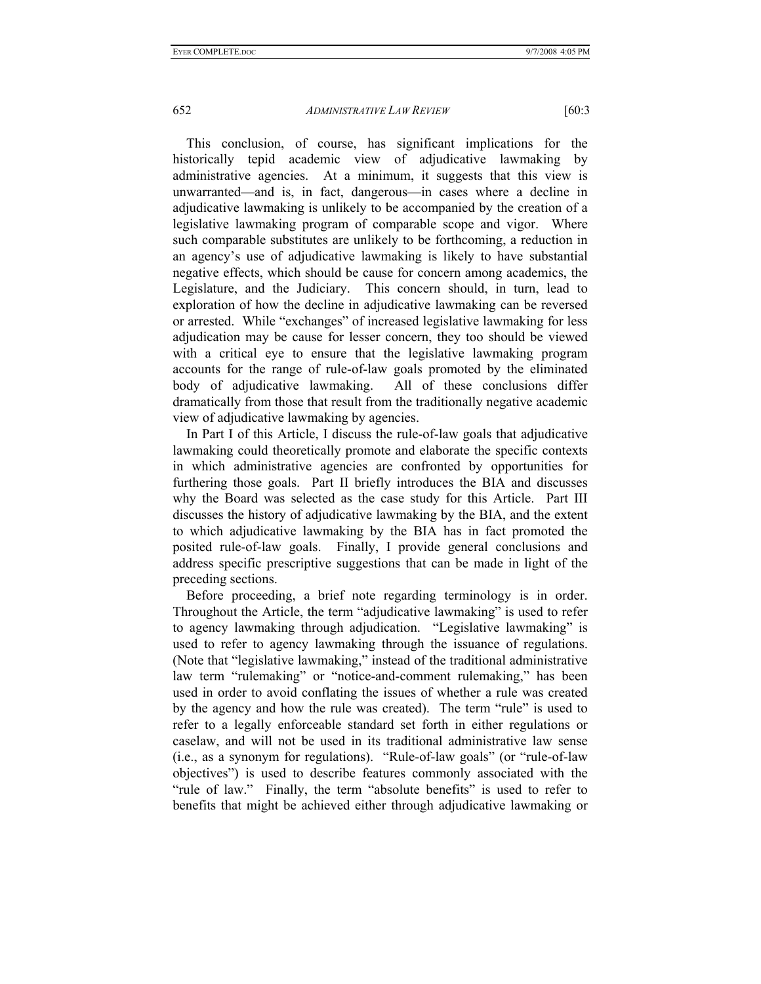This conclusion, of course, has significant implications for the historically tepid academic view of adjudicative lawmaking by administrative agencies. At a minimum, it suggests that this view is unwarranted—and is, in fact, dangerous—in cases where a decline in adjudicative lawmaking is unlikely to be accompanied by the creation of a legislative lawmaking program of comparable scope and vigor. Where such comparable substitutes are unlikely to be forthcoming, a reduction in an agency's use of adjudicative lawmaking is likely to have substantial negative effects, which should be cause for concern among academics, the Legislature, and the Judiciary. This concern should, in turn, lead to exploration of how the decline in adjudicative lawmaking can be reversed or arrested. While "exchanges" of increased legislative lawmaking for less adjudication may be cause for lesser concern, they too should be viewed with a critical eye to ensure that the legislative lawmaking program

accounts for the range of rule-of-law goals promoted by the eliminated body of adjudicative lawmaking. All of these conclusions differ dramatically from those that result from the traditionally negative academic view of adjudicative lawmaking by agencies.

In Part I of this Article, I discuss the rule-of-law goals that adjudicative lawmaking could theoretically promote and elaborate the specific contexts in which administrative agencies are confronted by opportunities for furthering those goals. Part II briefly introduces the BIA and discusses why the Board was selected as the case study for this Article. Part III discusses the history of adjudicative lawmaking by the BIA, and the extent to which adjudicative lawmaking by the BIA has in fact promoted the posited rule-of-law goals. Finally, I provide general conclusions and address specific prescriptive suggestions that can be made in light of the preceding sections.

Before proceeding, a brief note regarding terminology is in order. Throughout the Article, the term "adjudicative lawmaking" is used to refer to agency lawmaking through adjudication. "Legislative lawmaking" is used to refer to agency lawmaking through the issuance of regulations. (Note that "legislative lawmaking," instead of the traditional administrative law term "rulemaking" or "notice-and-comment rulemaking," has been used in order to avoid conflating the issues of whether a rule was created by the agency and how the rule was created). The term "rule" is used to refer to a legally enforceable standard set forth in either regulations or caselaw, and will not be used in its traditional administrative law sense (i.e., as a synonym for regulations). "Rule-of-law goals" (or "rule-of-law objectives") is used to describe features commonly associated with the "rule of law." Finally, the term "absolute benefits" is used to refer to benefits that might be achieved either through adjudicative lawmaking or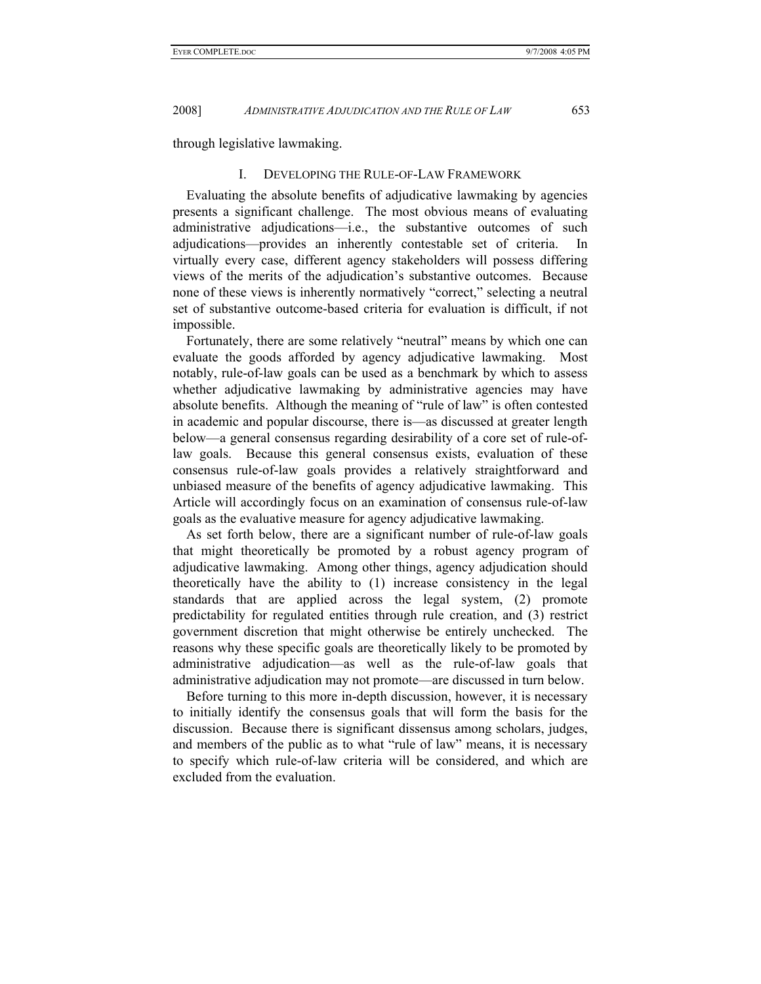through legislative lawmaking.

#### I. DEVELOPING THE RULE-OF-LAW FRAMEWORK

Evaluating the absolute benefits of adjudicative lawmaking by agencies presents a significant challenge. The most obvious means of evaluating administrative adjudications—i.e., the substantive outcomes of such adjudications—provides an inherently contestable set of criteria. In virtually every case, different agency stakeholders will possess differing views of the merits of the adjudication's substantive outcomes. Because none of these views is inherently normatively "correct," selecting a neutral set of substantive outcome-based criteria for evaluation is difficult, if not impossible.

Fortunately, there are some relatively "neutral" means by which one can evaluate the goods afforded by agency adjudicative lawmaking. Most notably, rule-of-law goals can be used as a benchmark by which to assess whether adjudicative lawmaking by administrative agencies may have absolute benefits. Although the meaning of "rule of law" is often contested in academic and popular discourse, there is—as discussed at greater length below—a general consensus regarding desirability of a core set of rule-oflaw goals. Because this general consensus exists, evaluation of these consensus rule-of-law goals provides a relatively straightforward and unbiased measure of the benefits of agency adjudicative lawmaking. This Article will accordingly focus on an examination of consensus rule-of-law goals as the evaluative measure for agency adjudicative lawmaking.

As set forth below, there are a significant number of rule-of-law goals that might theoretically be promoted by a robust agency program of adjudicative lawmaking. Among other things, agency adjudication should theoretically have the ability to (1) increase consistency in the legal standards that are applied across the legal system, (2) promote predictability for regulated entities through rule creation, and (3) restrict government discretion that might otherwise be entirely unchecked. The reasons why these specific goals are theoretically likely to be promoted by administrative adjudication—as well as the rule-of-law goals that administrative adjudication may not promote—are discussed in turn below.

Before turning to this more in-depth discussion, however, it is necessary to initially identify the consensus goals that will form the basis for the discussion. Because there is significant dissensus among scholars, judges, and members of the public as to what "rule of law" means, it is necessary to specify which rule-of-law criteria will be considered, and which are excluded from the evaluation.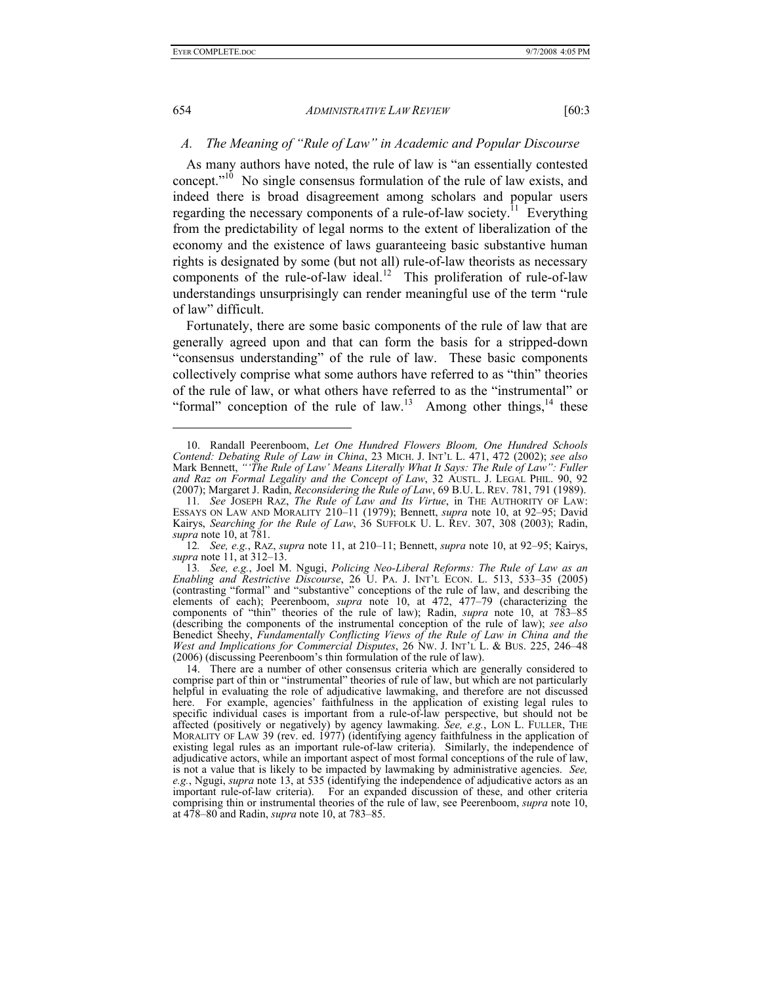# *A. The Meaning of "Rule of Law" in Academic and Popular Discourse*

As many authors have noted, the rule of law is "an essentially contested concept."<sup>10</sup> No single consensus formulation of the rule of law exists, and indeed there is broad disagreement among scholars and popular users regarding the necessary components of a rule-of-law society.<sup>11</sup> Everything from the predictability of legal norms to the extent of liberalization of the economy and the existence of laws guaranteeing basic substantive human rights is designated by some (but not all) rule-of-law theorists as necessary components of the rule-of-law ideal.<sup>12</sup> This proliferation of rule-of-law understandings unsurprisingly can render meaningful use of the term "rule of law" difficult.

Fortunately, there are some basic components of the rule of law that are generally agreed upon and that can form the basis for a stripped-down "consensus understanding" of the rule of law. These basic components collectively comprise what some authors have referred to as "thin" theories of the rule of law, or what others have referred to as the "instrumental" or "formal" conception of the rule of law.<sup>13</sup> Among other things,  $14$  these

 <sup>10.</sup> Randall Peerenboom, *Let One Hundred Flowers Bloom, One Hundred Schools Contend: Debating Rule of Law in China*, 23 MICH. J. INT'L L. 471, 472 (2002); *see also*  Mark Bennett, *"'The Rule of Law' Means Literally What It Says: The Rule of Law": Fuller and Raz on Formal Legality and the Concept of Law*, 32 AUSTL. J. LEGAL PHIL. 90, 92 (2007); Margaret J. Radin, *Reconsidering the Rule of Law*, 69 B.U. L. REV. 781, 791 (1989).

<sup>11</sup>*. See* JOSEPH RAZ, *The Rule of Law and Its Virtue*, in THE AUTHORITY OF LAW: ESSAYS ON LAW AND MORALITY 210–11 (1979); Bennett, *supra* note 10, at 92–95; David Kairys, *Searching for the Rule of Law*, 36 SUFFOLK U. L. REV. 307, 308 (2003); Radin, *supra* note 10, at 781.

<sup>12</sup>*. See, e.g.*, RAZ, *supra* note 11, at 210–11; Bennett, *supra* note 10, at 92–95; Kairys, *supra* note 11, at 312–13.

<sup>13</sup>*. See, e.g.*, Joel M. Ngugi, *Policing Neo-Liberal Reforms: The Rule of Law as an Enabling and Restrictive Discourse*, 26 U. PA. J. INT'L ECON. L. 513, 533–35 (2005) (contrasting "formal" and "substantive" conceptions of the rule of law, and describing the elements of each); Peerenboom, *supra* note 10, at 472, 477–79 (characterizing the components of "thin" theories of the rule of law); Radin, *supra* note 10, at 783–85 (describing the components of the instrumental conception of the rule of law); *see also* Benedict Sheehy, *Fundamentally Conflicting Views of the Rule of Law in China and the West and Implications for Commercial Disputes*, 26 NW. J. INT'L L. & BUS. 225, 246–48 (2006) (discussing Peerenboom's thin formulation of the rule of law).

 <sup>14.</sup> There are a number of other consensus criteria which are generally considered to comprise part of thin or "instrumental" theories of rule of law, but which are not particularly helpful in evaluating the role of adjudicative lawmaking, and therefore are not discussed here. For example, agencies' faithfulness in the application of existing legal rules to specific individual cases is important from a rule-of-law perspective, but should not be affected (positively or negatively) by agency lawmaking. *See, e.g.*, LON L. FULLER, THE MORALITY OF LAW 39 (rev. ed. 1977) (identifying agency faithfulness in the application of existing legal rules as an important rule-of-law criteria). Similarly, the independence of adjudicative actors, while an important aspect of most formal conceptions of the rule of law, is not a value that is likely to be impacted by lawmaking by administrative agencies. *See, e.g.*, Ngugi, *supra* note 13, at 535 (identifying the independence of adjudicative actors as an important rule-of-law criteria). For an expanded discussion of these, and other criteria comprising thin or instrumental theories of the rule of law, see Peerenboom, *supra* note 10, at 478–80 and Radin, *supra* note 10, at 783–85.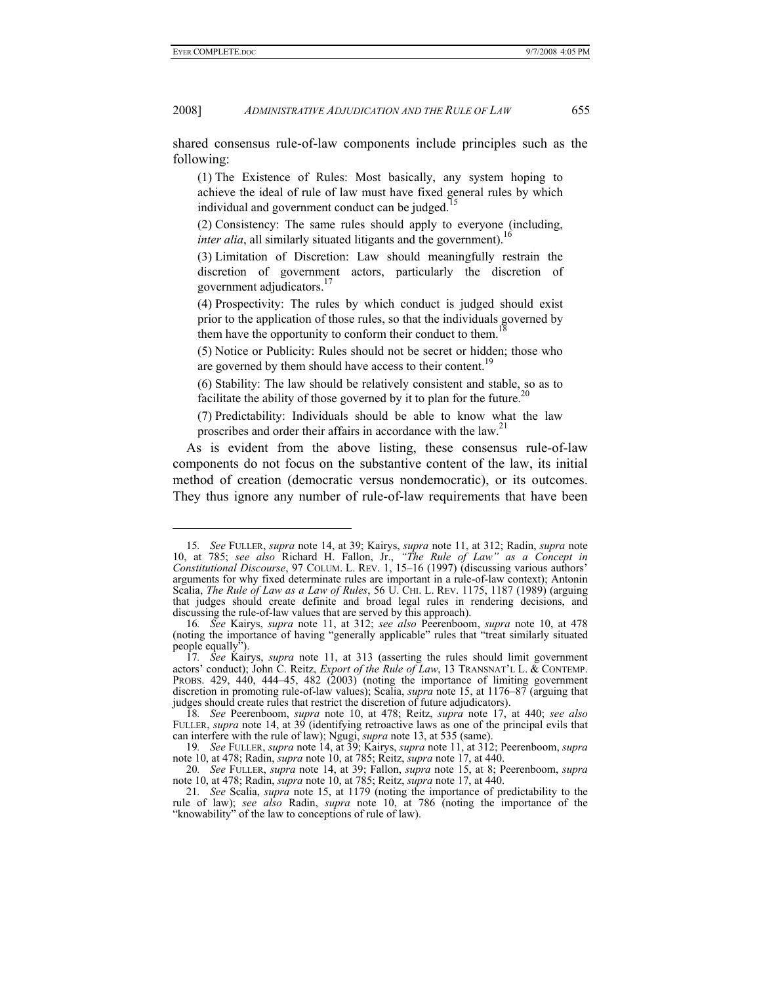shared consensus rule-of-law components include principles such as the following:

(1) The Existence of Rules: Most basically, any system hoping to achieve the ideal of rule of law must have fixed general rules by which individual and government conduct can be judged.<sup>15</sup>

(2) Consistency: The same rules should apply to everyone (including, *inter alia*, all similarly situated litigants and the government).<sup>16</sup>

(3) Limitation of Discretion: Law should meaningfully restrain the discretion of government actors, particularly the discretion of government adjudicators.<sup>17</sup>

(4) Prospectivity: The rules by which conduct is judged should exist prior to the application of those rules, so that the individuals governed by them have the opportunity to conform their conduct to them.

(5) Notice or Publicity: Rules should not be secret or hidden; those who are governed by them should have access to their content.<sup>19</sup>

(6) Stability: The law should be relatively consistent and stable, so as to facilitate the ability of those governed by it to plan for the future.<sup>20</sup>

(7) Predictability: Individuals should be able to know what the law proscribes and order their affairs in accordance with the law.<sup>21</sup>

As is evident from the above listing, these consensus rule-of-law components do not focus on the substantive content of the law, its initial method of creation (democratic versus nondemocratic), or its outcomes. They thus ignore any number of rule-of-law requirements that have been

<sup>15</sup>*. See* FULLER, *supra* note 14, at 39; Kairys, *supra* note 11, at 312; Radin, *supra* note 10, at 785; *see also* Richard H. Fallon, Jr., *"The Rule of Law" as a Concept in Constitutional Discourse*, 97 COLUM. L. REV. 1, 15–16 (1997) (discussing various authors' arguments for why fixed determinate rules are important in a rule-of-law context); Antonin Scalia, *The Rule of Law as a Law of Rules*, 56 U. CHI. L. REV. 1175, 1187 (1989) (arguing that judges should create definite and broad legal rules in rendering decisions, and discussing the rule-of-law values that are served by this approach).

<sup>16</sup>*. See* Kairys, *supra* note 11, at 312; *see also* Peerenboom, *supra* note 10, at 478 (noting the importance of having "generally applicable" rules that "treat similarly situated people equally").

<sup>17</sup>*. See* Kairys, *supra* note 11, at 313 (asserting the rules should limit government actors' conduct); John C. Reitz, *Export of the Rule of Law*, 13 TRANSNAT'L L. & CONTEMP. PROBS. 429, 440, 444–45, 482 (2003) (noting the importance of limiting government discretion in promoting rule-of-law values); Scalia, *supra* note 15, at 1176–87 (arguing that judges should create rules that restrict the discretion of future adjudicators).

<sup>18</sup>*. See* Peerenboom, *supra* note 10, at 478; Reitz, *supra* note 17, at 440; *see also*  FULLER, *supra* note 14, at 39 (identifying retroactive laws as one of the principal evils that can interfere with the rule of law); Ngugi, *supra* note 13, at 535 (same).

<sup>19</sup>*. See* FULLER, *supra* note 14, at 39; Kairys, *supra* note 11, at 312; Peerenboom, *supra*  note 10, at 478; Radin, *supra* note 10, at 785; Reitz, *supra* note 17, at 440.

<sup>20</sup>*. See* FULLER, *supra* note 14, at 39; Fallon, *supra* note 15, at 8; Peerenboom, *supra*  note 10, at 478; Radin, *supra* note 10, at 785; Reitz, *supra* note 17, at 440.

<sup>21</sup>*. See* Scalia, *supra* note 15, at 1179 (noting the importance of predictability to the rule of law); *see also* Radin, *supra* note 10, at 786 (noting the importance of the "knowability" of the law to conceptions of rule of law).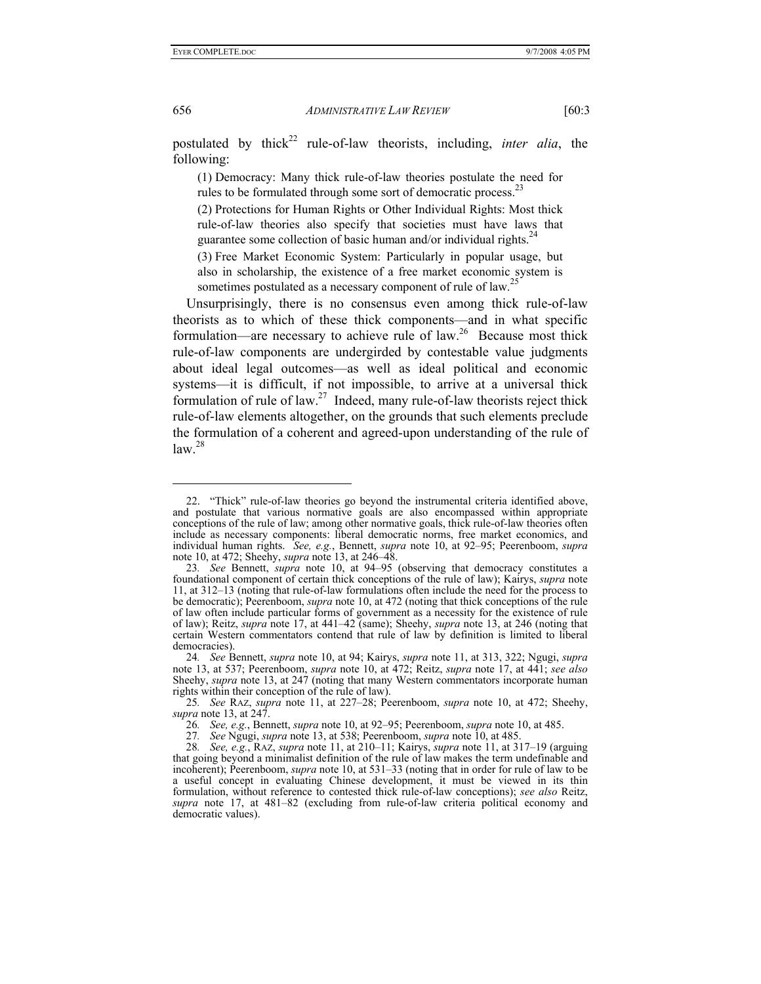postulated by thick<sup>22</sup> rule-of-law theorists, including, *inter alia*, the following:

(1) Democracy: Many thick rule-of-law theories postulate the need for rules to be formulated through some sort of democratic process.<sup>23</sup>

(2) Protections for Human Rights or Other Individual Rights: Most thick rule-of-law theories also specify that societies must have laws that guarantee some collection of basic human and/or individual rights. $^{24}$ 

(3) Free Market Economic System: Particularly in popular usage, but also in scholarship, the existence of a free market economic system is sometimes postulated as a necessary component of rule of law.<sup>25</sup>

Unsurprisingly, there is no consensus even among thick rule-of-law theorists as to which of these thick components—and in what specific formulation—are necessary to achieve rule of law.<sup>26</sup> Because most thick rule-of-law components are undergirded by contestable value judgments about ideal legal outcomes—as well as ideal political and economic systems—it is difficult, if not impossible, to arrive at a universal thick formulation of rule of law.27 Indeed, many rule-of-law theorists reject thick rule-of-law elements altogether, on the grounds that such elements preclude the formulation of a coherent and agreed-upon understanding of the rule of  $law.<sup>28</sup>$ 

 <sup>22. &</sup>quot;Thick" rule-of-law theories go beyond the instrumental criteria identified above, and postulate that various normative goals are also encompassed within appropriate conceptions of the rule of law; among other normative goals, thick rule-of-law theories often include as necessary components: liberal democratic norms, free market economics, and individual human rights. *See, e.g.*, Bennett, *supra* note 10, at 92–95; Peerenboom, *supra*  note 10, at 472; Sheehy, *supra* note 13, at 246–48.

<sup>23</sup>*. See* Bennett, *supra* note 10, at 94–95 (observing that democracy constitutes a foundational component of certain thick conceptions of the rule of law); Kairys, *supra* note 11, at 312–13 (noting that rule-of-law formulations often include the need for the process to be democratic); Peerenboom, *supra* note 10, at 472 (noting that thick conceptions of the rule of law often include particular forms of government as a necessity for the existence of rule of law); Reitz, *supra* note 17, at 441–42 (same); Sheehy, *supra* note 13, at 246 (noting that certain Western commentators contend that rule of law by definition is limited to liberal democracies).

<sup>24</sup>*. See* Bennett, *supra* note 10, at 94; Kairys, *supra* note 11, at 313, 322; Ngugi, *supra*  note 13, at 537; Peerenboom, *supra* note 10, at 472; Reitz, *supra* note 17, at 441; *see also* Sheehy, *supra* note 13, at 247 (noting that many Western commentators incorporate human rights within their conception of the rule of law).

<sup>25</sup>*. See* RAZ, *supra* note 11, at 227–28; Peerenboom, *supra* note 10, at 472; Sheehy, *supra* note 13, at 247.

<sup>26</sup>*. See, e.g.*, Bennett, *supra* note 10, at 92–95; Peerenboom, *supra* note 10, at 485.

<sup>27</sup>*. See* Ngugi, *supra* note 13, at 538; Peerenboom, *supra* note 10, at 485.

<sup>28</sup>*. See, e.g.*, RAZ, *supra* note 11, at 210–11; Kairys, *supra* note 11, at 317–19 (arguing that going beyond a minimalist definition of the rule of law makes the term undefinable and incoherent); Peerenboom, *supra* note 10, at 531–33 (noting that in order for rule of law to be a useful concept in evaluating Chinese development, it must be viewed in its thin formulation, without reference to contested thick rule-of-law conceptions); *see also* Reitz, *supra* note 17, at 481–82 (excluding from rule-of-law criteria political economy and democratic values).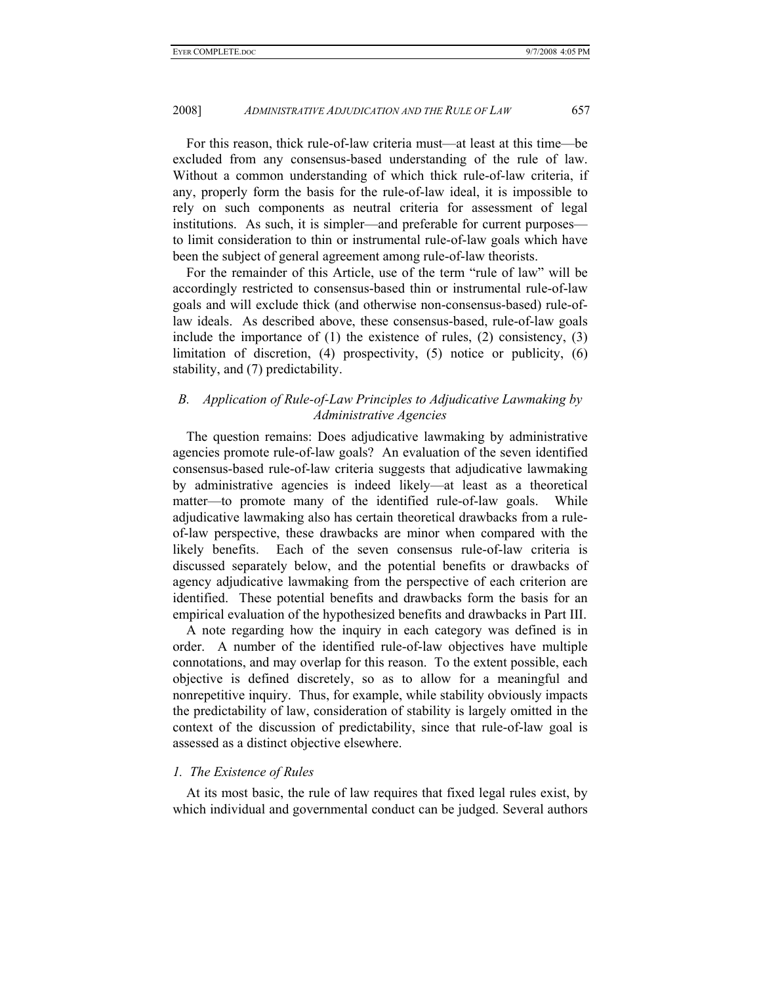For this reason, thick rule-of-law criteria must—at least at this time—be excluded from any consensus-based understanding of the rule of law. Without a common understanding of which thick rule-of-law criteria, if any, properly form the basis for the rule-of-law ideal, it is impossible to rely on such components as neutral criteria for assessment of legal institutions. As such, it is simpler—and preferable for current purposes to limit consideration to thin or instrumental rule-of-law goals which have been the subject of general agreement among rule-of-law theorists.

For the remainder of this Article, use of the term "rule of law" will be accordingly restricted to consensus-based thin or instrumental rule-of-law goals and will exclude thick (and otherwise non-consensus-based) rule-oflaw ideals. As described above, these consensus-based, rule-of-law goals include the importance of (1) the existence of rules, (2) consistency, (3) limitation of discretion, (4) prospectivity, (5) notice or publicity, (6) stability, and (7) predictability.

# *B. Application of Rule-of-Law Principles to Adjudicative Lawmaking by Administrative Agencies*

The question remains: Does adjudicative lawmaking by administrative agencies promote rule-of-law goals? An evaluation of the seven identified consensus-based rule-of-law criteria suggests that adjudicative lawmaking by administrative agencies is indeed likely—at least as a theoretical matter—to promote many of the identified rule-of-law goals. While adjudicative lawmaking also has certain theoretical drawbacks from a ruleof-law perspective, these drawbacks are minor when compared with the likely benefits. Each of the seven consensus rule-of-law criteria is discussed separately below, and the potential benefits or drawbacks of agency adjudicative lawmaking from the perspective of each criterion are identified. These potential benefits and drawbacks form the basis for an empirical evaluation of the hypothesized benefits and drawbacks in Part III.

A note regarding how the inquiry in each category was defined is in order. A number of the identified rule-of-law objectives have multiple connotations, and may overlap for this reason. To the extent possible, each objective is defined discretely, so as to allow for a meaningful and nonrepetitive inquiry. Thus, for example, while stability obviously impacts the predictability of law, consideration of stability is largely omitted in the context of the discussion of predictability, since that rule-of-law goal is assessed as a distinct objective elsewhere.

# *1. The Existence of Rules*

At its most basic, the rule of law requires that fixed legal rules exist, by which individual and governmental conduct can be judged. Several authors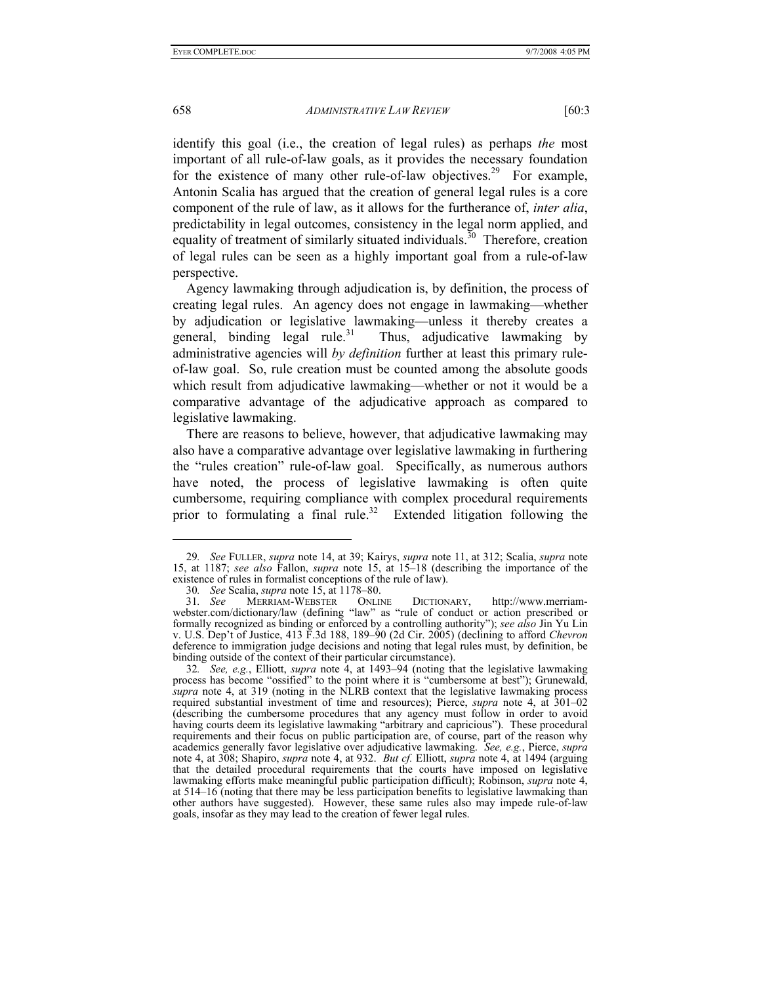identify this goal (i.e., the creation of legal rules) as perhaps *the* most important of all rule-of-law goals, as it provides the necessary foundation for the existence of many other rule-of-law objectives.<sup>29</sup> For example, Antonin Scalia has argued that the creation of general legal rules is a core component of the rule of law, as it allows for the furtherance of, *inter alia*, predictability in legal outcomes, consistency in the legal norm applied, and equality of treatment of similarly situated individuals.<sup>30</sup> Therefore, creation of legal rules can be seen as a highly important goal from a rule-of-law perspective.

Agency lawmaking through adjudication is, by definition, the process of creating legal rules. An agency does not engage in lawmaking—whether by adjudication or legislative lawmaking—unless it thereby creates a general, binding legal rule.<sup>31</sup> Thus, adjudicative lawmaking by Thus, adjudicative lawmaking by administrative agencies will *by definition* further at least this primary ruleof-law goal. So, rule creation must be counted among the absolute goods which result from adjudicative lawmaking—whether or not it would be a comparative advantage of the adjudicative approach as compared to legislative lawmaking.

There are reasons to believe, however, that adjudicative lawmaking may also have a comparative advantage over legislative lawmaking in furthering the "rules creation" rule-of-law goal. Specifically, as numerous authors have noted, the process of legislative lawmaking is often quite cumbersome, requiring compliance with complex procedural requirements prior to formulating a final rule.<sup>32</sup> Extended litigation following the

<sup>29</sup>*. See* FULLER, *supra* note 14, at 39; Kairys, *supra* note 11, at 312; Scalia, *supra* note 15, at 1187; *see also* Fallon, *supra* note 15, at 15–18 (describing the importance of the existence of rules in formalist conceptions of the rule of law).

<sup>30</sup>*. See* Scalia, *supra* note 15, at 1178–80.

<sup>31</sup>*. See* MERRIAM-WEBSTER ONLINE DICTIONARY, http://www.merriamwebster.com/dictionary/law (defining "law" as "rule of conduct or action prescribed or formally recognized as binding or enforced by a controlling authority"); *see also* Jin Yu Lin v. U.S. Dep't of Justice, 413 F.3d 188, 189–90 (2d Cir. 2005) (declining to afford *Chevron*  deference to immigration judge decisions and noting that legal rules must, by definition, be binding outside of the context of their particular circumstance).

<sup>32</sup>*. See, e.g.*, Elliott, *supra* note 4, at 1493–94 (noting that the legislative lawmaking process has become "ossified" to the point where it is "cumbersome at best"); Grunewald, *supra* note 4, at 319 (noting in the NLRB context that the legislative lawmaking process required substantial investment of time and resources); Pierce, *supra* note 4, at 301–02 (describing the cumbersome procedures that any agency must follow in order to avoid having courts deem its legislative lawmaking "arbitrary and capricious").These procedural requirements and their focus on public participation are, of course, part of the reason why academics generally favor legislative over adjudicative lawmaking. *See, e.g.*, Pierce, *supra*  note 4, at 308; Shapiro, *supra* note 4, at 932. *But cf.* Elliott, *supra* note 4, at 1494 (arguing that the detailed procedural requirements that the courts have imposed on legislative lawmaking efforts make meaningful public participation difficult); Robinson, *supra* note 4, at 514–16 (noting that there may be less participation benefits to legislative lawmaking than other authors have suggested). However, these same rules also may impede rule-of-law goals, insofar as they may lead to the creation of fewer legal rules.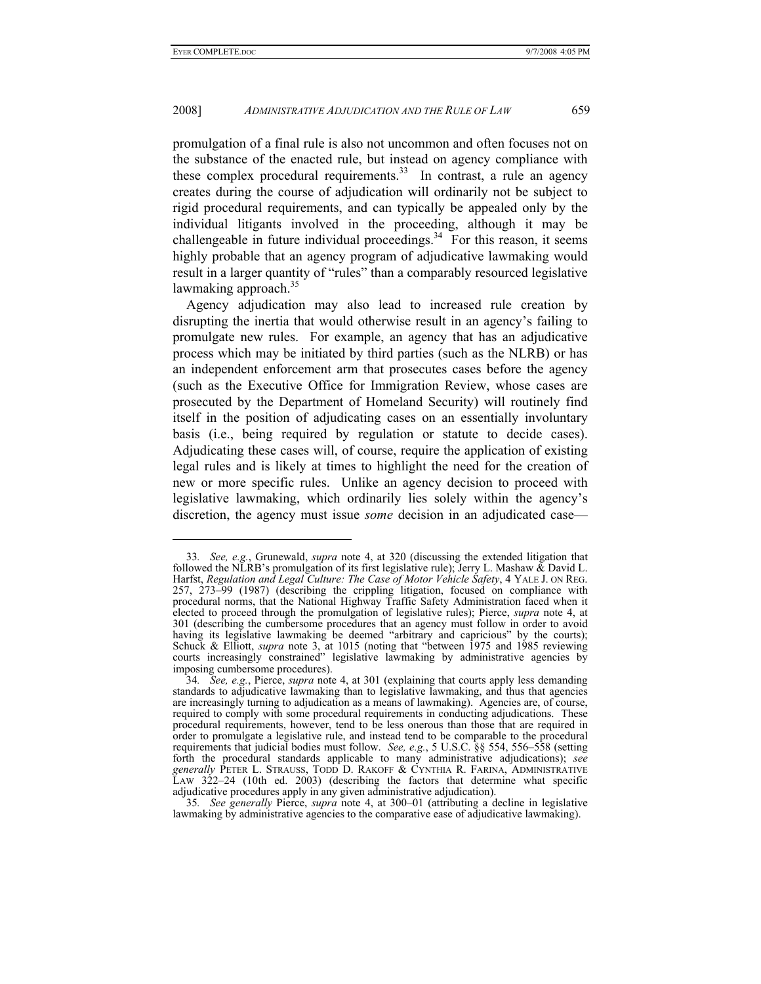promulgation of a final rule is also not uncommon and often focuses not on the substance of the enacted rule, but instead on agency compliance with these complex procedural requirements.<sup>33</sup> In contrast, a rule an agency creates during the course of adjudication will ordinarily not be subject to rigid procedural requirements, and can typically be appealed only by the individual litigants involved in the proceeding, although it may be challengeable in future individual proceedings.<sup>34</sup> For this reason, it seems highly probable that an agency program of adjudicative lawmaking would result in a larger quantity of "rules" than a comparably resourced legislative lawmaking approach.<sup>35</sup>

Agency adjudication may also lead to increased rule creation by disrupting the inertia that would otherwise result in an agency's failing to promulgate new rules. For example, an agency that has an adjudicative process which may be initiated by third parties (such as the NLRB) or has an independent enforcement arm that prosecutes cases before the agency (such as the Executive Office for Immigration Review, whose cases are prosecuted by the Department of Homeland Security) will routinely find itself in the position of adjudicating cases on an essentially involuntary basis (i.e., being required by regulation or statute to decide cases). Adjudicating these cases will, of course, require the application of existing legal rules and is likely at times to highlight the need for the creation of new or more specific rules. Unlike an agency decision to proceed with legislative lawmaking, which ordinarily lies solely within the agency's discretion, the agency must issue *some* decision in an adjudicated case—

<sup>33</sup>*. See, e.g.*, Grunewald, *supra* note 4, at 320 (discussing the extended litigation that followed the NLRB's promulgation of its first legislative rule); Jerry L. Mashaw  $\tilde{\&}$  David L. Harfst, *Regulation and Legal Culture: The Case of Motor Vehicle Safety*, 4 YALE J. ON REG. 257, 273–99 (1987) (describing the crippling litigation, focused on compliance with procedural norms, that the National Highway Traffic Safety Administration faced when it elected to proceed through the promulgation of legislative rules); Pierce, *supra* note 4, at 301 (describing the cumbersome procedures that an agency must follow in order to avoid having its legislative lawmaking be deemed "arbitrary and capricious" by the courts); Schuck & Elliott, *supra* note 3, at 1015 (noting that "between 1975 and 1985 reviewing courts increasingly constrained" legislative lawmaking by administrative agencies by imposing cumbersome procedures).

<sup>34</sup>*. See, e.g.*, Pierce, *supra* note 4, at 301 (explaining that courts apply less demanding standards to adjudicative lawmaking than to legislative lawmaking, and thus that agencies are increasingly turning to adjudication as a means of lawmaking). Agencies are, of course, required to comply with some procedural requirements in conducting adjudications. These procedural requirements, however, tend to be less onerous than those that are required in order to promulgate a legislative rule, and instead tend to be comparable to the procedural requirements that judicial bodies must follow. *See, e.g.*, 5 U.S.C. §§ 554, 556–558 (setting forth the procedural standards applicable to many administrative adjudications); *see generally* PETER L. STRAUSS, TODD D. RAKOFF & CYNTHIA R. FARINA, ADMINISTRATIVE LAW 322–24 (10th ed. 2003) (describing the factors that determine what specific adjudicative procedures apply in any given administrative adjudication).

<sup>35</sup>*. See generally* Pierce, *supra* note 4, at 300–01 (attributing a decline in legislative lawmaking by administrative agencies to the comparative ease of adjudicative lawmaking).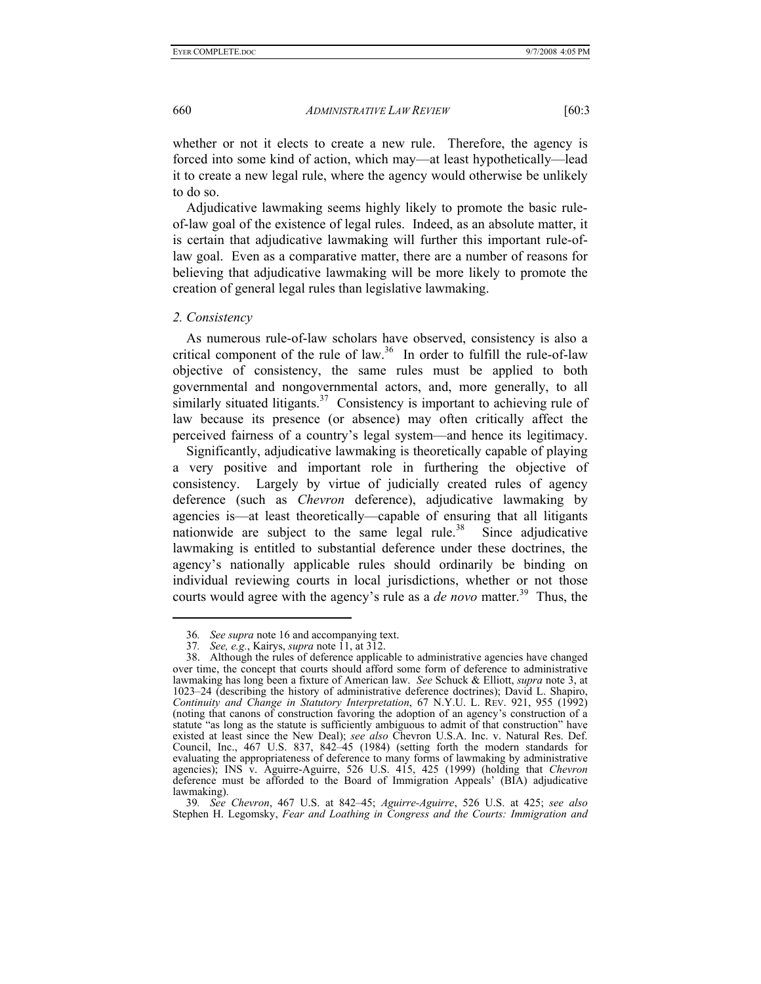whether or not it elects to create a new rule. Therefore, the agency is forced into some kind of action, which may—at least hypothetically—lead it to create a new legal rule, where the agency would otherwise be unlikely to do so.

Adjudicative lawmaking seems highly likely to promote the basic ruleof-law goal of the existence of legal rules. Indeed, as an absolute matter, it is certain that adjudicative lawmaking will further this important rule-oflaw goal. Even as a comparative matter, there are a number of reasons for believing that adjudicative lawmaking will be more likely to promote the creation of general legal rules than legislative lawmaking.

# *2. Consistency*

 $\overline{a}$ 

As numerous rule-of-law scholars have observed, consistency is also a critical component of the rule of law.<sup>36</sup> In order to fulfill the rule-of-law objective of consistency, the same rules must be applied to both governmental and nongovernmental actors, and, more generally, to all similarly situated litigants.<sup>37</sup> Consistency is important to achieving rule of law because its presence (or absence) may often critically affect the perceived fairness of a country's legal system—and hence its legitimacy.

 Significantly, adjudicative lawmaking is theoretically capable of playing a very positive and important role in furthering the objective of consistency. Largely by virtue of judicially created rules of agency deference (such as *Chevron* deference), adjudicative lawmaking by agencies is—at least theoretically—capable of ensuring that all litigants nationwide are subject to the same legal rule.<sup>38</sup> Since adjudicative lawmaking is entitled to substantial deference under these doctrines, the agency's nationally applicable rules should ordinarily be binding on individual reviewing courts in local jurisdictions, whether or not those courts would agree with the agency's rule as a *de novo* matter.<sup>39</sup> Thus, the

39*. See Chevron*, 467 U.S. at 842–45; *Aguirre-Aguirre*, 526 U.S. at 425; *see also*  Stephen H. Legomsky, *Fear and Loathing in Congress and the Courts: Immigration and* 

<sup>36</sup>*. See supra* note 16 and accompanying text.

<sup>37</sup>*. See, e.g.*, Kairys, *supra* note 11, at 312.

 <sup>38.</sup> Although the rules of deference applicable to administrative agencies have changed over time, the concept that courts should afford some form of deference to administrative lawmaking has long been a fixture of American law. *See* Schuck & Elliott, *supra* note 3, at 1023–24 (describing the history of administrative deference doctrines); David L. Shapiro, *Continuity and Change in Statutory Interpretation*, 67 N.Y.U. L. REV. 921, 955 (1992) (noting that canons of construction favoring the adoption of an agency's construction of a statute "as long as the statute is sufficiently ambiguous to admit of that construction" have existed at least since the New Deal); *see also* Chevron U.S.A. Inc. v. Natural Res. Def. Council, Inc., 467 U.S. 837, 842–45 (1984) (setting forth the modern standards for evaluating the appropriateness of deference to many forms of lawmaking by administrative agencies); INS v. Aguirre-Aguirre, 526 U.S. 415, 425 (1999) (holding that *Chevron*  deference must be afforded to the Board of Immigration Appeals' (BIA) adjudicative lawmaking).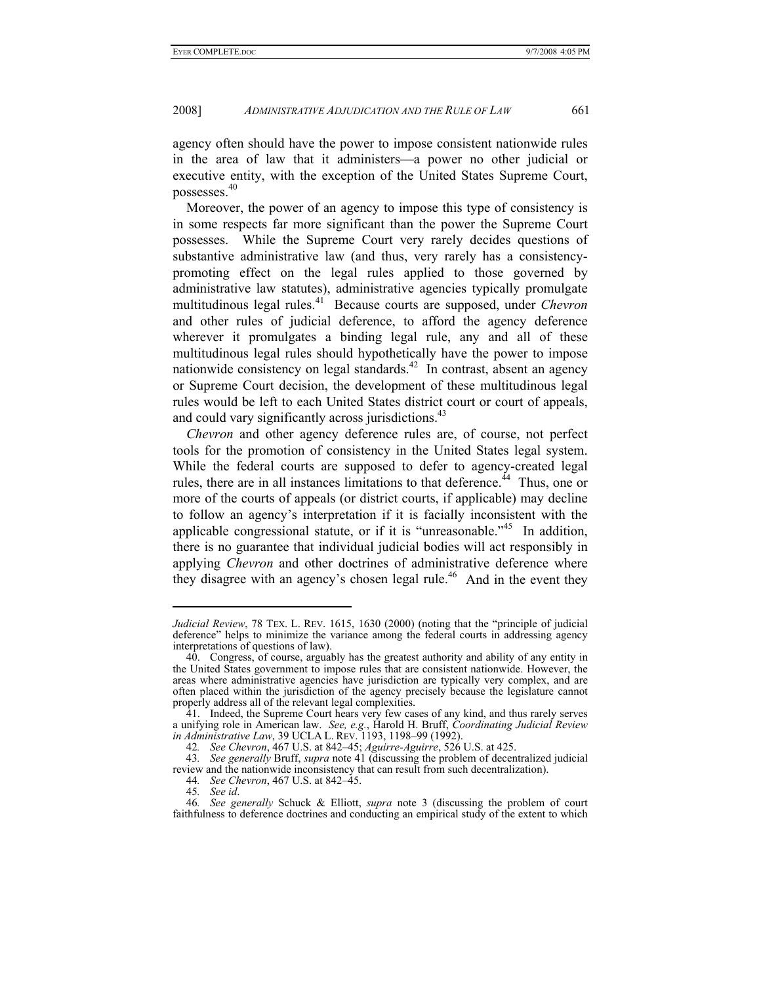agency often should have the power to impose consistent nationwide rules in the area of law that it administers—a power no other judicial or executive entity, with the exception of the United States Supreme Court, possesses.40

Moreover, the power of an agency to impose this type of consistency is in some respects far more significant than the power the Supreme Court possesses. While the Supreme Court very rarely decides questions of substantive administrative law (and thus, very rarely has a consistencypromoting effect on the legal rules applied to those governed by administrative law statutes), administrative agencies typically promulgate multitudinous legal rules.41 Because courts are supposed, under *Chevron*  and other rules of judicial deference, to afford the agency deference wherever it promulgates a binding legal rule, any and all of these multitudinous legal rules should hypothetically have the power to impose nationwide consistency on legal standards.<sup>42</sup> In contrast, absent an agency or Supreme Court decision, the development of these multitudinous legal rules would be left to each United States district court or court of appeals, and could vary significantly across jurisdictions.<sup>43</sup>

*Chevron* and other agency deference rules are, of course, not perfect tools for the promotion of consistency in the United States legal system. While the federal courts are supposed to defer to agency-created legal rules, there are in all instances limitations to that deference. $^{44}$  Thus, one or more of the courts of appeals (or district courts, if applicable) may decline to follow an agency's interpretation if it is facially inconsistent with the applicable congressional statute, or if it is "unreasonable."<sup>45</sup> In addition, there is no guarantee that individual judicial bodies will act responsibly in applying *Chevron* and other doctrines of administrative deference where they disagree with an agency's chosen legal rule.<sup>46</sup> And in the event they

*Judicial Review*, 78 TEX. L. REV. 1615, 1630 (2000) (noting that the "principle of judicial deference" helps to minimize the variance among the federal courts in addressing agency interpretations of questions of law).

 <sup>40.</sup> Congress, of course, arguably has the greatest authority and ability of any entity in the United States government to impose rules that are consistent nationwide. However, the areas where administrative agencies have jurisdiction are typically very complex, and are often placed within the jurisdiction of the agency precisely because the legislature cannot properly address all of the relevant legal complexities.

 <sup>41.</sup> Indeed, the Supreme Court hears very few cases of any kind, and thus rarely serves a unifying role in American law. *See, e.g.*, Harold H. Bruff, *Coordinating Judicial Review in Administrative Law*, 39 UCLA L. REV. 1193, 1198–99 (1992).

<sup>42</sup>*. See Chevron*, 467 U.S. at 842–45; *Aguirre-Aguirre*, 526 U.S. at 425.

<sup>43</sup>*. See generally* Bruff, *supra* note 41 (discussing the problem of decentralized judicial review and the nationwide inconsistency that can result from such decentralization).

<sup>44</sup>*. See Chevron*, 467 U.S. at 842–45.

<sup>45</sup>*. See id*.

<sup>46</sup>*. See generally* Schuck & Elliott, *supra* note 3 (discussing the problem of court faithfulness to deference doctrines and conducting an empirical study of the extent to which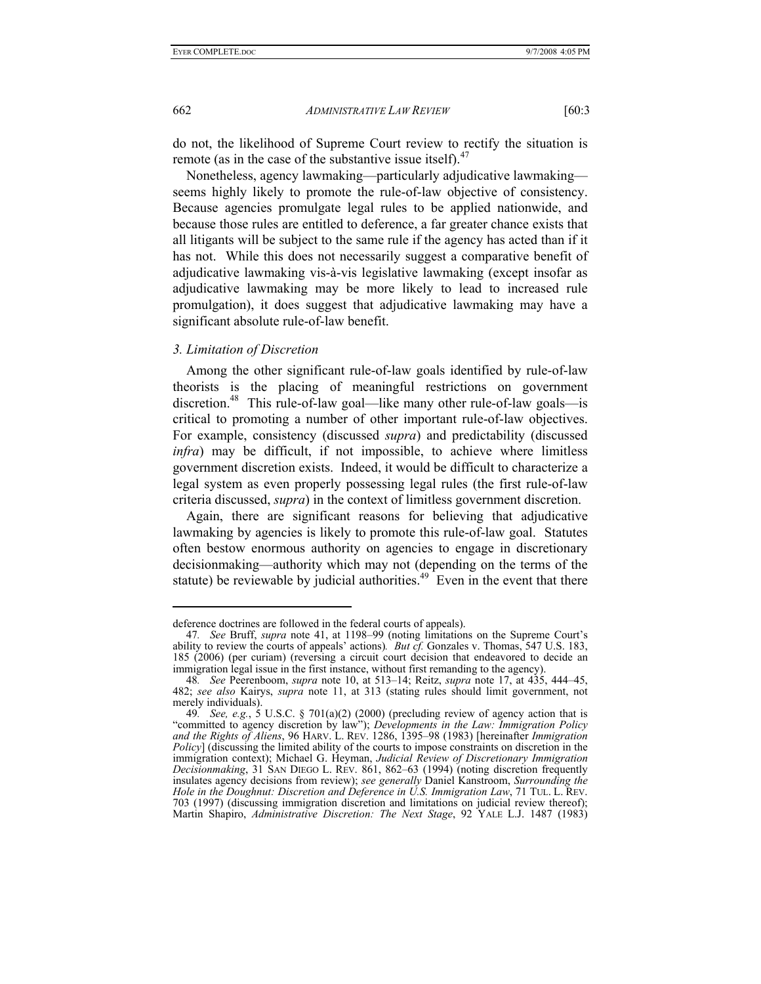do not, the likelihood of Supreme Court review to rectify the situation is remote (as in the case of the substantive issue itself).<sup>47</sup>

Nonetheless, agency lawmaking—particularly adjudicative lawmaking seems highly likely to promote the rule-of-law objective of consistency. Because agencies promulgate legal rules to be applied nationwide, and because those rules are entitled to deference, a far greater chance exists that all litigants will be subject to the same rule if the agency has acted than if it has not. While this does not necessarily suggest a comparative benefit of adjudicative lawmaking vis-à-vis legislative lawmaking (except insofar as adjudicative lawmaking may be more likely to lead to increased rule promulgation), it does suggest that adjudicative lawmaking may have a significant absolute rule-of-law benefit.

#### *3. Limitation of Discretion*

Among the other significant rule-of-law goals identified by rule-of-law theorists is the placing of meaningful restrictions on government discretion.<sup>48</sup> This rule-of-law goal—like many other rule-of-law goals—is critical to promoting a number of other important rule-of-law objectives. For example, consistency (discussed *supra*) and predictability (discussed *infra*) may be difficult, if not impossible, to achieve where limitless government discretion exists. Indeed, it would be difficult to characterize a legal system as even properly possessing legal rules (the first rule-of-law criteria discussed, *supra*) in the context of limitless government discretion.

Again, there are significant reasons for believing that adjudicative lawmaking by agencies is likely to promote this rule-of-law goal. Statutes often bestow enormous authority on agencies to engage in discretionary decisionmaking—authority which may not (depending on the terms of the statute) be reviewable by judicial authorities.<sup>49</sup> Even in the event that there

deference doctrines are followed in the federal courts of appeals).

<sup>47</sup>*. See* Bruff, *supra* note 41, at 1198–99 (noting limitations on the Supreme Court's ability to review the courts of appeals' actions)*. But cf.* Gonzales v. Thomas, 547 U.S. 183, 185 (2006) (per curiam) (reversing a circuit court decision that endeavored to decide an immigration legal issue in the first instance, without first remanding to the agency).

<sup>48</sup>*. See* Peerenboom, *supra* note 10, at 513–14; Reitz, *supra* note 17, at 435, 444–45, 482; *see also* Kairys, *supra* note 11, at 313 (stating rules should limit government, not merely individuals).

<sup>49</sup>*. See, e.g.*, 5 U.S.C. § 701(a)(2) (2000) (precluding review of agency action that is "committed to agency discretion by law"); *Developments in the Law: Immigration Policy and the Rights of Aliens*, 96 HARV. L. REV. 1286, 1395–98 (1983) [hereinafter *Immigration Policy*] (discussing the limited ability of the courts to impose constraints on discretion in the immigration context); Michael G. Heyman, *Judicial Review of Discretionary Immigration Decisionmaking*, 31 SAN DIEGO L. REV. 861, 862–63 (1994) (noting discretion frequently insulates agency decisions from review); *see generally* Daniel Kanstroom, *Surrounding the Hole in the Doughnut: Discretion and Deference in U.S. Immigration Law*, 71 TUL. L. REV. 703 (1997) (discussing immigration discretion and limitations on judicial review thereof); Martin Shapiro, *Administrative Discretion: The Next Stage*, 92 YALE L.J. 1487 (1983)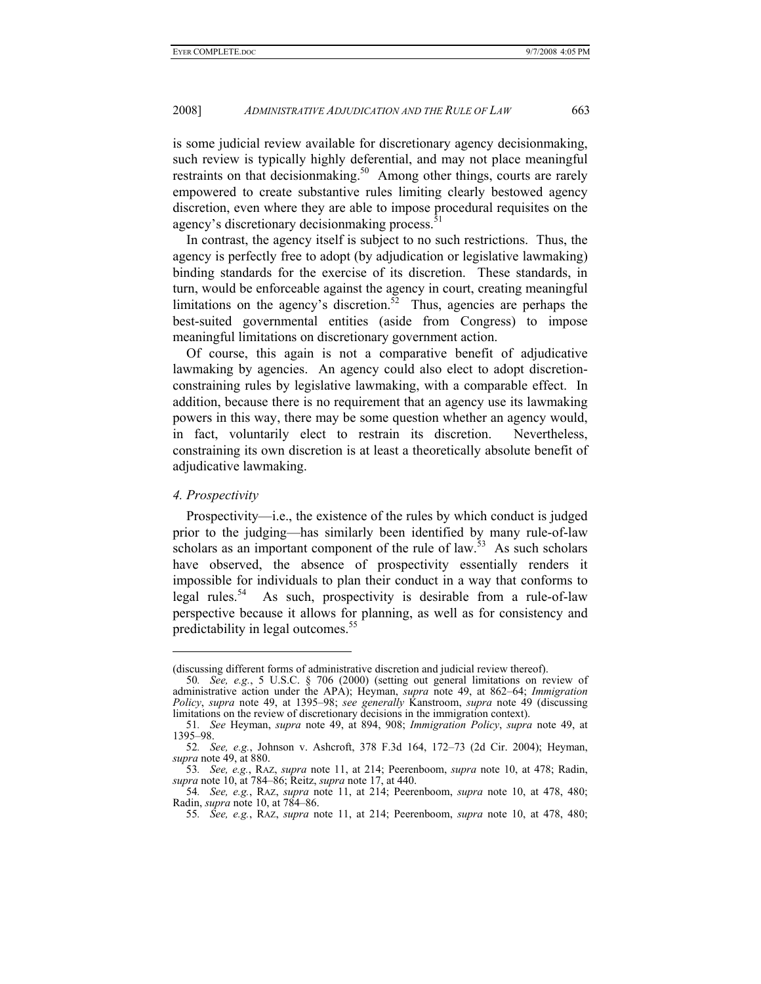is some judicial review available for discretionary agency decisionmaking, such review is typically highly deferential, and may not place meaningful restraints on that decisionmaking.<sup>50</sup> Among other things, courts are rarely empowered to create substantive rules limiting clearly bestowed agency discretion, even where they are able to impose procedural requisites on the agency's discretionary decision making process.<sup>51</sup>

In contrast, the agency itself is subject to no such restrictions. Thus, the agency is perfectly free to adopt (by adjudication or legislative lawmaking) binding standards for the exercise of its discretion. These standards, in turn, would be enforceable against the agency in court, creating meaningful limitations on the agency's discretion.<sup>52</sup> Thus, agencies are perhaps the best-suited governmental entities (aside from Congress) to impose meaningful limitations on discretionary government action.

Of course, this again is not a comparative benefit of adjudicative lawmaking by agencies. An agency could also elect to adopt discretionconstraining rules by legislative lawmaking, with a comparable effect. In addition, because there is no requirement that an agency use its lawmaking powers in this way, there may be some question whether an agency would, in fact, voluntarily elect to restrain its discretion. Nevertheless, constraining its own discretion is at least a theoretically absolute benefit of adjudicative lawmaking.

# *4. Prospectivity*

 $\overline{a}$ 

Prospectivity—i.e., the existence of the rules by which conduct is judged prior to the judging—has similarly been identified by many rule-of-law scholars as an important component of the rule of law.<sup>53</sup> As such scholars have observed, the absence of prospectivity essentially renders it impossible for individuals to plan their conduct in a way that conforms to legal rules.54 As such, prospectivity is desirable from a rule-of-law perspective because it allows for planning, as well as for consistency and predictability in legal outcomes.<sup>55</sup>

<sup>(</sup>discussing different forms of administrative discretion and judicial review thereof).

<sup>50</sup>*. See, e.g.*, 5 U.S.C. § 706 (2000) (setting out general limitations on review of administrative action under the APA); Heyman, *supra* note 49, at 862–64; *Immigration Policy*, *supra* note 49, at 1395–98; *see generally* Kanstroom, *supra* note 49 (discussing limitations on the review of discretionary decisions in the immigration context).

<sup>51</sup>*. See* Heyman, *supra* note 49, at 894, 908; *Immigration Policy*, *supra* note 49, at 1395–98.

<sup>52</sup>*. See, e.g.*, Johnson v. Ashcroft, 378 F.3d 164, 172–73 (2d Cir. 2004); Heyman, *supra* note 49, at 880.

<sup>53</sup>*. See, e.g.*, RAZ, *supra* note 11, at 214; Peerenboom, *supra* note 10, at 478; Radin, *supra* note 10, at 784–86; Reitz, *supra* note 17, at 440.

<sup>54</sup>*. See, e.g.*, RAZ, *supra* note 11, at 214; Peerenboom, *supra* note 10, at 478, 480; Radin, *supra* note 10, at 784–86.

<sup>55</sup>*. See, e.g.*, RAZ, *supra* note 11, at 214; Peerenboom, *supra* note 10, at 478, 480;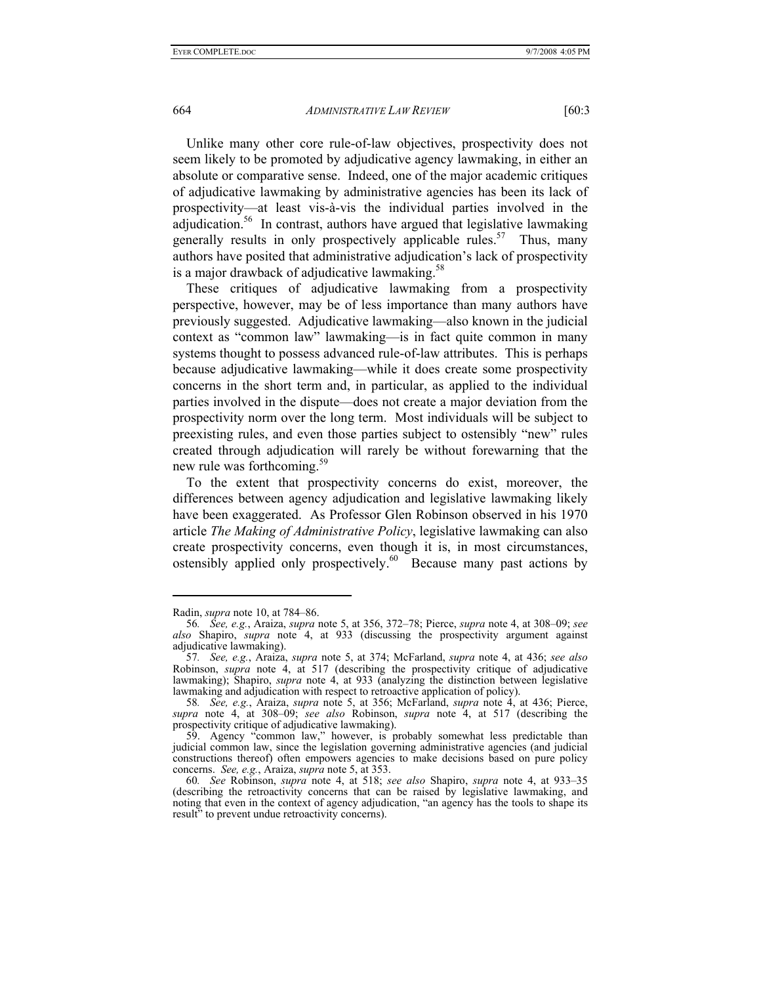Unlike many other core rule-of-law objectives, prospectivity does not seem likely to be promoted by adjudicative agency lawmaking, in either an absolute or comparative sense. Indeed, one of the major academic critiques of adjudicative lawmaking by administrative agencies has been its lack of prospectivity—at least vis-à-vis the individual parties involved in the adjudication.<sup>56</sup> In contrast, authors have argued that legislative lawmaking generally results in only prospectively applicable rules.<sup>57</sup> Thus, many authors have posited that administrative adjudication's lack of prospectivity is a major drawback of adjudicative lawmaking. $58$ 

These critiques of adjudicative lawmaking from a prospectivity perspective, however, may be of less importance than many authors have previously suggested. Adjudicative lawmaking—also known in the judicial context as "common law" lawmaking—is in fact quite common in many systems thought to possess advanced rule-of-law attributes. This is perhaps because adjudicative lawmaking—while it does create some prospectivity concerns in the short term and, in particular, as applied to the individual parties involved in the dispute—does not create a major deviation from the prospectivity norm over the long term. Most individuals will be subject to preexisting rules, and even those parties subject to ostensibly "new" rules created through adjudication will rarely be without forewarning that the new rule was forthcoming.<sup>59</sup>

To the extent that prospectivity concerns do exist, moreover, the differences between agency adjudication and legislative lawmaking likely have been exaggerated. As Professor Glen Robinson observed in his 1970 article *The Making of Administrative Policy*, legislative lawmaking can also create prospectivity concerns, even though it is, in most circumstances, ostensibly applied only prospectively.<sup>60</sup> Because many past actions by

Radin, *supra* note 10, at 784–86.

<sup>56</sup>*. See, e.g.*, Araiza, *supra* note 5, at 356, 372–78; Pierce, *supra* note 4, at 308–09; *see also* Shapiro, *supra* note 4, at 933 (discussing the prospectivity argument against adjudicative lawmaking).

<sup>57</sup>*. See, e.g.*, Araiza, *supra* note 5, at 374; McFarland, *supra* note 4, at 436; *see also* Robinson, *supra* note 4, at 517 (describing the prospectivity critique of adjudicative lawmaking); Shapiro, *supra* note 4, at 933 (analyzing the distinction between legislative lawmaking and adjudication with respect to retroactive application of policy).

<sup>58</sup>*. See, e.g.*, Araiza, *supra* note 5, at 356; McFarland, *supra* note 4, at 436; Pierce, *supra* note 4, at 308–09; *see also* Robinson, *supra* note 4, at 517 (describing the prospectivity critique of adjudicative lawmaking).

 <sup>59.</sup> Agency "common law," however, is probably somewhat less predictable than judicial common law, since the legislation governing administrative agencies (and judicial constructions thereof) often empowers agencies to make decisions based on pure policy concerns. *See, e.g.*, Araiza, *supra* note 5, at 353.

<sup>60</sup>*. See* Robinson, *supra* note 4, at 518; *see also* Shapiro, *supra* note 4, at 933–35 (describing the retroactivity concerns that can be raised by legislative lawmaking, and noting that even in the context of agency adjudication, "an agency has the tools to shape its result" to prevent undue retroactivity concerns).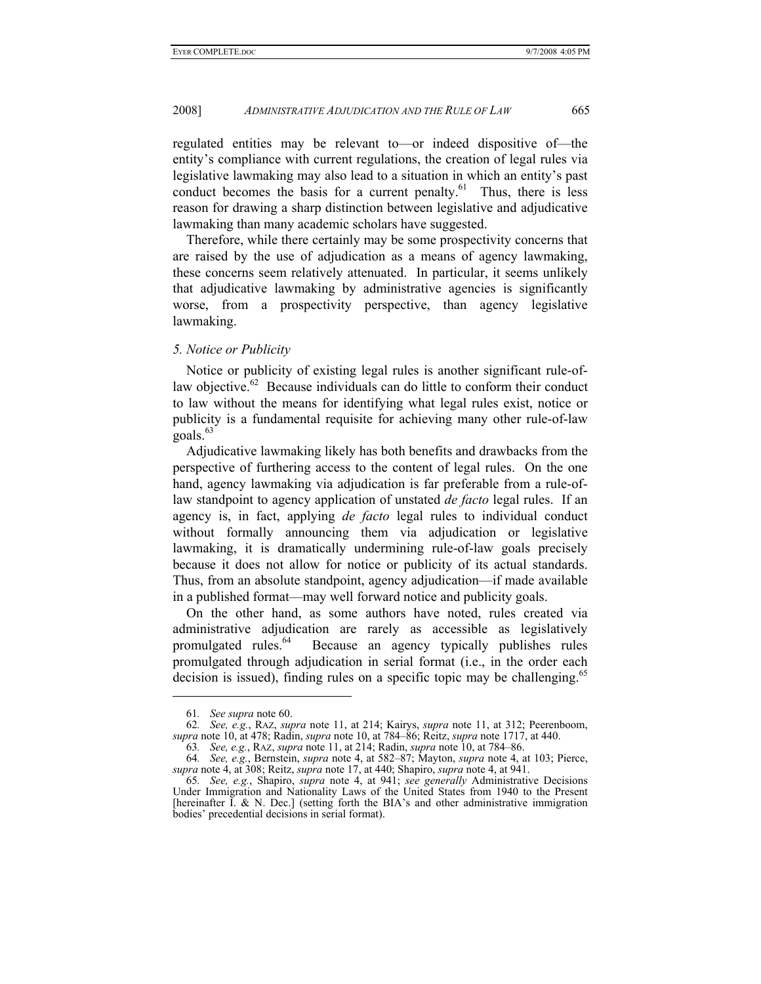regulated entities may be relevant to—or indeed dispositive of—the entity's compliance with current regulations, the creation of legal rules via legislative lawmaking may also lead to a situation in which an entity's past conduct becomes the basis for a current penalty.<sup>61</sup> Thus, there is less reason for drawing a sharp distinction between legislative and adjudicative lawmaking than many academic scholars have suggested.

Therefore, while there certainly may be some prospectivity concerns that are raised by the use of adjudication as a means of agency lawmaking, these concerns seem relatively attenuated. In particular, it seems unlikely that adjudicative lawmaking by administrative agencies is significantly worse, from a prospectivity perspective, than agency legislative lawmaking.

# *5. Notice or Publicity*

Notice or publicity of existing legal rules is another significant rule-oflaw objective. $62$  Because individuals can do little to conform their conduct to law without the means for identifying what legal rules exist, notice or publicity is a fundamental requisite for achieving many other rule-of-law  $\text{goals.}^{63}$ 

Adjudicative lawmaking likely has both benefits and drawbacks from the perspective of furthering access to the content of legal rules. On the one hand, agency lawmaking via adjudication is far preferable from a rule-oflaw standpoint to agency application of unstated *de facto* legal rules. If an agency is, in fact, applying *de facto* legal rules to individual conduct without formally announcing them via adjudication or legislative lawmaking, it is dramatically undermining rule-of-law goals precisely because it does not allow for notice or publicity of its actual standards. Thus, from an absolute standpoint, agency adjudication—if made available in a published format—may well forward notice and publicity goals.

On the other hand, as some authors have noted, rules created via administrative adjudication are rarely as accessible as legislatively promulgated rules.<sup>64</sup> Because an agency typically publishes rules promulgated through adjudication in serial format (i.e., in the order each decision is issued), finding rules on a specific topic may be challenging.<sup>65</sup>

<sup>61</sup>*. See supra* note 60.

<sup>62</sup>*. See, e.g.*, RAZ, *supra* note 11, at 214; Kairys, *supra* note 11, at 312; Peerenboom, *supra* note 10, at 478; Radin, *supra* note 10, at 784–86; Reitz, *supra* note 1717, at 440.

<sup>63</sup>*. See, e.g.*, RAZ, *supra* note 11, at 214; Radin, *supra* note 10, at 784–86.

<sup>64</sup>*. See, e.g.*, Bernstein, *supra* note 4, at 582–87; Mayton, *supra* note 4, at 103; Pierce, *supra* note 4, at 308; Reitz, *supra* note 17, at 440; Shapiro, *supra* note 4, at 941.

<sup>65</sup>*. See, e.g.*, Shapiro, *supra* note 4, at 941; *see generally* Administrative Decisions Under Immigration and Nationality Laws of the United States from 1940 to the Present [hereinafter I. & N. Dec.] (setting forth the BIA's and other administrative immigration bodies' precedential decisions in serial format).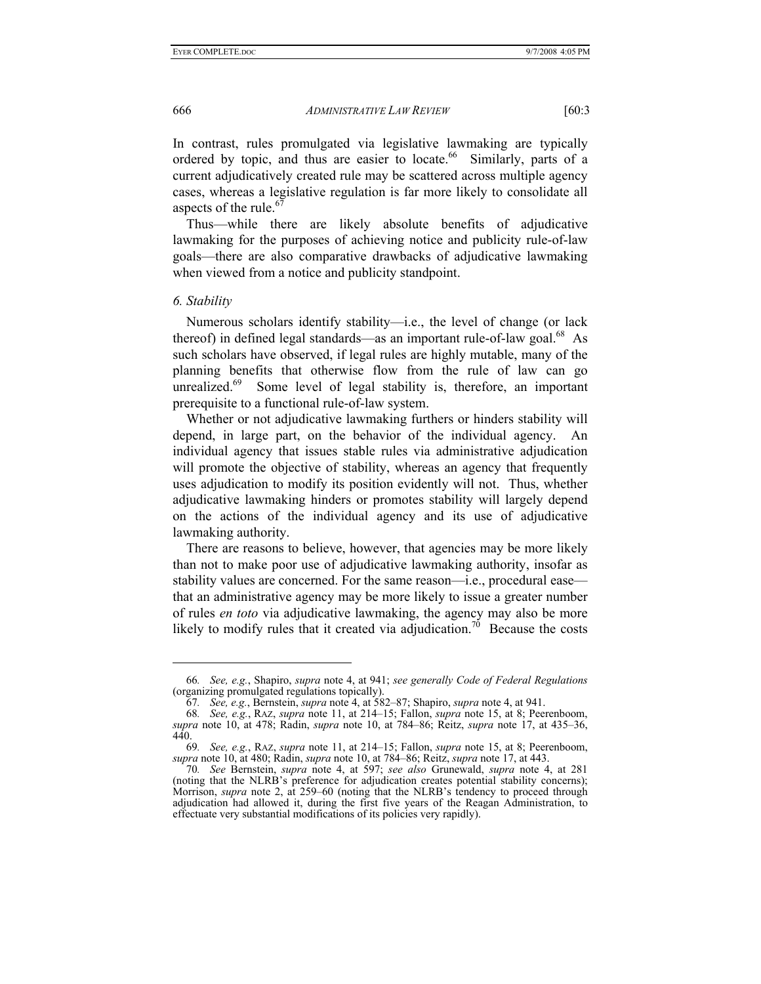In contrast, rules promulgated via legislative lawmaking are typically ordered by topic, and thus are easier to locate.<sup>66</sup> Similarly, parts of a current adjudicatively created rule may be scattered across multiple agency cases, whereas a legislative regulation is far more likely to consolidate all aspects of the rule. $67$ 

Thus—while there are likely absolute benefits of adjudicative lawmaking for the purposes of achieving notice and publicity rule-of-law goals—there are also comparative drawbacks of adjudicative lawmaking when viewed from a notice and publicity standpoint.

# *6. Stability*

 $\overline{a}$ 

Numerous scholars identify stability—i.e., the level of change (or lack thereof) in defined legal standards—as an important rule-of-law goal.<sup>68</sup> As such scholars have observed, if legal rules are highly mutable, many of the planning benefits that otherwise flow from the rule of law can go unrealized.<sup>69</sup> Some level of legal stability is, therefore, an important prerequisite to a functional rule-of-law system.

Whether or not adjudicative lawmaking furthers or hinders stability will depend, in large part, on the behavior of the individual agency. An individual agency that issues stable rules via administrative adjudication will promote the objective of stability, whereas an agency that frequently uses adjudication to modify its position evidently will not. Thus, whether adjudicative lawmaking hinders or promotes stability will largely depend on the actions of the individual agency and its use of adjudicative lawmaking authority.

There are reasons to believe, however, that agencies may be more likely than not to make poor use of adjudicative lawmaking authority, insofar as stability values are concerned. For the same reason—i.e., procedural ease that an administrative agency may be more likely to issue a greater number of rules *en toto* via adjudicative lawmaking, the agency may also be more likely to modify rules that it created via adjudication.<sup>70</sup> Because the costs

<sup>66</sup>*. See, e.g.*, Shapiro, *supra* note 4, at 941; *see generally Code of Federal Regulations* (organizing promulgated regulations topically).

<sup>67</sup>*. See, e.g.*, Bernstein, *supra* note 4, at 582–87; Shapiro, *supra* note 4, at 941.

<sup>68</sup>*. See, e.g.*, RAZ, *supra* note 11, at 214–15; Fallon, *supra* note 15, at 8; Peerenboom, *supra* note 10, at 478; Radin, *supra* note 10, at 784–86; Reitz, *supra* note 17, at 435–36, 440.

<sup>69</sup>*. See, e.g.*, RAZ, *supra* note 11, at 214–15; Fallon, *supra* note 15, at 8; Peerenboom, *supra* note 10, at 480; Radin, *supra* note 10, at 784–86; Reitz, *supra* note 17, at 443.

<sup>70</sup>*. See* Bernstein, *supra* note 4, at 597; *see also* Grunewald, *supra* note 4, at 281 (noting that the NLRB's preference for adjudication creates potential stability concerns); Morrison, *supra* note 2, at 259–60 (noting that the NLRB's tendency to proceed through adjudication had allowed it, during the first five years of the Reagan Administration, to effectuate very substantial modifications of its policies very rapidly).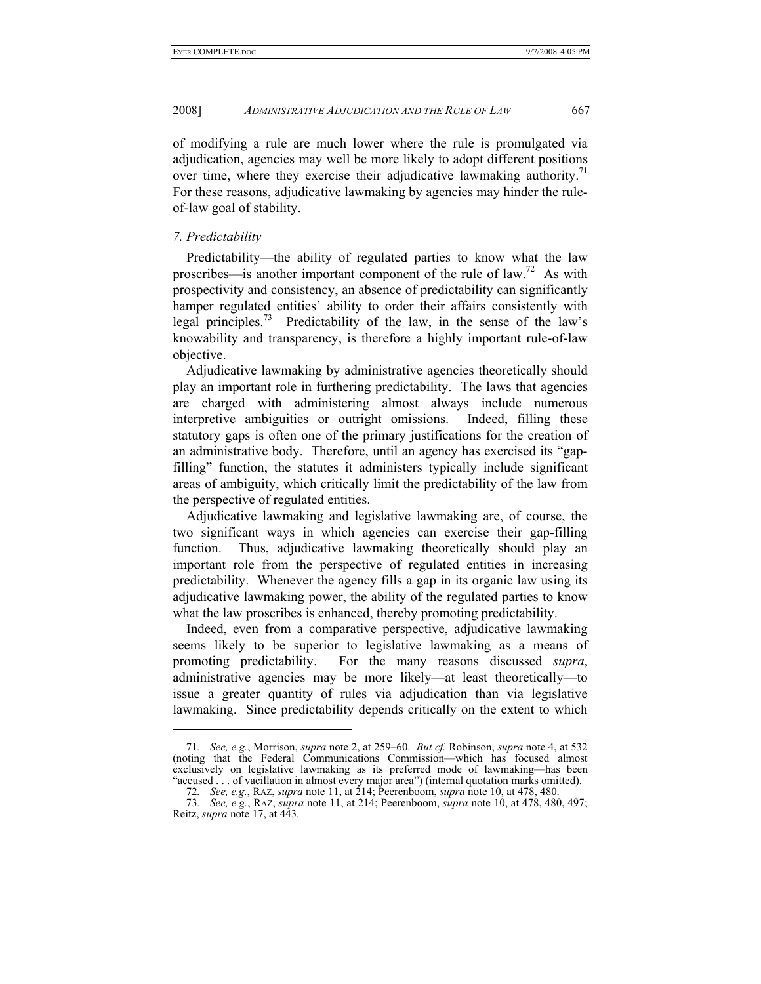of modifying a rule are much lower where the rule is promulgated via adjudication, agencies may well be more likely to adopt different positions over time, where they exercise their adjudicative lawmaking authority.<sup>71</sup> For these reasons, adjudicative lawmaking by agencies may hinder the ruleof-law goal of stability.

# *7. Predictability*

 $\overline{a}$ 

Predictability—the ability of regulated parties to know what the law proscribes—is another important component of the rule of law.<sup>72</sup> As with prospectivity and consistency, an absence of predictability can significantly hamper regulated entities' ability to order their affairs consistently with legal principles.73 Predictability of the law, in the sense of the law's knowability and transparency, is therefore a highly important rule-of-law objective.

Adjudicative lawmaking by administrative agencies theoretically should play an important role in furthering predictability. The laws that agencies are charged with administering almost always include numerous interpretive ambiguities or outright omissions. Indeed, filling these statutory gaps is often one of the primary justifications for the creation of an administrative body. Therefore, until an agency has exercised its "gapfilling" function, the statutes it administers typically include significant areas of ambiguity, which critically limit the predictability of the law from the perspective of regulated entities.

Adjudicative lawmaking and legislative lawmaking are, of course, the two significant ways in which agencies can exercise their gap-filling function. Thus, adjudicative lawmaking theoretically should play an important role from the perspective of regulated entities in increasing predictability. Whenever the agency fills a gap in its organic law using its adjudicative lawmaking power, the ability of the regulated parties to know what the law proscribes is enhanced, thereby promoting predictability.

Indeed, even from a comparative perspective, adjudicative lawmaking seems likely to be superior to legislative lawmaking as a means of promoting predictability. For the many reasons discussed *supra*, administrative agencies may be more likely—at least theoretically—to issue a greater quantity of rules via adjudication than via legislative lawmaking. Since predictability depends critically on the extent to which

<sup>71</sup>*. See, e.g.*, Morrison, *supra* note 2, at 259–60. *But cf.* Robinson, *supra* note 4, at 532 (noting that the Federal Communications Commission—which has focused almost exclusively on legislative lawmaking as its preferred mode of lawmaking—has been "accused . . . of vacillation in almost every major area") (internal quotation marks omitted).

<sup>72</sup>*. See, e.g.*, RAZ, *supra* note 11, at 214; Peerenboom, *supra* note 10, at 478, 480.

<sup>73</sup>*. See, e.g.*, RAZ, *supra* note 11, at 214; Peerenboom, *supra* note 10, at 478, 480, 497; Reitz, *supra* note 17, at 443.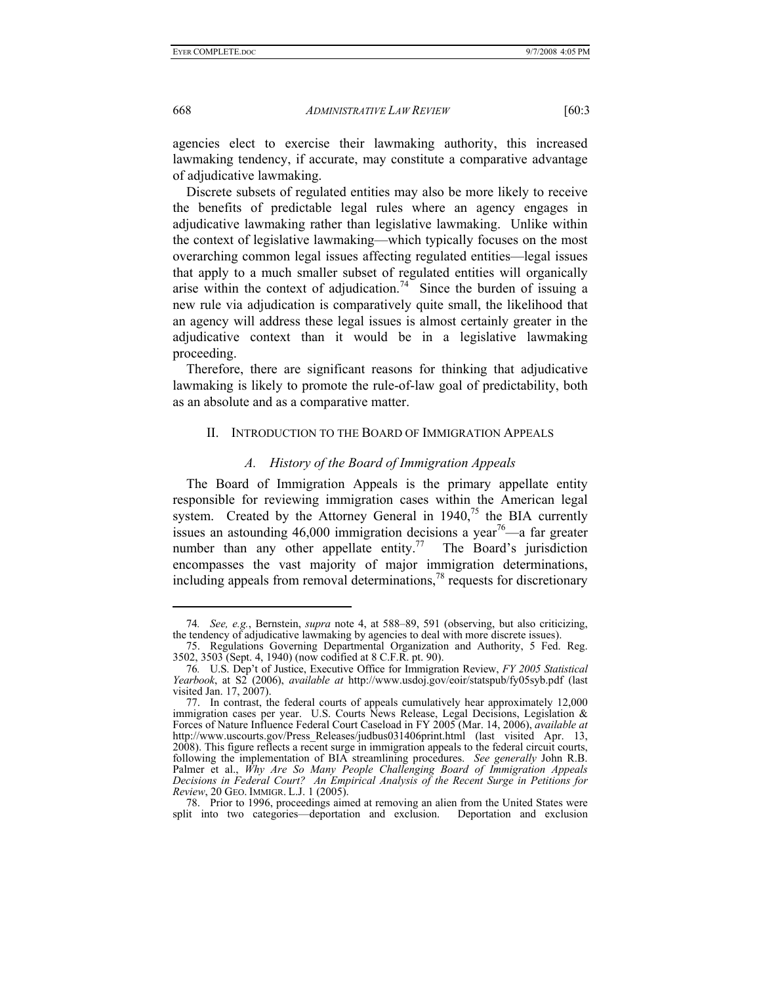agencies elect to exercise their lawmaking authority, this increased lawmaking tendency, if accurate, may constitute a comparative advantage of adjudicative lawmaking.

Discrete subsets of regulated entities may also be more likely to receive the benefits of predictable legal rules where an agency engages in adjudicative lawmaking rather than legislative lawmaking. Unlike within the context of legislative lawmaking—which typically focuses on the most overarching common legal issues affecting regulated entities—legal issues that apply to a much smaller subset of regulated entities will organically arise within the context of adjudication.<sup>74</sup> Since the burden of issuing a new rule via adjudication is comparatively quite small, the likelihood that an agency will address these legal issues is almost certainly greater in the adjudicative context than it would be in a legislative lawmaking proceeding.

Therefore, there are significant reasons for thinking that adjudicative lawmaking is likely to promote the rule-of-law goal of predictability, both as an absolute and as a comparative matter.

# II. INTRODUCTION TO THE BOARD OF IMMIGRATION APPEALS

# *A. History of the Board of Immigration Appeals*

The Board of Immigration Appeals is the primary appellate entity responsible for reviewing immigration cases within the American legal system. Created by the Attorney General in  $1940$ <sup>75</sup> the BIA currently issues an astounding  $46,000$  immigration decisions a year<sup>76</sup>—a far greater number than any other appellate entity.<sup>77</sup> The Board's jurisdiction encompasses the vast majority of major immigration determinations, including appeals from removal determinations, $^{78}$  requests for discretionary

<sup>74</sup>*. See, e.g.*, Bernstein, *supra* note 4, at 588–89, 591 (observing, but also criticizing, the tendency of adjudicative lawmaking by agencies to deal with more discrete issues).

 <sup>75.</sup> Regulations Governing Departmental Organization and Authority, 5 Fed. Reg. 3502, 3503 (Sept. 4, 1940) (now codified at 8 C.F.R. pt. 90).

<sup>76</sup>*.* U.S. Dep't of Justice, Executive Office for Immigration Review, *FY 2005 Statistical Yearbook*, at S2 (2006), *available at* http://www.usdoj.gov/eoir/statspub/fy05syb.pdf (last visited Jan. 17, 2007).

 <sup>77.</sup> In contrast, the federal courts of appeals cumulatively hear approximately 12,000 immigration cases per year. U.S. Courts News Release, Legal Decisions, Legislation & Forces of Nature Influence Federal Court Caseload in FY 2005 (Mar. 14, 2006), *available at*  http://www.uscourts.gov/Press\_Releases/judbus031406print.html (last visited Apr. 13, 2008). This figure reflects a recent surge in immigration appeals to the federal circuit courts, following the implementation of BIA streamlining procedures. *See generally* John R.B. Palmer et al., *Why Are So Many People Challenging Board of Immigration Appeals Decisions in Federal Court? An Empirical Analysis of the Recent Surge in Petitions for Review*, 20 GEO. IMMIGR. L.J. 1 (2005).

 <sup>78.</sup> Prior to 1996, proceedings aimed at removing an alien from the United States were split into two categories—deportation and exclusion. Deportation and exclusion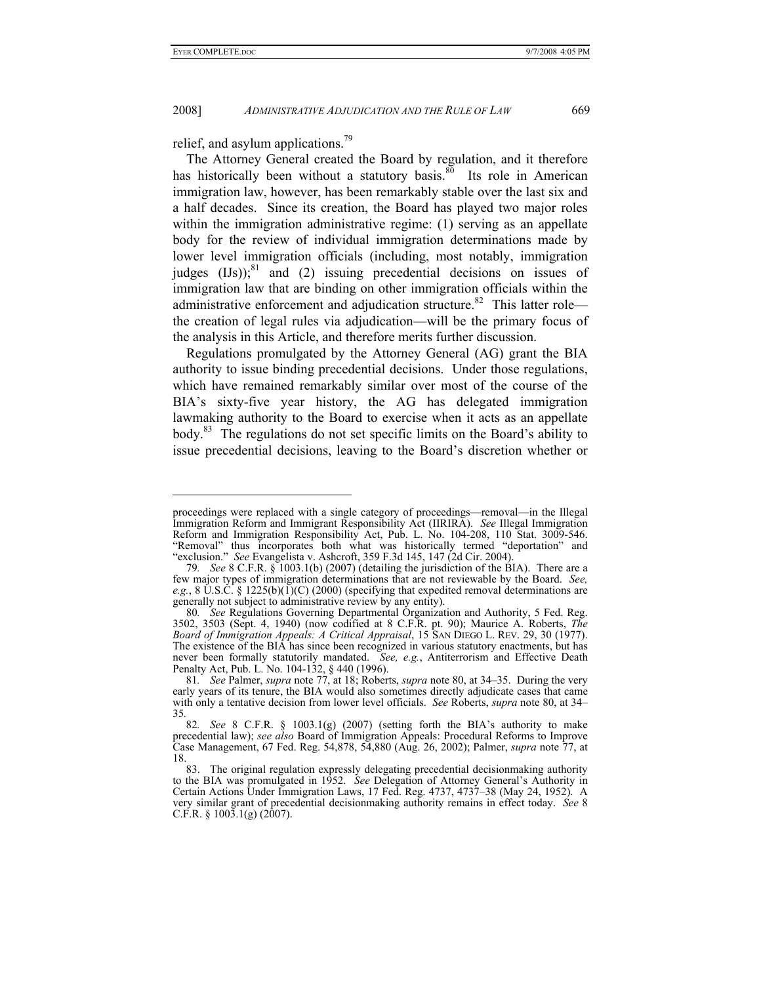relief, and asylum applications.79

 $\overline{a}$ 

The Attorney General created the Board by regulation, and it therefore has historically been without a statutory basis.<sup>80</sup> Its role in American immigration law, however, has been remarkably stable over the last six and a half decades. Since its creation, the Board has played two major roles within the immigration administrative regime: (1) serving as an appellate body for the review of individual immigration determinations made by lower level immigration officials (including, most notably, immigration judges  $(IJs)$ ;<sup>81</sup> and (2) issuing precedential decisions on issues of immigration law that are binding on other immigration officials within the administrative enforcement and adjudication structure. $82$  This latter role the creation of legal rules via adjudication—will be the primary focus of the analysis in this Article, and therefore merits further discussion.

Regulations promulgated by the Attorney General (AG) grant the BIA authority to issue binding precedential decisions. Under those regulations, which have remained remarkably similar over most of the course of the BIA's sixty-five year history, the AG has delegated immigration lawmaking authority to the Board to exercise when it acts as an appellate body.83 The regulations do not set specific limits on the Board's ability to issue precedential decisions, leaving to the Board's discretion whether or

proceedings were replaced with a single category of proceedings—removal—in the Illegal Immigration Reform and Immigrant Responsibility Act (IIRIRA). *See* Illegal Immigration Reform and Immigration Responsibility Act, Pub. L. No. 104-208, 110 Stat. 3009-546. "Removal" thus incorporates both what was historically termed "deportation" and "exclusion." *See* Evangelista v. Ashcroft, 359 F.3d 145, 147 (2d Cir. 2004).

<sup>79</sup>*. See* 8 C.F.R. § 1003.1(b) (2007) (detailing the jurisdiction of the BIA).There are a few major types of immigration determinations that are not reviewable by the Board. *See, e.g.*, 8 U.S.C. § 1225(b)(1)(C) (2000) (specifying that expedited removal determinations are generally not subject to administrative review by any entity).

<sup>80</sup>*. See* Regulations Governing Departmental Organization and Authority, 5 Fed. Reg. 3502, 3503 (Sept. 4, 1940) (now codified at 8 C.F.R. pt. 90); Maurice A. Roberts, *The Board of Immigration Appeals: A Critical Appraisal*, 15 SAN DIEGO L. REV. 29, 30 (1977). The existence of the BIA has since been recognized in various statutory enactments, but has never been formally statutorily mandated. *See, e.g.*, Antiterrorism and Effective Death Penalty Act, Pub. L. No. 104-132, § 440 (1996).

<sup>81</sup>*. See* Palmer, *supra* note 77, at 18; Roberts, *supra* note 80, at 34–35. During the very early years of its tenure, the BIA would also sometimes directly adjudicate cases that came with only a tentative decision from lower level officials. *See* Roberts, *supra* note 80, at 34– 35*.* 

<sup>82</sup>*. See* 8 C.F.R. § 1003.1(g) (2007) (setting forth the BIA's authority to make precedential law); *see also* Board of Immigration Appeals: Procedural Reforms to Improve Case Management, 67 Fed. Reg. 54,878, 54,880 (Aug. 26, 2002); Palmer, *supra* note 77, at 18.

 <sup>83.</sup> The original regulation expressly delegating precedential decisionmaking authority to the BIA was promulgated in 1952. *See* Delegation of Attorney General's Authority in Certain Actions Under Immigration Laws, 17 Fed. Reg. 4737, 4737–38 (May 24, 1952). A very similar grant of precedential decisionmaking authority remains in effect today. *See* 8 C.F.R. § 1003.1(g) (2007).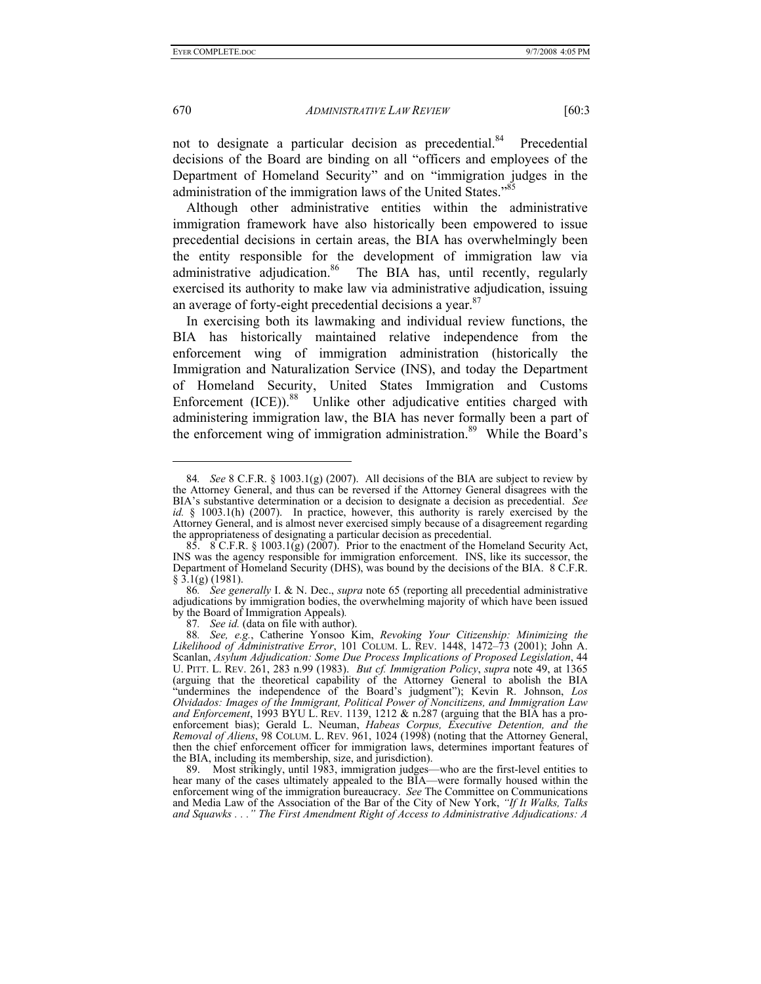not to designate a particular decision as precedential.<sup>84</sup> Precedential decisions of the Board are binding on all "officers and employees of the Department of Homeland Security" and on "immigration judges in the administration of the immigration laws of the United States."85

Although other administrative entities within the administrative immigration framework have also historically been empowered to issue precedential decisions in certain areas, the BIA has overwhelmingly been the entity responsible for the development of immigration law via administrative adjudication.<sup>86</sup> The BIA has, until recently, regularly exercised its authority to make law via administrative adjudication, issuing an average of forty-eight precedential decisions a year. $87$ 

In exercising both its lawmaking and individual review functions, the BIA has historically maintained relative independence from the enforcement wing of immigration administration (historically the Immigration and Naturalization Service (INS), and today the Department of Homeland Security, United States Immigration and Customs Enforcement (ICE)).<sup>88</sup> Unlike other adjudicative entities charged with administering immigration law, the BIA has never formally been a part of the enforcement wing of immigration administration.<sup>89</sup> While the Board's

86*. See generally* I. & N. Dec., *supra* note 65 (reporting all precedential administrative adjudications by immigration bodies, the overwhelming majority of which have been issued by the Board of Immigration Appeals)*.*

87*. See id.* (data on file with author).

 89. Most strikingly, until 1983, immigration judges—who are the first-level entities to hear many of the cases ultimately appealed to the BIA—were formally housed within the enforcement wing of the immigration bureaucracy. *See* The Committee on Communications and Media Law of the Association of the Bar of the City of New York, *"If It Walks, Talks and Squawks . . ." The First Amendment Right of Access to Administrative Adjudications: A* 

<sup>84</sup>*. See* 8 C.F.R. § 1003.1(g) (2007). All decisions of the BIA are subject to review by the Attorney General, and thus can be reversed if the Attorney General disagrees with the BIA's substantive determination or a decision to designate a decision as precedential. *See id.* § 1003.1(h) (2007). In practice, however, this authority is rarely exercised by the Attorney General, and is almost never exercised simply because of a disagreement regarding the appropriateness of designating a particular decision as precedential.

 <sup>85. 8</sup> C.F.R. § 1003.1(g) (2007). Prior to the enactment of the Homeland Security Act, INS was the agency responsible for immigration enforcement. INS, like its successor, the Department of Homeland Security (DHS), was bound by the decisions of the BIA. 8 C.F.R.  $\S$  3.1(g) (1981).

<sup>88</sup>*. See, e.g.*, Catherine Yonsoo Kim, *Revoking Your Citizenship: Minimizing the Likelihood of Administrative Error*, 101 COLUM. L. REV. 1448, 1472–73 (2001); John A. Scanlan, *Asylum Adjudication: Some Due Process Implications of Proposed Legislation*, 44 U. PITT. L. REV. 261, 283 n.99 (1983). *But cf. Immigration Policy*, *supra* note 49, at 1365 (arguing that the theoretical capability of the Attorney General to abolish the BIA "undermines the independence of the Board's judgment"); Kevin R. Johnson, *Los Olvidados: Images of the Immigrant, Political Power of Noncitizens, and Immigration Law and Enforcement*, 1993 BYU L. REV. 1139, 1212 & n.287 (arguing that the BIA has a proenforcement bias); Gerald L. Neuman, *Habeas Corpus, Executive Detention, and the Removal of Aliens*, 98 COLUM. L. REV. 961, 1024 (1998) (noting that the Attorney General, then the chief enforcement officer for immigration laws, determines important features of the BIA, including its membership, size, and jurisdiction).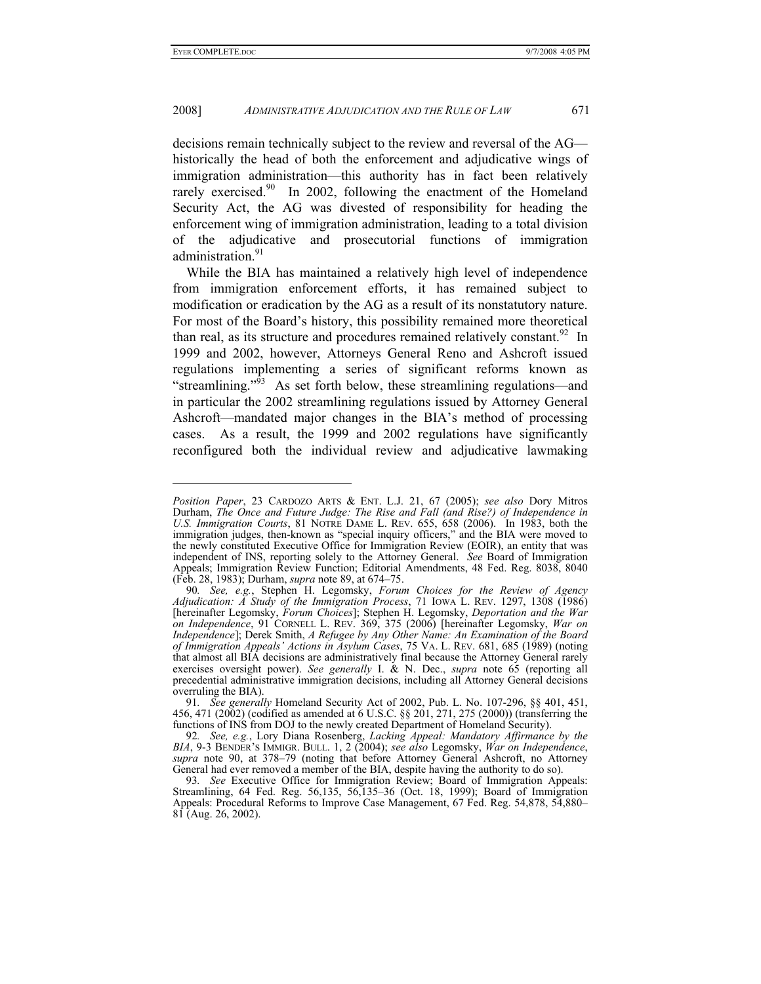decisions remain technically subject to the review and reversal of the AG historically the head of both the enforcement and adjudicative wings of immigration administration—this authority has in fact been relatively rarely exercised. $90$  In 2002, following the enactment of the Homeland Security Act, the AG was divested of responsibility for heading the enforcement wing of immigration administration, leading to a total division of the adjudicative and prosecutorial functions of immigration administration.<sup>91</sup>

While the BIA has maintained a relatively high level of independence from immigration enforcement efforts, it has remained subject to modification or eradication by the AG as a result of its nonstatutory nature. For most of the Board's history, this possibility remained more theoretical than real, as its structure and procedures remained relatively constant.<sup>92</sup> In 1999 and 2002, however, Attorneys General Reno and Ashcroft issued regulations implementing a series of significant reforms known as "streamlining."<sup>93</sup> As set forth below, these streamlining regulations—and in particular the 2002 streamlining regulations issued by Attorney General Ashcroft—mandated major changes in the BIA's method of processing cases. As a result, the 1999 and 2002 regulations have significantly reconfigured both the individual review and adjudicative lawmaking

 $\overline{a}$ 

91*. See generally* Homeland Security Act of 2002, Pub. L. No. 107-296, §§ 401, 451, 456, 471 (2002) (codified as amended at 6 U.S.C. §§ 201, 271, 275 (2000)) (transferring the functions of INS from DOJ to the newly created Department of Homeland Security).

*Position Paper*, 23 CARDOZO ARTS & ENT. L.J. 21, 67 (2005); *see also* Dory Mitros Durham, *The Once and Future Judge: The Rise and Fall (and Rise?) of Independence in U.S. Immigration Courts*, 81 NOTRE DAME L. REV. 655, 658 (2006). In 1983, both the immigration judges, then-known as "special inquiry officers," and the BIA were moved to the newly constituted Executive Office for Immigration Review (EOIR), an entity that was independent of INS, reporting solely to the Attorney General. *See* Board of Immigration Appeals; Immigration Review Function; Editorial Amendments, 48 Fed. Reg. 8038, 8040 (Feb. 28, 1983); Durham, *supra* note 89, at 674–75.

<sup>90</sup>*. See, e.g.*, Stephen H. Legomsky, *Forum Choices for the Review of Agency Adjudication: A Study of the Immigration Process*, 71 IOWA L. REV. 1297, 1308 (1986) [hereinafter Legomsky, *Forum Choices*]; Stephen H. Legomsky, *Deportation and the War on Independence*, 91 CORNELL L. REV. 369, 375 (2006) [hereinafter Legomsky, *War on Independence*]; Derek Smith, *A Refugee by Any Other Name: An Examination of the Board of Immigration Appeals' Actions in Asylum Cases*, 75 VA. L. REV. 681, 685 (1989) (noting that almost all BIA decisions are administratively final because the Attorney General rarely exercises oversight power). *See generally* I. & N. Dec., *supra* note 65 (reporting all precedential administrative immigration decisions, including all Attorney General decisions overruling the BIA).

<sup>92</sup>*. See, e.g.*, Lory Diana Rosenberg, *Lacking Appeal: Mandatory Affirmance by the BIA*, 9-3 BENDER'S IMMIGR. BULL. 1, 2 (2004); *see also* Legomsky, *War on Independence*, *supra* note 90, at 378–79 (noting that before Attorney General Ashcroft, no Attorney General had ever removed a member of the BIA, despite having the authority to do so).

<sup>93</sup>*. See* Executive Office for Immigration Review; Board of Immigration Appeals: Streamlining, 64 Fed. Reg. 56,135, 56,135–36 (Oct. 18, 1999); Board of Immigration Appeals: Procedural Reforms to Improve Case Management, 67 Fed. Reg. 54,878, 54,880– 81 (Aug. 26, 2002).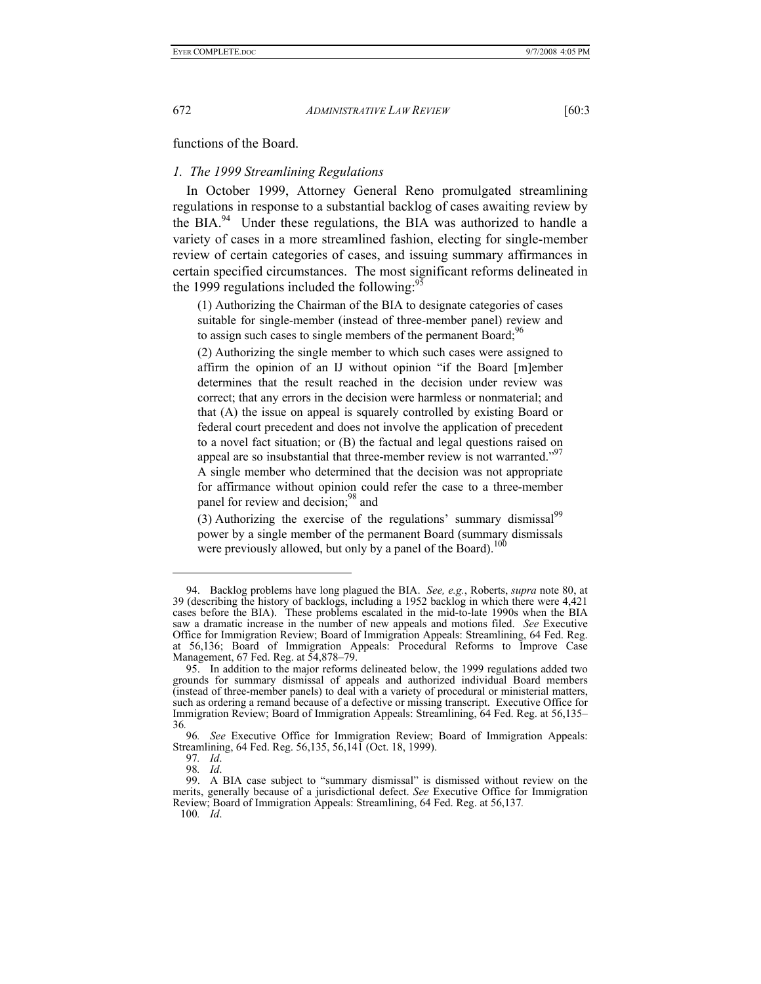functions of the Board.

### *1. The 1999 Streamlining Regulations*

In October 1999, Attorney General Reno promulgated streamlining regulations in response to a substantial backlog of cases awaiting review by the BIA.94 Under these regulations, the BIA was authorized to handle a variety of cases in a more streamlined fashion, electing for single-member review of certain categories of cases, and issuing summary affirmances in certain specified circumstances. The most significant reforms delineated in the 1999 regulations included the following: $95$ 

(1) Authorizing the Chairman of the BIA to designate categories of cases suitable for single-member (instead of three-member panel) review and to assign such cases to single members of the permanent Board;<sup>96</sup>

(2) Authorizing the single member to which such cases were assigned to affirm the opinion of an IJ without opinion "if the Board [m]ember determines that the result reached in the decision under review was correct; that any errors in the decision were harmless or nonmaterial; and that (A) the issue on appeal is squarely controlled by existing Board or federal court precedent and does not involve the application of precedent to a novel fact situation; or (B) the factual and legal questions raised on appeal are so insubstantial that three-member review is not warranted."<sup>97</sup>

A single member who determined that the decision was not appropriate for affirmance without opinion could refer the case to a three-member panel for review and decision:<sup>98</sup> and

(3) Authorizing the exercise of the regulations' summary dismissal<sup>99</sup> power by a single member of the permanent Board (summary dismissals were previously allowed, but only by a panel of the Board).<sup>100</sup>

 <sup>94.</sup> Backlog problems have long plagued the BIA. *See, e.g.*, Roberts, *supra* note 80, at 39 (describing the history of backlogs, including a 1952 backlog in which there were 4,421 cases before the BIA). These problems escalated in the mid-to-late 1990s when the BIA saw a dramatic increase in the number of new appeals and motions filed. *See* Executive Office for Immigration Review; Board of Immigration Appeals: Streamlining, 64 Fed. Reg. at 56,136; Board of Immigration Appeals: Procedural Reforms to Improve Case Management, 67 Fed. Reg. at 54,878–79.

 <sup>95.</sup> In addition to the major reforms delineated below, the 1999 regulations added two grounds for summary dismissal of appeals and authorized individual Board members (instead of three-member panels) to deal with a variety of procedural or ministerial matters, such as ordering a remand because of a defective or missing transcript. Executive Office for Immigration Review; Board of Immigration Appeals: Streamlining, 64 Fed. Reg. at 56,135– 36*.*

<sup>96</sup>*. See* Executive Office for Immigration Review; Board of Immigration Appeals: Streamlining, 64 Fed. Reg. 56,135, 56,141 (Oct. 18, 1999).

<sup>97</sup>*. Id*.

<sup>98</sup>*. Id*.

 <sup>99.</sup> A BIA case subject to "summary dismissal" is dismissed without review on the merits, generally because of a jurisdictional defect. *See* Executive Office for Immigration Review; Board of Immigration Appeals: Streamlining, 64 Fed. Reg. at 56,137*.*

<sup>100</sup>*. Id*.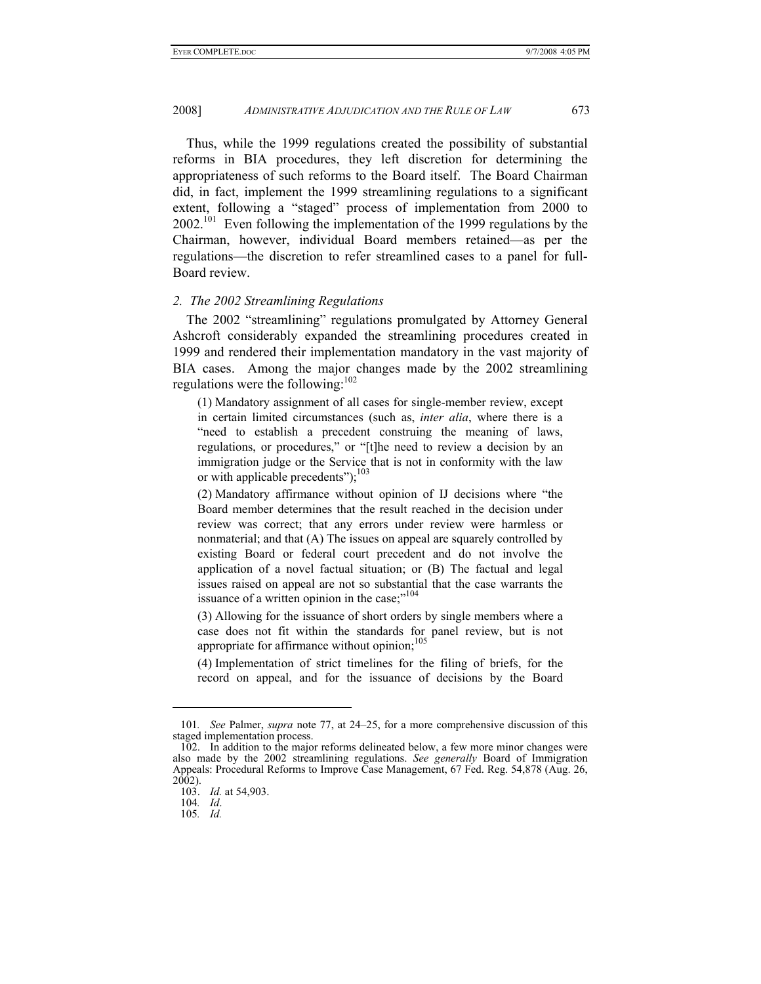Thus, while the 1999 regulations created the possibility of substantial reforms in BIA procedures, they left discretion for determining the appropriateness of such reforms to the Board itself. The Board Chairman did, in fact, implement the 1999 streamlining regulations to a significant extent, following a "staged" process of implementation from 2000 to 2002.<sup>101</sup> Even following the implementation of the 1999 regulations by the Chairman, however, individual Board members retained—as per the regulations—the discretion to refer streamlined cases to a panel for full-Board review.

# *2. The 2002 Streamlining Regulations*

The 2002 "streamlining" regulations promulgated by Attorney General Ashcroft considerably expanded the streamlining procedures created in 1999 and rendered their implementation mandatory in the vast majority of BIA cases. Among the major changes made by the 2002 streamlining regulations were the following: $102$ 

(1) Mandatory assignment of all cases for single-member review, except in certain limited circumstances (such as, *inter alia*, where there is a "need to establish a precedent construing the meaning of laws, regulations, or procedures," or "[t]he need to review a decision by an immigration judge or the Service that is not in conformity with the law or with applicable precedents");<sup>103</sup>

(2) Mandatory affirmance without opinion of IJ decisions where "the Board member determines that the result reached in the decision under review was correct; that any errors under review were harmless or nonmaterial; and that (A) The issues on appeal are squarely controlled by existing Board or federal court precedent and do not involve the application of a novel factual situation; or (B) The factual and legal issues raised on appeal are not so substantial that the case warrants the issuance of a written opinion in the case; $^{104}$ 

(3) Allowing for the issuance of short orders by single members where a case does not fit within the standards for panel review, but is not appropriate for affirmance without opinion;<sup>105</sup>

(4) Implementation of strict timelines for the filing of briefs, for the record on appeal, and for the issuance of decisions by the Board

<sup>101</sup>*. See* Palmer, *supra* note 77, at 24–25, for a more comprehensive discussion of this staged implementation process.

 <sup>102.</sup> In addition to the major reforms delineated below, a few more minor changes were also made by the 2002 streamlining regulations. *See generally* Board of Immigration Appeals: Procedural Reforms to Improve Case Management, 67 Fed. Reg. 54,878 (Aug. 26,  $2002$ ).

 <sup>103.</sup> *Id.* at 54,903.

<sup>104</sup>*. Id*.

<sup>105</sup>*. Id.*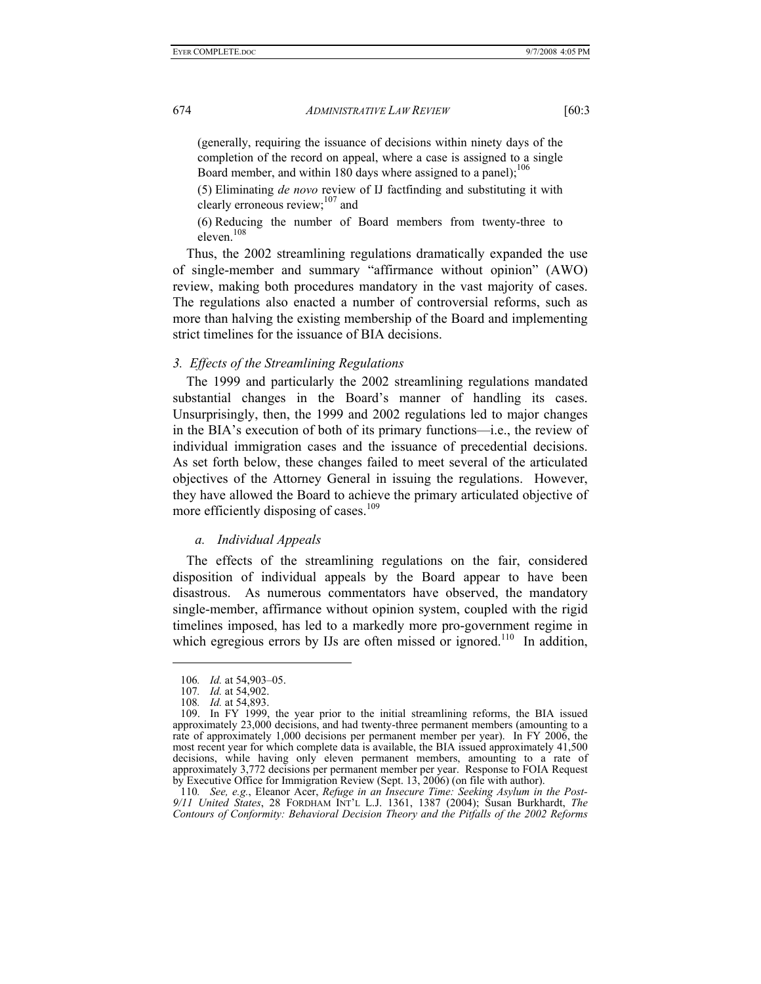(generally, requiring the issuance of decisions within ninety days of the completion of the record on appeal, where a case is assigned to a single Board member, and within 180 days where assigned to a panel);<sup>106</sup>

(5) Eliminating *de novo* review of IJ factfinding and substituting it with clearly erroneous review; $^{107}$  and

(6) Reducing the number of Board members from twenty-three to eleven $108$ 

Thus, the 2002 streamlining regulations dramatically expanded the use of single-member and summary "affirmance without opinion" (AWO) review, making both procedures mandatory in the vast majority of cases. The regulations also enacted a number of controversial reforms, such as more than halving the existing membership of the Board and implementing strict timelines for the issuance of BIA decisions.

# *3. Effects of the Streamlining Regulations*

The 1999 and particularly the 2002 streamlining regulations mandated substantial changes in the Board's manner of handling its cases. Unsurprisingly, then, the 1999 and 2002 regulations led to major changes in the BIA's execution of both of its primary functions—i.e., the review of individual immigration cases and the issuance of precedential decisions. As set forth below, these changes failed to meet several of the articulated objectives of the Attorney General in issuing the regulations. However, they have allowed the Board to achieve the primary articulated objective of more efficiently disposing of cases.<sup>109</sup>

# *a. Individual Appeals*

The effects of the streamlining regulations on the fair, considered disposition of individual appeals by the Board appear to have been disastrous. As numerous commentators have observed, the mandatory single-member, affirmance without opinion system, coupled with the rigid timelines imposed, has led to a markedly more pro-government regime in which egregious errors by IJs are often missed or ignored.<sup>110</sup> In addition,

 $\overline{a}$ 

110*. See, e.g.*, Eleanor Acer, *Refuge in an Insecure Time: Seeking Asylum in the Post-9/11 United States*, 28 FORDHAM INT'L L.J. 1361, 1387 (2004); Susan Burkhardt, *The Contours of Conformity: Behavioral Decision Theory and the Pitfalls of the 2002 Reforms* 

<sup>106</sup>*. Id.* at 54,903–05.

<sup>107</sup>*. Id.* at 54,902.

<sup>108</sup>*. Id.* at 54,893.

 <sup>109.</sup> In FY 1999, the year prior to the initial streamlining reforms, the BIA issued approximately 23,000 decisions, and had twenty-three permanent members (amounting to a rate of approximately 1,000 decisions per permanent member per year). In FY 2006, the most recent year for which complete data is available, the BIA issued approximately 41,500 decisions, while having only eleven permanent members, amounting to a rate of approximately 3,772 decisions per permanent member per year. Response to FOIA Request by Executive Office for Immigration Review (Sept. 13, 2006) (on file with author).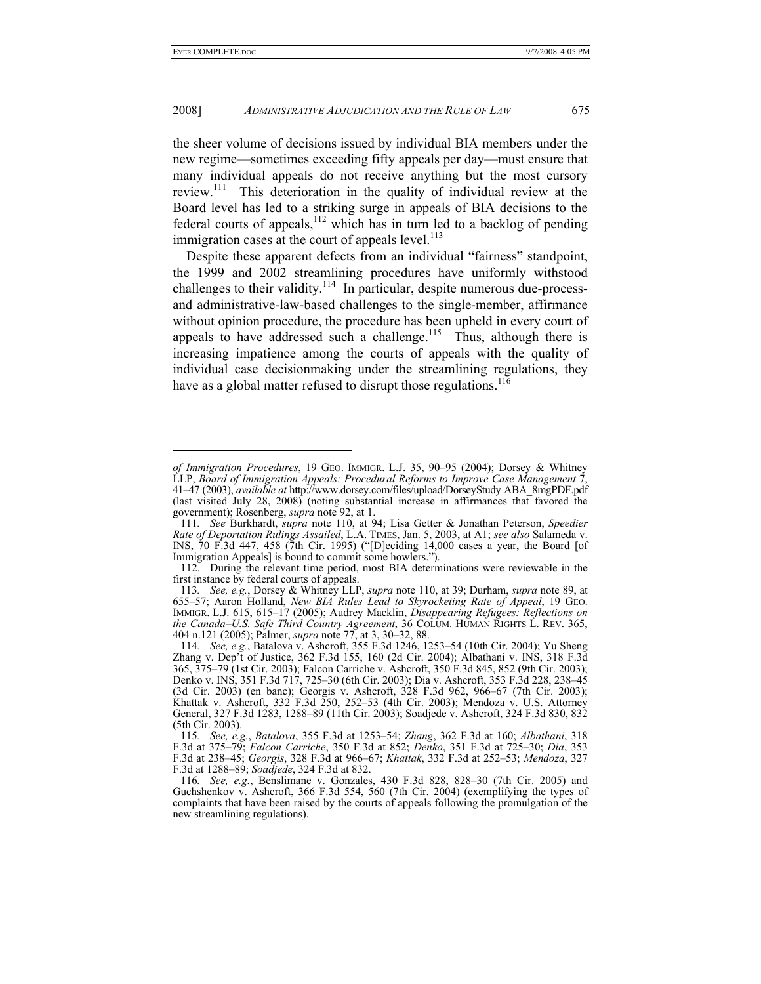the sheer volume of decisions issued by individual BIA members under the new regime—sometimes exceeding fifty appeals per day—must ensure that many individual appeals do not receive anything but the most cursory review.111 This deterioration in the quality of individual review at the Board level has led to a striking surge in appeals of BIA decisions to the federal courts of appeals, $112$  which has in turn led to a backlog of pending immigration cases at the court of appeals level. $^{113}$ 

Despite these apparent defects from an individual "fairness" standpoint, the 1999 and 2002 streamlining procedures have uniformly withstood challenges to their validity.<sup>114</sup> In particular, despite numerous due-processand administrative-law-based challenges to the single-member, affirmance without opinion procedure, the procedure has been upheld in every court of appeals to have addressed such a challenge.<sup>115</sup> Thus, although there is increasing impatience among the courts of appeals with the quality of individual case decisionmaking under the streamlining regulations, they have as a global matter refused to disrupt those regulations.<sup>116</sup>

*of Immigration Procedures*, 19 GEO. IMMIGR. L.J. 35, 90–95 (2004); Dorsey & Whitney LLP, *Board of Immigration Appeals: Procedural Reforms to Improve Case Management* 7, 41–47 (2003), *available at* http://www.dorsey.com/files/upload/DorseyStudy ABA\_8mgPDF.pdf (last visited July 28, 2008) (noting substantial increase in affirmances that favored the government); Rosenberg, *supra* note 92, at 1.

<sup>111</sup>*. See* Burkhardt, *supra* note 110, at 94; Lisa Getter & Jonathan Peterson, *Speedier Rate of Deportation Rulings Assailed*, L.A. TIMES, Jan. 5, 2003, at A1; *see also* Salameda v. INS, 70 F.3d 447, 458 (7th Cir. 1995) ("[D]eciding 14,000 cases a year, the Board [of Immigration Appeals] is bound to commit some howlers.").

 <sup>112.</sup> During the relevant time period, most BIA determinations were reviewable in the first instance by federal courts of appeals.

<sup>113</sup>*. See, e.g.*, Dorsey & Whitney LLP, *supra* note 110, at 39; Durham, *supra* note 89, at 655–57; Aaron Holland, *New BIA Rules Lead to Skyrocketing Rate of Appeal*, 19 GEO. IMMIGR. L.J. 615, 615–17 (2005); Audrey Macklin, *Disappearing Refugees: Reflections on the Canada–U.S. Safe Third Country Agreement*, 36 COLUM. HUMAN RIGHTS L. REV. 365, 404 n.121 (2005); Palmer, *supra* note 77, at 3, 30–32, 88.

<sup>114</sup>*. See, e.g.*, Batalova v. Ashcroft, 355 F.3d 1246, 1253–54 (10th Cir. 2004); Yu Sheng Zhang v. Dep't of Justice, 362 F.3d 155, 160 (2d Cir. 2004); Albathani v. INS, 318 F.3d 365, 375–79 (1st Cir. 2003); Falcon Carriche v. Ashcroft, 350 F.3d 845, 852 (9th Cir. 2003); Denko v. INS, 351 F.3d 717, 725–30 (6th Cir. 2003); Dia v. Ashcroft, 353 F.3d 228, 238–45 (3d Cir. 2003) (en banc); Georgis v. Ashcroft, 328 F.3d 962, 966–67 (7th Cir. 2003); Khattak v. Ashcroft, 332 F.3d 250, 252–53 (4th Cir. 2003); Mendoza v. U.S. Attorney General, 327 F.3d 1283, 1288–89 (11th Cir. 2003); Soadjede v. Ashcroft, 324 F.3d 830, 832 (5th Cir. 2003).

<sup>115</sup>*. See, e.g.*, *Batalova*, 355 F.3d at 1253–54; *Zhang*, 362 F.3d at 160; *Albathani*, 318 F.3d at 375–79; *Falcon Carriche*, 350 F.3d at 852; *Denko*, 351 F.3d at 725–30; *Dia*, 353 F.3d at 238–45; *Georgis*, 328 F.3d at 966–67; *Khattak*, 332 F.3d at 252–53; *Mendoza*, 327 F.3d at 1288–89; *Soadjede*, 324 F.3d at 832.

<sup>116</sup>*. See, e.g.*, Benslimane v. Gonzales, 430 F.3d 828, 828–30 (7th Cir. 2005) and Guchshenkov v. Ashcroft, 366 F.3d 554, 560 (7th Cir. 2004) (exemplifying the types of complaints that have been raised by the courts of appeals following the promulgation of the new streamlining regulations).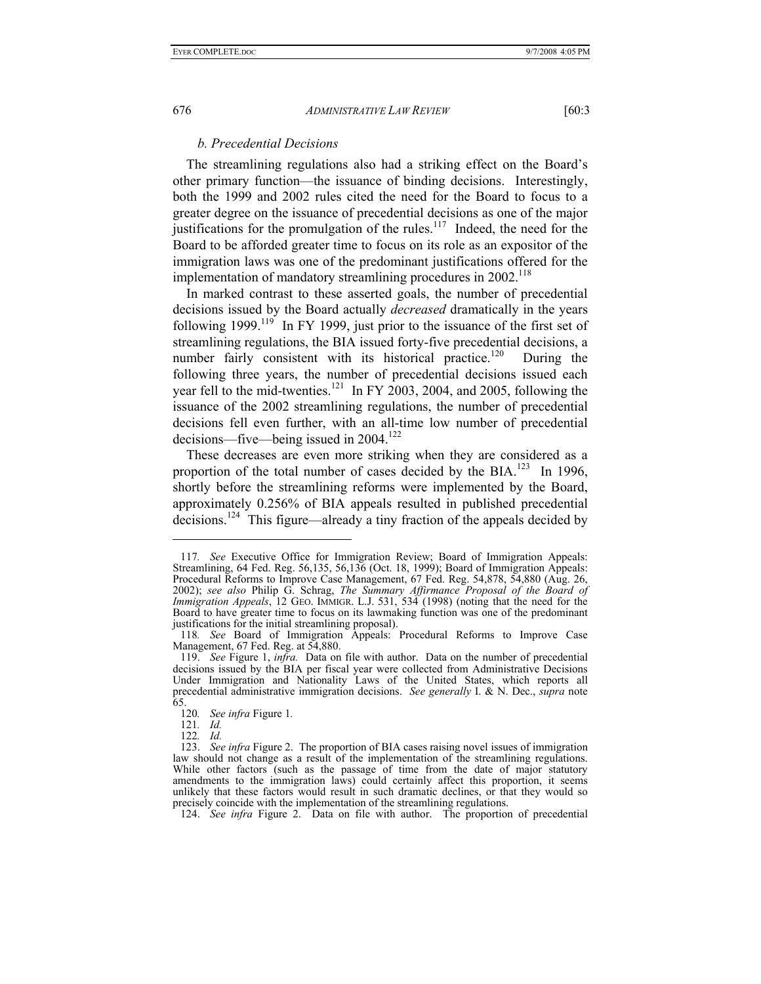# *b. Precedential Decisions*

The streamlining regulations also had a striking effect on the Board's other primary function—the issuance of binding decisions. Interestingly, both the 1999 and 2002 rules cited the need for the Board to focus to a greater degree on the issuance of precedential decisions as one of the major justifications for the promulgation of the rules. $117$  Indeed, the need for the Board to be afforded greater time to focus on its role as an expositor of the immigration laws was one of the predominant justifications offered for the implementation of mandatory streamlining procedures in  $2002$ <sup>118</sup>

In marked contrast to these asserted goals, the number of precedential decisions issued by the Board actually *decreased* dramatically in the years following 1999.<sup>119</sup> In FY 1999, just prior to the issuance of the first set of streamlining regulations, the BIA issued forty-five precedential decisions, a number fairly consistent with its historical practice.<sup>120</sup> During the following three years, the number of precedential decisions issued each year fell to the mid-twenties.<sup>121</sup> In FY 2003, 2004, and 2005, following the issuance of the 2002 streamlining regulations, the number of precedential decisions fell even further, with an all-time low number of precedential decisions—five—being issued in  $2004$ <sup>122</sup>

These decreases are even more striking when they are considered as a proportion of the total number of cases decided by the BIA.<sup>123</sup> In 1996, shortly before the streamlining reforms were implemented by the Board, approximately 0.256% of BIA appeals resulted in published precedential decisions.124 This figure—already a tiny fraction of the appeals decided by

<sup>117</sup>*. See* Executive Office for Immigration Review; Board of Immigration Appeals: Streamlining, 64 Fed. Reg. 56,135, 56,136 (Oct. 18, 1999); Board of Immigration Appeals: Procedural Reforms to Improve Case Management, 67 Fed. Reg. 54,878, 54,880 (Aug. 26, 2002); *see also* Philip G. Schrag, *The Summary Affirmance Proposal of the Board of Immigration Appeals*, 12 GEO. IMMIGR. L.J. 531, 534 (1998) (noting that the need for the Board to have greater time to focus on its lawmaking function was one of the predominant justifications for the initial streamlining proposal).

<sup>118</sup>*. See* Board of Immigration Appeals: Procedural Reforms to Improve Case Management, 67 Fed. Reg. at 54,880.

 <sup>119.</sup> *See* Figure 1, *infra.* Data on file with author. Data on the number of precedential decisions issued by the BIA per fiscal year were collected from Administrative Decisions Under Immigration and Nationality Laws of the United States, which reports all precedential administrative immigration decisions. *See generally* I. & N. Dec., *supra* note 65.

<sup>120</sup>*. See infra* Figure 1*.*

<sup>121</sup>*. Id.*

<sup>122</sup>*. Id.*

 <sup>123.</sup> *See infra* Figure 2. The proportion of BIA cases raising novel issues of immigration law should not change as a result of the implementation of the streamlining regulations. While other factors (such as the passage of time from the date of major statutory amendments to the immigration laws) could certainly affect this proportion, it seems unlikely that these factors would result in such dramatic declines, or that they would so precisely coincide with the implementation of the streamlining regulations.

 <sup>124.</sup> *See infra* Figure 2. Data on file with author. The proportion of precedential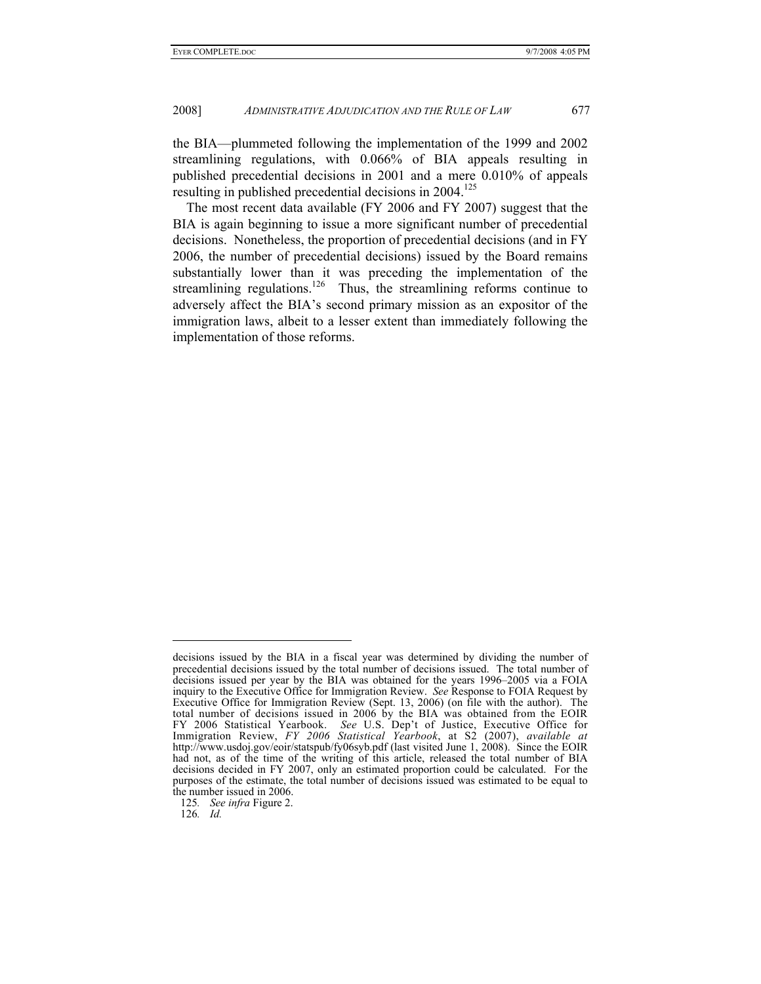the BIA—plummeted following the implementation of the 1999 and 2002 streamlining regulations, with 0.066% of BIA appeals resulting in published precedential decisions in 2001 and a mere 0.010% of appeals resulting in published precedential decisions in  $2004$ <sup>125</sup>

The most recent data available (FY 2006 and FY 2007) suggest that the BIA is again beginning to issue a more significant number of precedential decisions. Nonetheless, the proportion of precedential decisions (and in FY 2006, the number of precedential decisions) issued by the Board remains substantially lower than it was preceding the implementation of the streamlining regulations.<sup>126</sup> Thus, the streamlining reforms continue to adversely affect the BIA's second primary mission as an expositor of the immigration laws, albeit to a lesser extent than immediately following the implementation of those reforms.

decisions issued by the BIA in a fiscal year was determined by dividing the number of precedential decisions issued by the total number of decisions issued. The total number of decisions issued per year by the BIA was obtained for the years 1996–2005 via a FOIA inquiry to the Executive Office for Immigration Review. *See* Response to FOIA Request by Executive Office for Immigration Review (Sept. 13, 2006) (on file with the author). The total number of decisions issued in 2006 by the BIA was obtained from the EOIR FY 2006 Statistical Yearbook. *See* U.S. Dep't of Justice, Executive Office for Immigration Review, *FY 2006 Statistical Yearbook*, at S2 (2007), *available at* http://www.usdoj.gov/eoir/statspub/fy06syb.pdf (last visited June 1, 2008). Since the EOIR had not, as of the time of the writing of this article, released the total number of BIA decisions decided in FY 2007, only an estimated proportion could be calculated. For the purposes of the estimate, the total number of decisions issued was estimated to be equal to the number issued in 2006.

<sup>125</sup>*. See infra* Figure 2.

<sup>126</sup>*. Id.*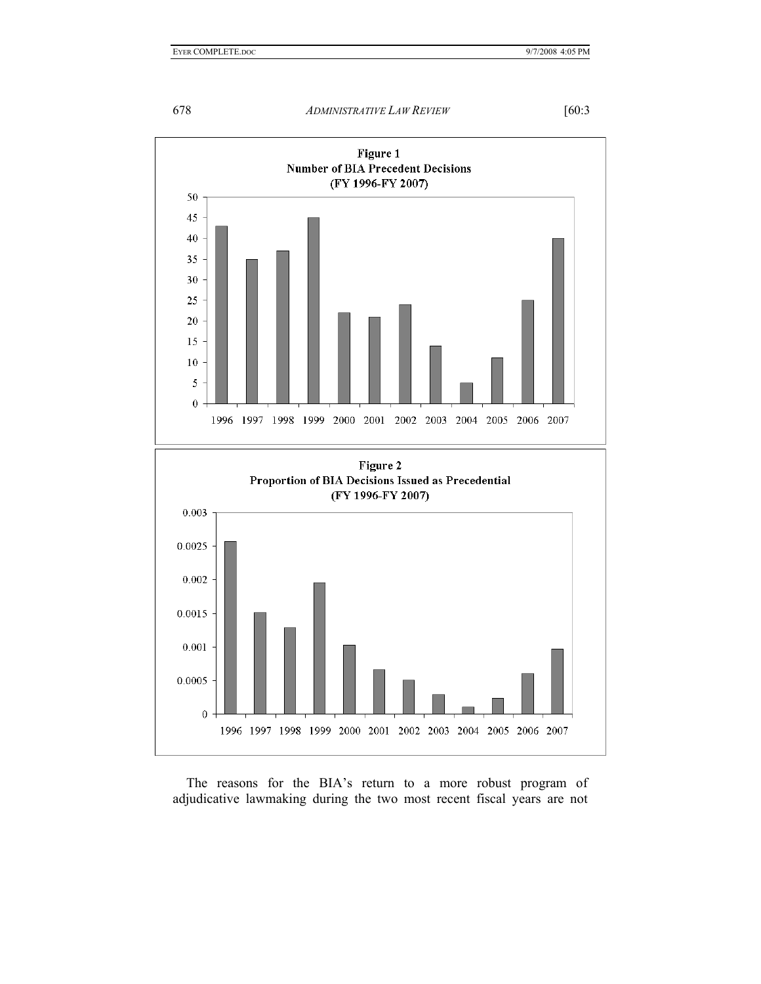

The reasons for the BIA's return to a more robust program of adjudicative lawmaking during the two most recent fiscal years are not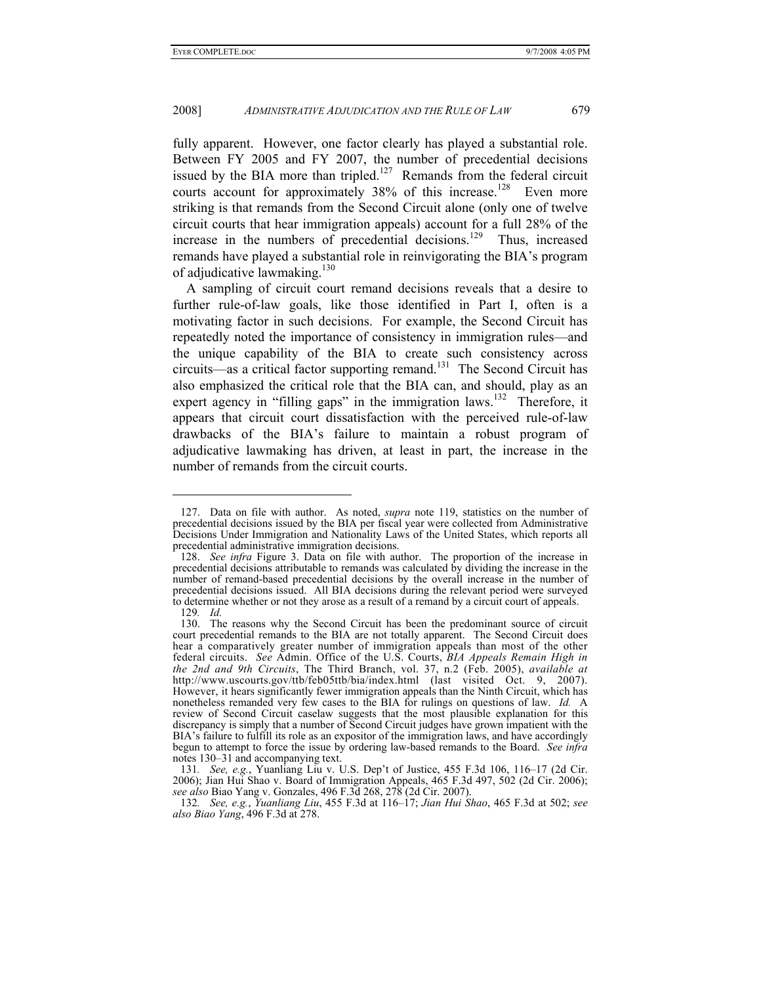fully apparent. However, one factor clearly has played a substantial role. Between FY 2005 and FY 2007, the number of precedential decisions issued by the BIA more than tripled.<sup>127</sup> Remands from the federal circuit courts account for approximately 38% of this increase.<sup>128</sup> Even more striking is that remands from the Second Circuit alone (only one of twelve circuit courts that hear immigration appeals) account for a full 28% of the increase in the numbers of precedential decisions.<sup>129</sup> Thus, increased remands have played a substantial role in reinvigorating the BIA's program of adjudicative lawmaking. $130$ 

A sampling of circuit court remand decisions reveals that a desire to further rule-of-law goals, like those identified in Part I, often is a motivating factor in such decisions. For example, the Second Circuit has repeatedly noted the importance of consistency in immigration rules—and the unique capability of the BIA to create such consistency across  $circuits$ —as a critical factor supporting remand.<sup>131</sup> The Second Circuit has also emphasized the critical role that the BIA can, and should, play as an expert agency in "filling gaps" in the immigration laws.<sup>132</sup> Therefore, it appears that circuit court dissatisfaction with the perceived rule-of-law drawbacks of the BIA's failure to maintain a robust program of adjudicative lawmaking has driven, at least in part, the increase in the number of remands from the circuit courts.

 <sup>127.</sup> Data on file with author. As noted, *supra* note 119, statistics on the number of precedential decisions issued by the BIA per fiscal year were collected from Administrative Decisions Under Immigration and Nationality Laws of the United States, which reports all precedential administrative immigration decisions.

 <sup>128.</sup> *See infra* Figure 3. Data on file with author. The proportion of the increase in precedential decisions attributable to remands was calculated by dividing the increase in the number of remand-based precedential decisions by the overall increase in the number of precedential decisions issued. All BIA decisions during the relevant period were surveyed to determine whether or not they arose as a result of a remand by a circuit court of appeals.

<sup>129</sup>*. Id.*

 <sup>130.</sup> The reasons why the Second Circuit has been the predominant source of circuit court precedential remands to the BIA are not totally apparent. The Second Circuit does hear a comparatively greater number of immigration appeals than most of the other federal circuits. *See* Admin. Office of the U.S. Courts, *BIA Appeals Remain High in the 2nd and 9th Circuits*, The Third Branch, vol. 37, n.2 (Feb. 2005), *available at*  http://www.uscourts.gov/ttb/feb05ttb/bia/index.html (last visited Oct. 9, 2007). However, it hears significantly fewer immigration appeals than the Ninth Circuit, which has nonetheless remanded very few cases to the BIA for rulings on questions of law. *Id.* A review of Second Circuit caselaw suggests that the most plausible explanation for this discrepancy is simply that a number of Second Circuit judges have grown impatient with the BIA's failure to fulfill its role as an expositor of the immigration laws, and have accordingly begun to attempt to force the issue by ordering law-based remands to the Board. *See infra*  notes 130–31 and accompanying text.

<sup>131</sup>*. See, e.g.*, Yuanliang Liu v. U.S. Dep't of Justice, 455 F.3d 106, 116–17 (2d Cir. 2006); Jian Hui Shao v. Board of Immigration Appeals, 465 F.3d 497, 502 (2d Cir. 2006); *see also* Biao Yang v. Gonzales, 496 F.3d 268, 278 (2d Cir. 2007).

<sup>132</sup>*. See, e.g.*, *Yuanliang Liu*, 455 F.3d at 116–17; *Jian Hui Shao*, 465 F.3d at 502; *see also Biao Yang*, 496 F.3d at 278.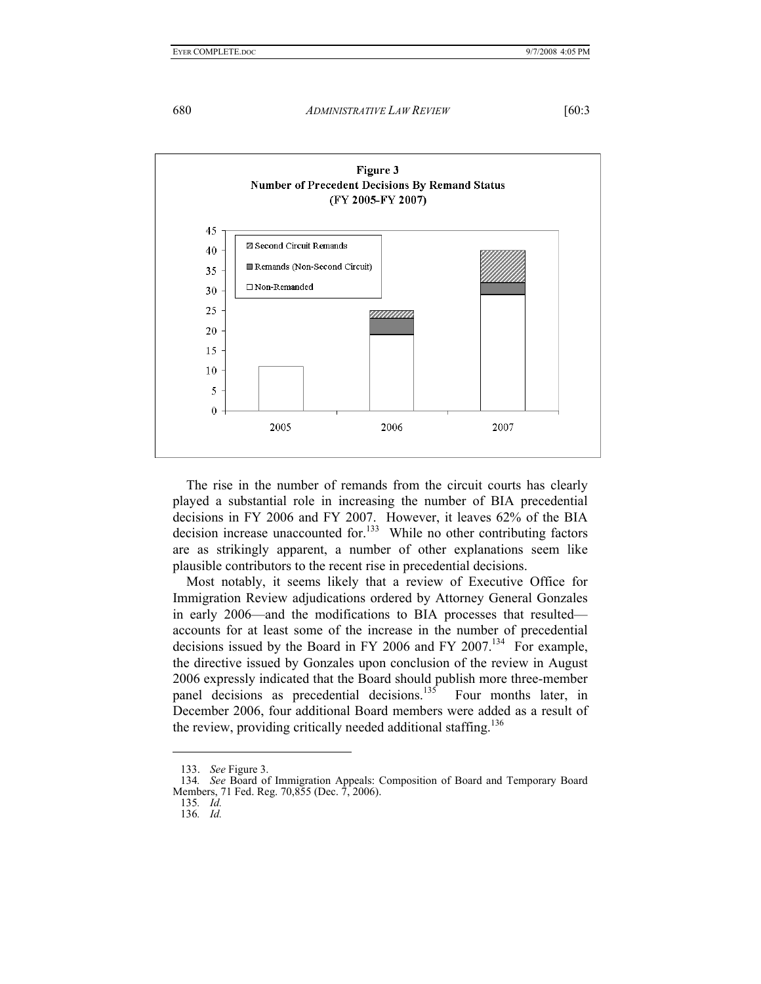

 The rise in the number of remands from the circuit courts has clearly played a substantial role in increasing the number of BIA precedential decisions in FY 2006 and FY 2007. However, it leaves 62% of the BIA decision increase unaccounted for.<sup>133</sup> While no other contributing factors are as strikingly apparent, a number of other explanations seem like plausible contributors to the recent rise in precedential decisions.

Most notably, it seems likely that a review of Executive Office for Immigration Review adjudications ordered by Attorney General Gonzales in early 2006—and the modifications to BIA processes that resulted accounts for at least some of the increase in the number of precedential decisions issued by the Board in FY 2006 and FY 2007.<sup>134</sup> For example, the directive issued by Gonzales upon conclusion of the review in August 2006 expressly indicated that the Board should publish more three-member panel decisions as precedential decisions.<sup>135</sup> Four months later, in December 2006, four additional Board members were added as a result of the review, providing critically needed additional staffing.<sup>136</sup>

 <sup>133.</sup> *See* Figure 3.

<sup>134</sup>*. See* Board of Immigration Appeals: Composition of Board and Temporary Board Members, 71 Fed. Reg. 70,855 (Dec. 7, 2006).

<sup>135</sup>*. Id.*

<sup>136</sup>*. Id.*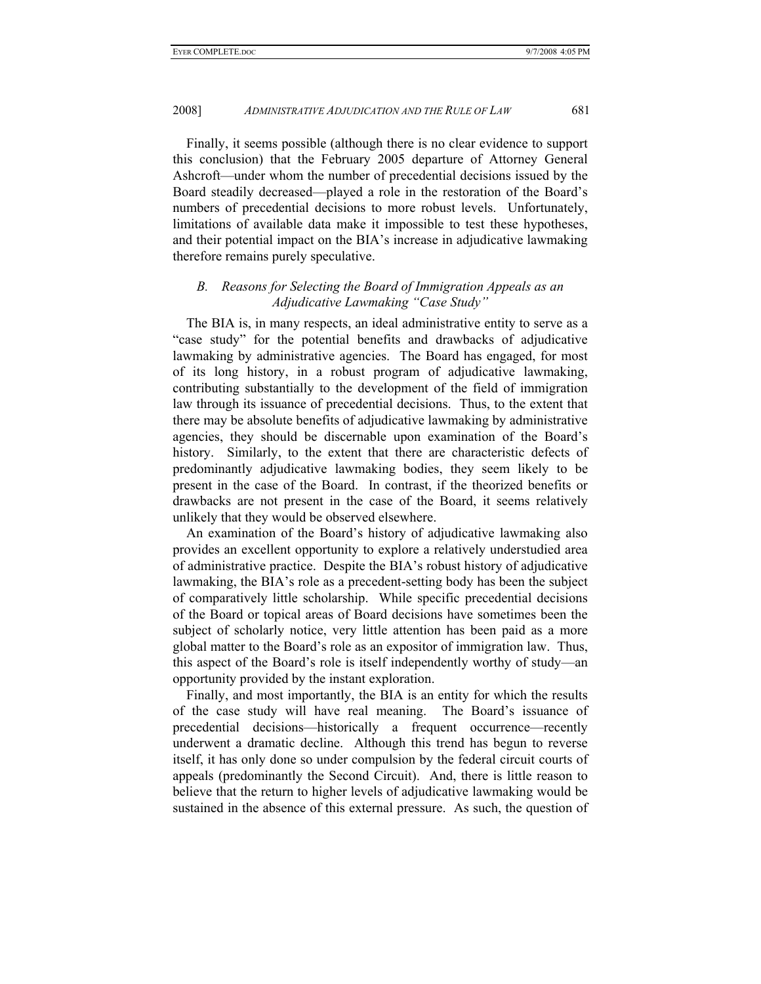Finally, it seems possible (although there is no clear evidence to support this conclusion) that the February 2005 departure of Attorney General Ashcroft—under whom the number of precedential decisions issued by the Board steadily decreased—played a role in the restoration of the Board's numbers of precedential decisions to more robust levels. Unfortunately, limitations of available data make it impossible to test these hypotheses, and their potential impact on the BIA's increase in adjudicative lawmaking therefore remains purely speculative.

# *B. Reasons for Selecting the Board of Immigration Appeals as an Adjudicative Lawmaking "Case Study"*

The BIA is, in many respects, an ideal administrative entity to serve as a "case study" for the potential benefits and drawbacks of adjudicative lawmaking by administrative agencies. The Board has engaged, for most of its long history, in a robust program of adjudicative lawmaking, contributing substantially to the development of the field of immigration law through its issuance of precedential decisions. Thus, to the extent that there may be absolute benefits of adjudicative lawmaking by administrative agencies, they should be discernable upon examination of the Board's history. Similarly, to the extent that there are characteristic defects of predominantly adjudicative lawmaking bodies, they seem likely to be present in the case of the Board. In contrast, if the theorized benefits or drawbacks are not present in the case of the Board, it seems relatively unlikely that they would be observed elsewhere.

An examination of the Board's history of adjudicative lawmaking also provides an excellent opportunity to explore a relatively understudied area of administrative practice. Despite the BIA's robust history of adjudicative lawmaking, the BIA's role as a precedent-setting body has been the subject of comparatively little scholarship. While specific precedential decisions of the Board or topical areas of Board decisions have sometimes been the subject of scholarly notice, very little attention has been paid as a more global matter to the Board's role as an expositor of immigration law. Thus, this aspect of the Board's role is itself independently worthy of study—an opportunity provided by the instant exploration.

Finally, and most importantly, the BIA is an entity for which the results of the case study will have real meaning. The Board's issuance of precedential decisions—historically a frequent occurrence—recently underwent a dramatic decline. Although this trend has begun to reverse itself, it has only done so under compulsion by the federal circuit courts of appeals (predominantly the Second Circuit). And, there is little reason to believe that the return to higher levels of adjudicative lawmaking would be sustained in the absence of this external pressure. As such, the question of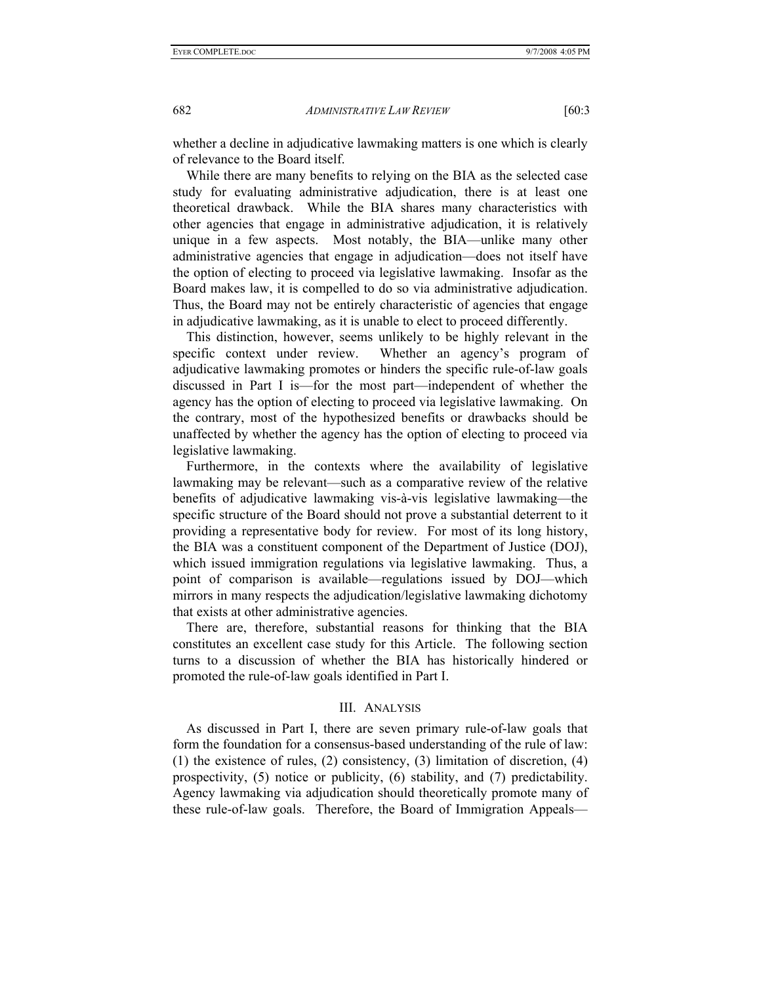whether a decline in adjudicative lawmaking matters is one which is clearly of relevance to the Board itself.

While there are many benefits to relying on the BIA as the selected case study for evaluating administrative adjudication, there is at least one theoretical drawback. While the BIA shares many characteristics with other agencies that engage in administrative adjudication, it is relatively unique in a few aspects. Most notably, the BIA—unlike many other administrative agencies that engage in adjudication—does not itself have the option of electing to proceed via legislative lawmaking. Insofar as the Board makes law, it is compelled to do so via administrative adjudication. Thus, the Board may not be entirely characteristic of agencies that engage in adjudicative lawmaking, as it is unable to elect to proceed differently.

This distinction, however, seems unlikely to be highly relevant in the specific context under review. Whether an agency's program of adjudicative lawmaking promotes or hinders the specific rule-of-law goals discussed in Part I is—for the most part—independent of whether the agency has the option of electing to proceed via legislative lawmaking. On the contrary, most of the hypothesized benefits or drawbacks should be unaffected by whether the agency has the option of electing to proceed via legislative lawmaking.

Furthermore, in the contexts where the availability of legislative lawmaking may be relevant—such as a comparative review of the relative benefits of adjudicative lawmaking vis-à-vis legislative lawmaking—the specific structure of the Board should not prove a substantial deterrent to it providing a representative body for review. For most of its long history, the BIA was a constituent component of the Department of Justice (DOJ), which issued immigration regulations via legislative lawmaking. Thus, a point of comparison is available—regulations issued by DOJ—which mirrors in many respects the adjudication/legislative lawmaking dichotomy that exists at other administrative agencies.

There are, therefore, substantial reasons for thinking that the BIA constitutes an excellent case study for this Article. The following section turns to a discussion of whether the BIA has historically hindered or promoted the rule-of-law goals identified in Part I.

# III. ANALYSIS

As discussed in Part I, there are seven primary rule-of-law goals that form the foundation for a consensus-based understanding of the rule of law: (1) the existence of rules, (2) consistency, (3) limitation of discretion, (4) prospectivity, (5) notice or publicity, (6) stability, and (7) predictability. Agency lawmaking via adjudication should theoretically promote many of these rule-of-law goals. Therefore, the Board of Immigration Appeals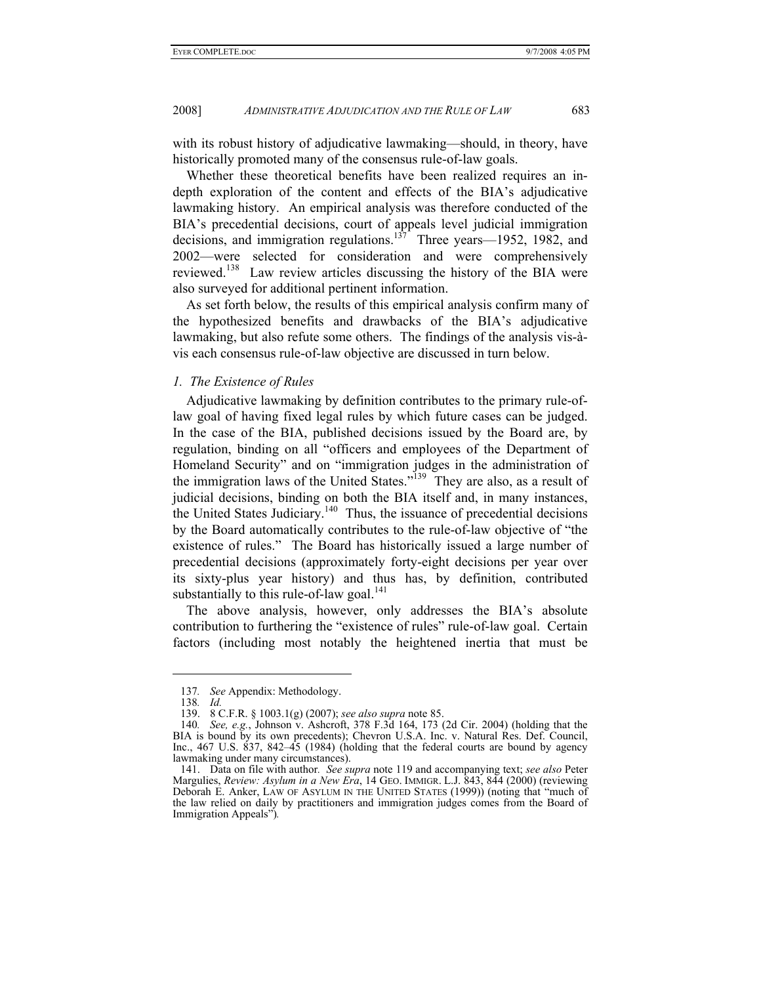with its robust history of adjudicative lawmaking—should, in theory, have historically promoted many of the consensus rule-of-law goals.

Whether these theoretical benefits have been realized requires an indepth exploration of the content and effects of the BIA's adjudicative lawmaking history. An empirical analysis was therefore conducted of the BIA's precedential decisions, court of appeals level judicial immigration decisions, and immigration regulations.<sup>137</sup> Three years—1952, 1982, and 2002—were selected for consideration and were comprehensively reviewed.138 Law review articles discussing the history of the BIA were also surveyed for additional pertinent information.

As set forth below, the results of this empirical analysis confirm many of the hypothesized benefits and drawbacks of the BIA's adjudicative lawmaking, but also refute some others. The findings of the analysis vis-àvis each consensus rule-of-law objective are discussed in turn below.

# *1. The Existence of Rules*

Adjudicative lawmaking by definition contributes to the primary rule-oflaw goal of having fixed legal rules by which future cases can be judged. In the case of the BIA, published decisions issued by the Board are, by regulation, binding on all "officers and employees of the Department of Homeland Security" and on "immigration judges in the administration of the immigration laws of the United States."<sup>139</sup> They are also, as a result of judicial decisions, binding on both the BIA itself and, in many instances, the United States Judiciary.140 Thus, the issuance of precedential decisions by the Board automatically contributes to the rule-of-law objective of "the existence of rules." The Board has historically issued a large number of precedential decisions (approximately forty-eight decisions per year over its sixty-plus year history) and thus has, by definition, contributed substantially to this rule-of-law goal. $^{141}$ 

The above analysis, however, only addresses the BIA's absolute contribution to furthering the "existence of rules" rule-of-law goal. Certain factors (including most notably the heightened inertia that must be

<sup>137</sup>*. See* Appendix: Methodology.

<sup>138</sup>*. Id.*

 <sup>139. 8</sup> C.F.R. § 1003.1(g) (2007); *see also supra* note 85.

<sup>140</sup>*. See, e.g.*, Johnson v. Ashcroft, 378 F.3d 164, 173 (2d Cir. 2004) (holding that the BIA is bound by its own precedents); Chevron U.S.A. Inc. v. Natural Res. Def. Council, Inc., 467 U.S. 837, 842–45 (1984) (holding that the federal courts are bound by agency lawmaking under many circumstances).

 <sup>141.</sup> Data on file with author*. See supra* note 119 and accompanying text; *see also* Peter Margulies, *Review: Asylum in a New Era*, 14 GEO. IMMIGR. L.J. 843, 844 (2000) (reviewing Deborah E. Anker, LAW OF ASYLUM IN THE UNITED STATES (1999)) (noting that "much of the law relied on daily by practitioners and immigration judges comes from the Board of Immigration Appeals")*.*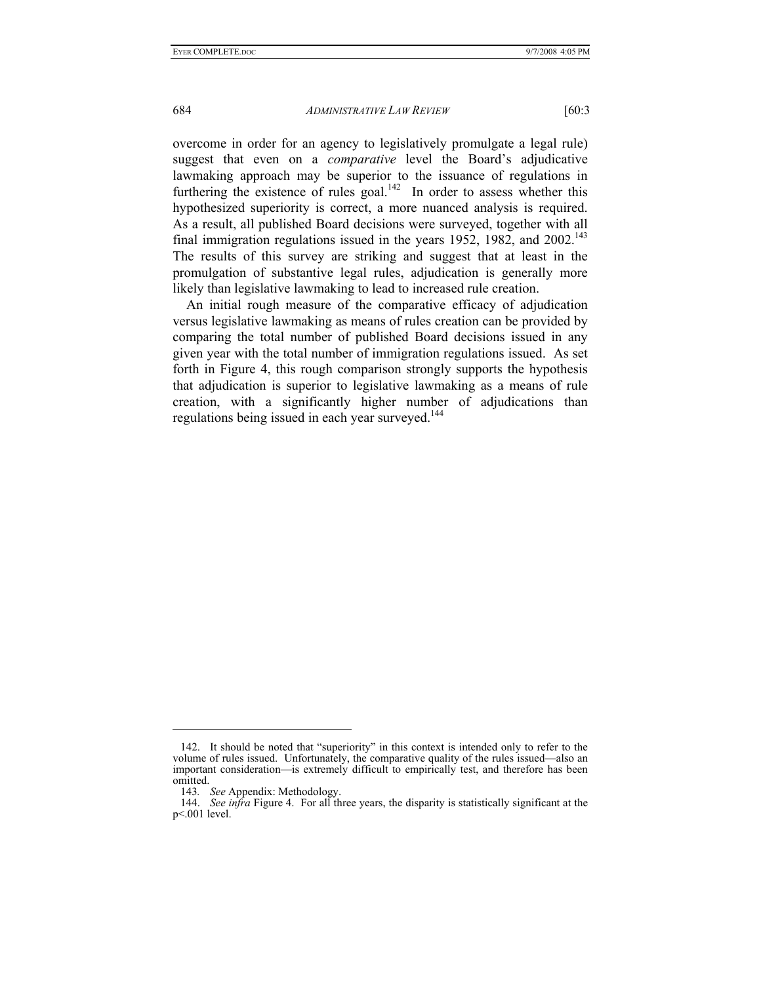overcome in order for an agency to legislatively promulgate a legal rule) suggest that even on a *comparative* level the Board's adjudicative lawmaking approach may be superior to the issuance of regulations in furthering the existence of rules goal.<sup>142</sup> In order to assess whether this hypothesized superiority is correct, a more nuanced analysis is required. As a result, all published Board decisions were surveyed, together with all final immigration regulations issued in the years  $1952$ ,  $1982$ , and  $2002$ <sup> $143$ </sup> The results of this survey are striking and suggest that at least in the promulgation of substantive legal rules, adjudication is generally more likely than legislative lawmaking to lead to increased rule creation.

An initial rough measure of the comparative efficacy of adjudication versus legislative lawmaking as means of rules creation can be provided by comparing the total number of published Board decisions issued in any given year with the total number of immigration regulations issued. As set forth in Figure 4, this rough comparison strongly supports the hypothesis that adjudication is superior to legislative lawmaking as a means of rule creation, with a significantly higher number of adjudications than regulations being issued in each year surveyed.<sup>144</sup>

 <sup>142.</sup> It should be noted that "superiority" in this context is intended only to refer to the volume of rules issued. Unfortunately, the comparative quality of the rules issued—also an important consideration—is extremely difficult to empirically test, and therefore has been omitted.

<sup>143</sup>*. See* Appendix: Methodology.

 <sup>144.</sup> *See infra* Figure 4. For all three years, the disparity is statistically significant at the p<.001 level.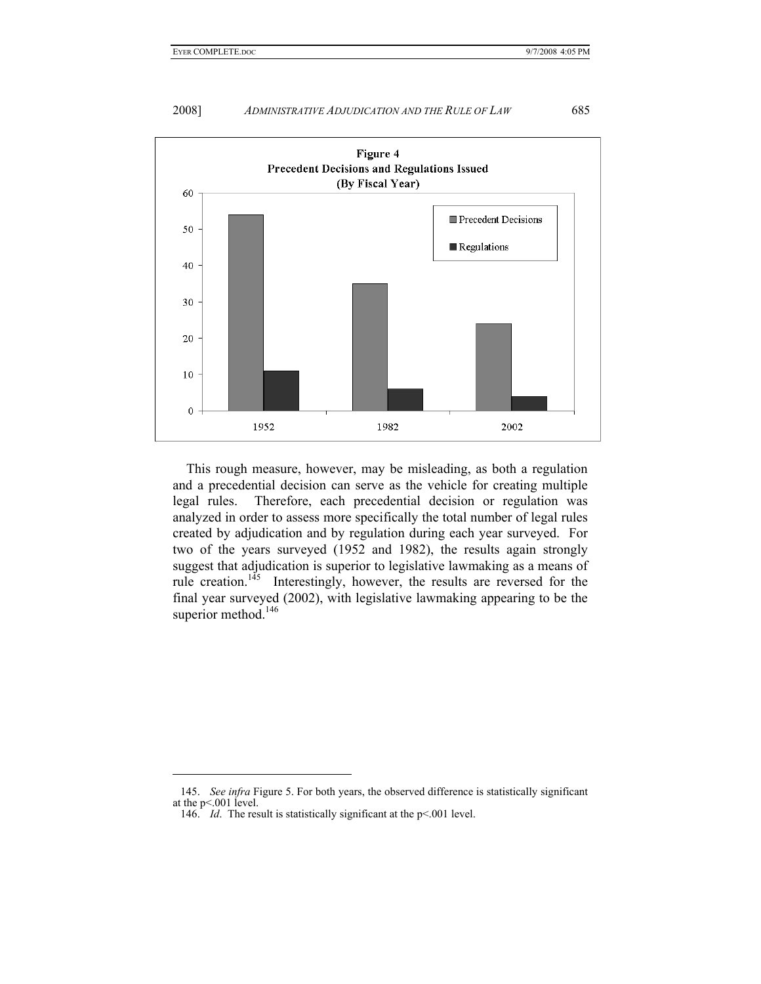$\overline{a}$ 



 This rough measure, however, may be misleading, as both a regulation and a precedential decision can serve as the vehicle for creating multiple legal rules. Therefore, each precedential decision or regulation was analyzed in order to assess more specifically the total number of legal rules created by adjudication and by regulation during each year surveyed. For two of the years surveyed (1952 and 1982), the results again strongly suggest that adjudication is superior to legislative lawmaking as a means of rule creation.<sup>145</sup> Interestingly, however, the results are reversed for the final year surveyed (2002), with legislative lawmaking appearing to be the superior method.<sup>146</sup>

 <sup>145.</sup> *See infra* Figure 5. For both years, the observed difference is statistically significant at the p<.001 level.

 <sup>146.</sup> *Id*. The result is statistically significant at the p<.001 level.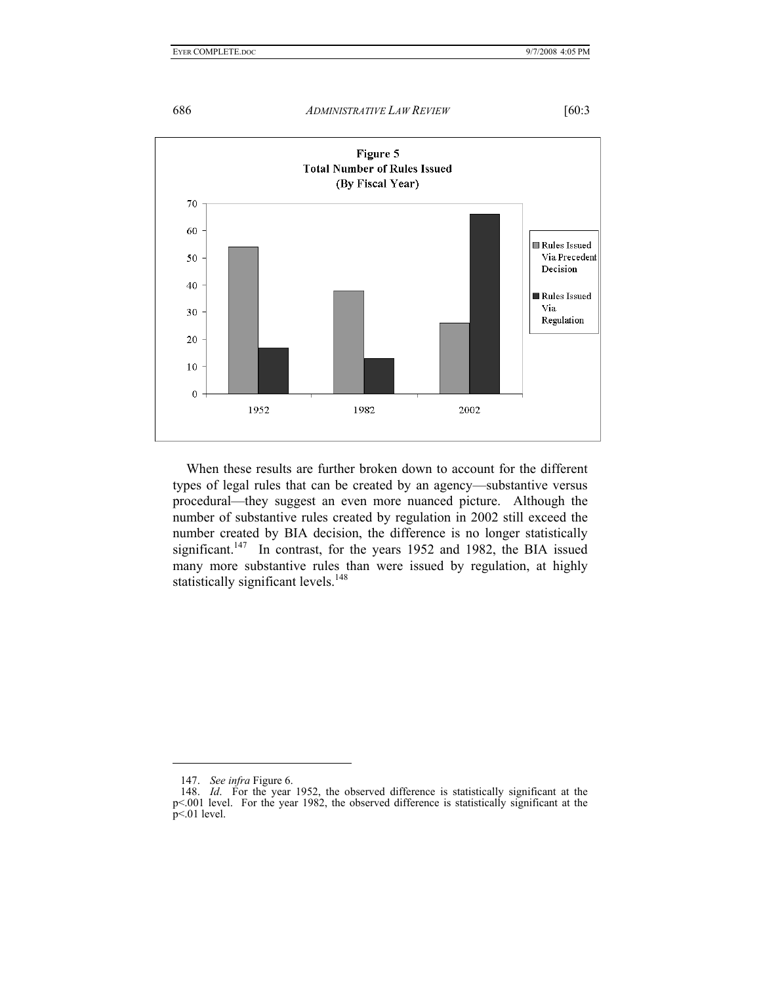

 When these results are further broken down to account for the different types of legal rules that can be created by an agency—substantive versus procedural—they suggest an even more nuanced picture. Although the number of substantive rules created by regulation in 2002 still exceed the number created by BIA decision, the difference is no longer statistically significant.<sup>147</sup> In contrast, for the years 1952 and 1982, the BIA issued many more substantive rules than were issued by regulation, at highly statistically significant levels. $148$ 

 <sup>147.</sup> *See infra* Figure 6.

 <sup>148.</sup> *Id*. For the year 1952, the observed difference is statistically significant at the p<.001 level. For the year 1982, the observed difference is statistically significant at the  $p<01$  level.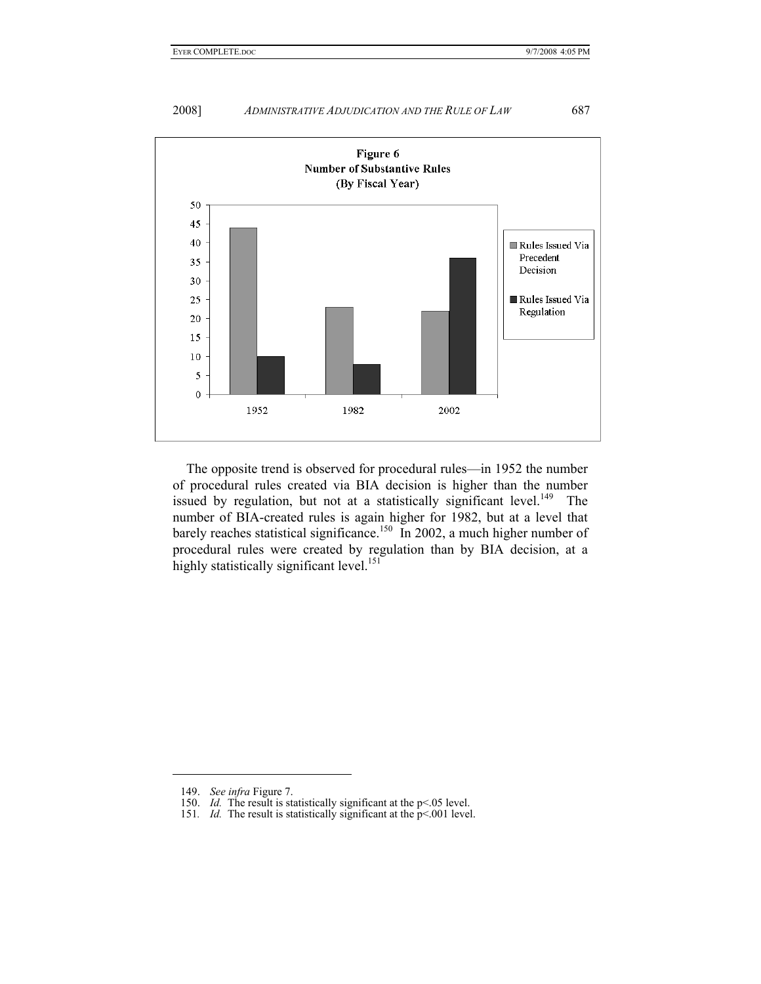

 The opposite trend is observed for procedural rules—in 1952 the number of procedural rules created via BIA decision is higher than the number issued by regulation, but not at a statistically significant level. $149$  The number of BIA-created rules is again higher for 1982, but at a level that barely reaches statistical significance.<sup>150</sup> In 2002, a much higher number of procedural rules were created by regulation than by BIA decision, at a highly statistically significant level.<sup>151</sup>

 <sup>149.</sup> *See infra* Figure 7.

<sup>150.</sup> *Id.* The result is statistically significant at the p<.05 level.

<sup>151</sup>*. Id.* The result is statistically significant at the p<.001 level.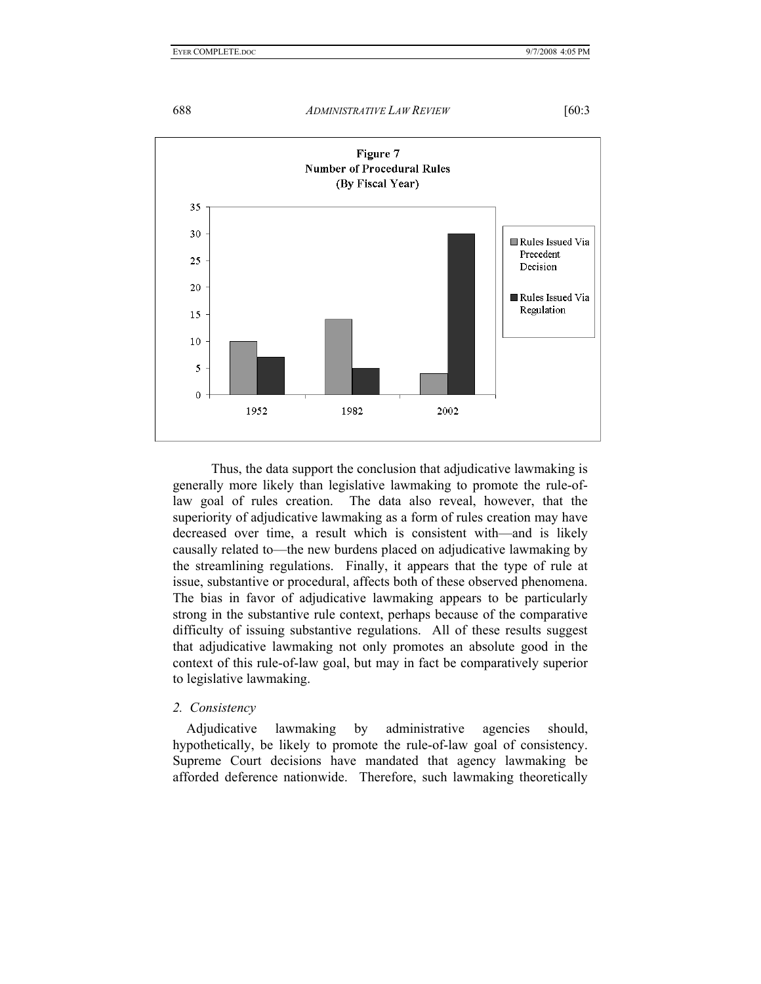

 Thus, the data support the conclusion that adjudicative lawmaking is generally more likely than legislative lawmaking to promote the rule-oflaw goal of rules creation. The data also reveal, however, that the superiority of adjudicative lawmaking as a form of rules creation may have decreased over time, a result which is consistent with—and is likely causally related to—the new burdens placed on adjudicative lawmaking by the streamlining regulations. Finally, it appears that the type of rule at issue, substantive or procedural, affects both of these observed phenomena. The bias in favor of adjudicative lawmaking appears to be particularly strong in the substantive rule context, perhaps because of the comparative difficulty of issuing substantive regulations. All of these results suggest that adjudicative lawmaking not only promotes an absolute good in the context of this rule-of-law goal, but may in fact be comparatively superior to legislative lawmaking.

# *2. Consistency*

Adjudicative lawmaking by administrative agencies should, hypothetically, be likely to promote the rule-of-law goal of consistency. Supreme Court decisions have mandated that agency lawmaking be afforded deference nationwide. Therefore, such lawmaking theoretically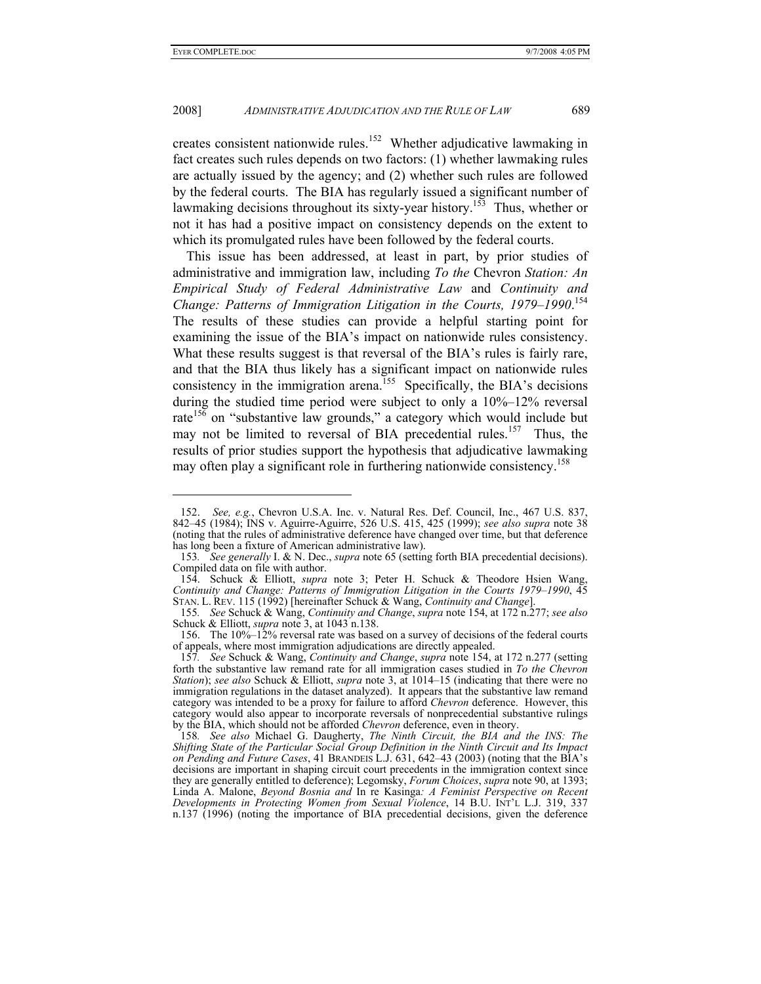creates consistent nationwide rules.<sup>152</sup> Whether adjudicative lawmaking in fact creates such rules depends on two factors: (1) whether lawmaking rules are actually issued by the agency; and (2) whether such rules are followed by the federal courts. The BIA has regularly issued a significant number of lawmaking decisions throughout its sixty-year history.<sup>153</sup> Thus, whether or not it has had a positive impact on consistency depends on the extent to which its promulgated rules have been followed by the federal courts.

This issue has been addressed, at least in part, by prior studies of administrative and immigration law, including *To the* Chevron *Station: An Empirical Study of Federal Administrative Law* and *Continuity and Change: Patterns of Immigration Litigation in the Courts, 1979–1990*. 154 The results of these studies can provide a helpful starting point for examining the issue of the BIA's impact on nationwide rules consistency. What these results suggest is that reversal of the BIA's rules is fairly rare, and that the BIA thus likely has a significant impact on nationwide rules consistency in the immigration arena.<sup>155</sup> Specifically, the BIA's decisions during the studied time period were subject to only a 10%–12% reversal rate<sup>156</sup> on "substantive law grounds," a category which would include but may not be limited to reversal of BIA precedential rules.<sup>157</sup> Thus, the results of prior studies support the hypothesis that adjudicative lawmaking may often play a significant role in furthering nationwide consistency.<sup>158</sup>

 <sup>152.</sup> *See, e.g.*, Chevron U.S.A. Inc. v. Natural Res. Def. Council, Inc., 467 U.S. 837, 842–45 (1984); INS v. Aguirre-Aguirre, 526 U.S. 415, 425 (1999); *see also supra* note 38 (noting that the rules of administrative deference have changed over time, but that deference has long been a fixture of American administrative law).

<sup>153</sup>*. See generally* I. & N. Dec., *supra* note 65 (setting forth BIA precedential decisions). Compiled data on file with author.

 <sup>154.</sup> Schuck & Elliott, *supra* note 3; Peter H. Schuck & Theodore Hsien Wang, *Continuity and Change: Patterns of Immigration Litigation in the Courts 1979–1990*, 45 STAN. L. REV. 115 (1992) [hereinafter Schuck & Wang, *Continuity and Change*].

<sup>155</sup>*. See* Schuck & Wang, *Continuity and Change*, *supra* note 154, at 172 n.277; *see also*  Schuck & Elliott, *supra* note 3, at 1043 n.138.

 <sup>156.</sup> The 10%–12% reversal rate was based on a survey of decisions of the federal courts of appeals, where most immigration adjudications are directly appealed.

<sup>157</sup>*. See* Schuck & Wang, *Continuity and Change*, *supra* note 154, at 172 n.277 (setting forth the substantive law remand rate for all immigration cases studied in *To the Chevron Station*); *see also* Schuck & Elliott, *supra* note 3, at 1014–15 (indicating that there were no immigration regulations in the dataset analyzed). It appears that the substantive law remand category was intended to be a proxy for failure to afford *Chevron* deference. However, this category would also appear to incorporate reversals of nonprecedential substantive rulings by the BIA, which should not be afforded *Chevron* deference, even in theory.

<sup>158</sup>*. See also* Michael G. Daugherty, *The Ninth Circuit, the BIA and the INS: The Shifting State of the Particular Social Group Definition in the Ninth Circuit and Its Impact on Pending and Future Cases*, 41 BRANDEIS L.J. 631, 642–43 (2003) (noting that the BIA's decisions are important in shaping circuit court precedents in the immigration context since they are generally entitled to deference); Legomsky, *Forum Choices*, *supra* note 90, at 1393; Linda A. Malone, *Beyond Bosnia and* In re Kasinga*: A Feminist Perspective on Recent Developments in Protecting Women from Sexual Violence*, 14 B.U. INT'L L.J. 319, 337 n.137 (1996) (noting the importance of BIA precedential decisions, given the deference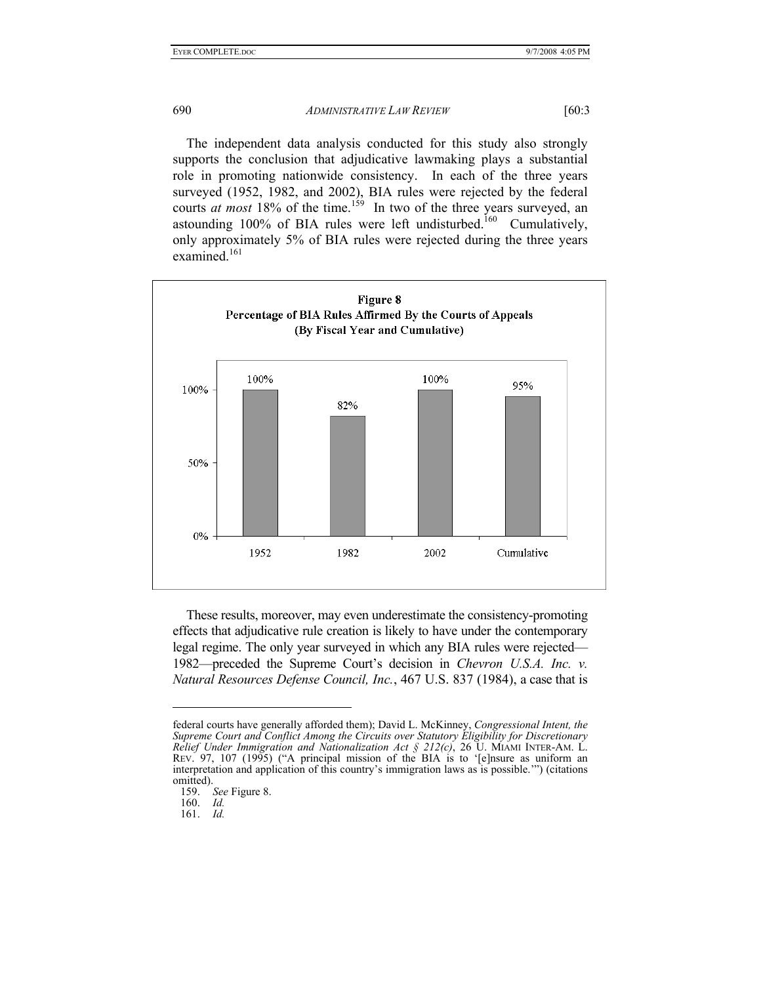The independent data analysis conducted for this study also strongly supports the conclusion that adjudicative lawmaking plays a substantial role in promoting nationwide consistency. In each of the three years surveyed (1952, 1982, and 2002), BIA rules were rejected by the federal courts *at most* 18% of the time.<sup>159</sup> In two of the three years surveyed, an astounding 100% of BIA rules were left undisturbed.<sup>160</sup> Cumulatively, only approximately 5% of BIA rules were rejected during the three years examined<sup>161</sup>



 These results, moreover, may even underestimate the consistency-promoting effects that adjudicative rule creation is likely to have under the contemporary legal regime. The only year surveyed in which any BIA rules were rejected— 1982—preceded the Supreme Court's decision in *Chevron U.S.A. Inc. v. Natural Resources Defense Council, Inc.*, 467 U.S. 837 (1984), a case that is

federal courts have generally afforded them); David L. McKinney, *Congressional Intent, the Supreme Court and Conflict Among the Circuits over Statutory Eligibility for Discretionary Relief Under Immigration and Nationalization Act § 212(c)*, 26 U. MIAMI INTER-AM. L. REV. 97, 107 (1995) ("A principal mission of the BIA is to '[e]nsure as uniform an interpretation and application of this country's immigration laws as is possible.'") (citations omitted).

 <sup>159.</sup> *See* Figure 8.

 <sup>160.</sup> *Id.* 

 <sup>161.</sup> *Id.*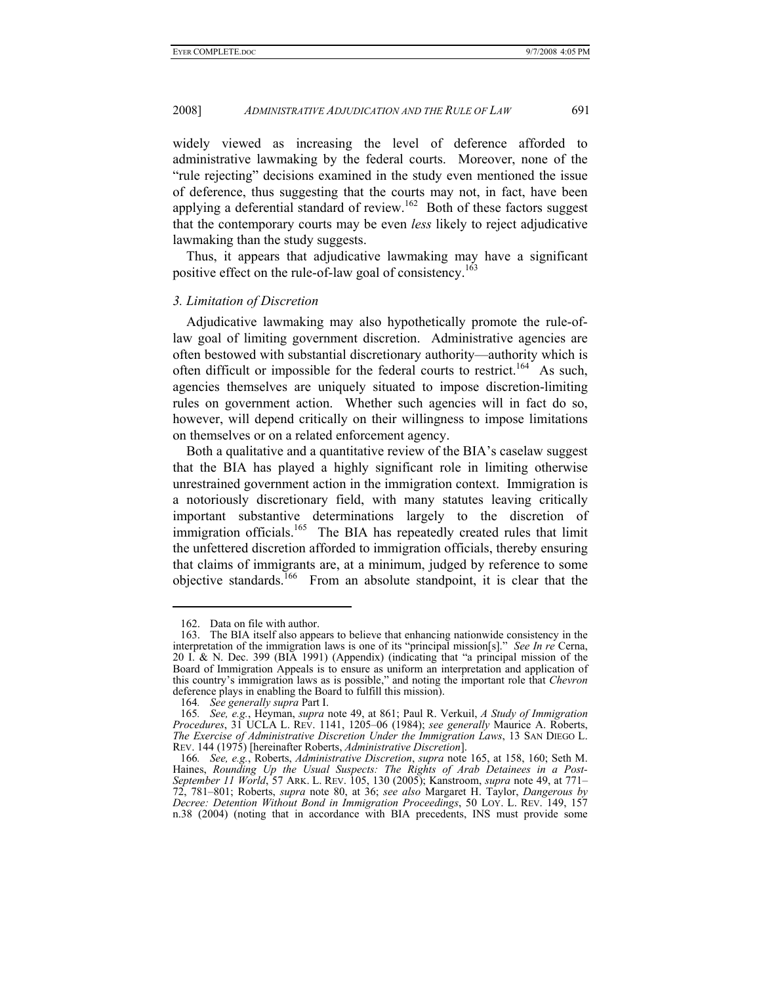widely viewed as increasing the level of deference afforded to administrative lawmaking by the federal courts. Moreover, none of the "rule rejecting" decisions examined in the study even mentioned the issue of deference, thus suggesting that the courts may not, in fact, have been applying a deferential standard of review.<sup>162</sup> Both of these factors suggest that the contemporary courts may be even *less* likely to reject adjudicative lawmaking than the study suggests.

Thus, it appears that adjudicative lawmaking may have a significant positive effect on the rule-of-law goal of consistency.<sup>163</sup>

### *3. Limitation of Discretion*

Adjudicative lawmaking may also hypothetically promote the rule-oflaw goal of limiting government discretion. Administrative agencies are often bestowed with substantial discretionary authority—authority which is often difficult or impossible for the federal courts to restrict.<sup>164</sup> As such, agencies themselves are uniquely situated to impose discretion-limiting rules on government action. Whether such agencies will in fact do so, however, will depend critically on their willingness to impose limitations on themselves or on a related enforcement agency.

Both a qualitative and a quantitative review of the BIA's caselaw suggest that the BIA has played a highly significant role in limiting otherwise unrestrained government action in the immigration context. Immigration is a notoriously discretionary field, with many statutes leaving critically important substantive determinations largely to the discretion of immigration officials.<sup>165</sup> The BIA has repeatedly created rules that limit the unfettered discretion afforded to immigration officials, thereby ensuring that claims of immigrants are, at a minimum, judged by reference to some objective standards.166 From an absolute standpoint, it is clear that the

 <sup>162.</sup> Data on file with author.

 <sup>163.</sup> The BIA itself also appears to believe that enhancing nationwide consistency in the interpretation of the immigration laws is one of its "principal mission[s]." *See In re* Cerna, 20 I. & N. Dec. 399 (BIA 1991) (Appendix) (indicating that "a principal mission of the Board of Immigration Appeals is to ensure as uniform an interpretation and application of this country's immigration laws as is possible," and noting the important role that *Chevron*  deference plays in enabling the Board to fulfill this mission).

<sup>164</sup>*. See generally supra* Part I.

<sup>165</sup>*. See, e.g.*, Heyman, *supra* note 49, at 861; Paul R. Verkuil, *A Study of Immigration Procedures*, 31 UCLA L. REV. 1141, 1205–06 (1984); *see generally* Maurice A. Roberts, *The Exercise of Administrative Discretion Under the Immigration Laws*, 13 SAN DIEGO L. REV. 144 (1975) [hereinafter Roberts, *Administrative Discretion*].

<sup>166</sup>*. See, e.g.*, Roberts, *Administrative Discretion*, *supra* note 165, at 158, 160; Seth M. Haines, *Rounding Up the Usual Suspects: The Rights of Arab Detainees in a Post-September 11 World*, 57 ARK. L. REV. 105, 130 (2005); Kanstroom, *supra* note 49, at 771– 72, 781–801; Roberts, *supra* note 80, at 36; *see also* Margaret H. Taylor, *Dangerous by Decree: Detention Without Bond in Immigration Proceedings*, 50 LOY. L. REV. 149, 157 n.38 (2004) (noting that in accordance with BIA precedents, INS must provide some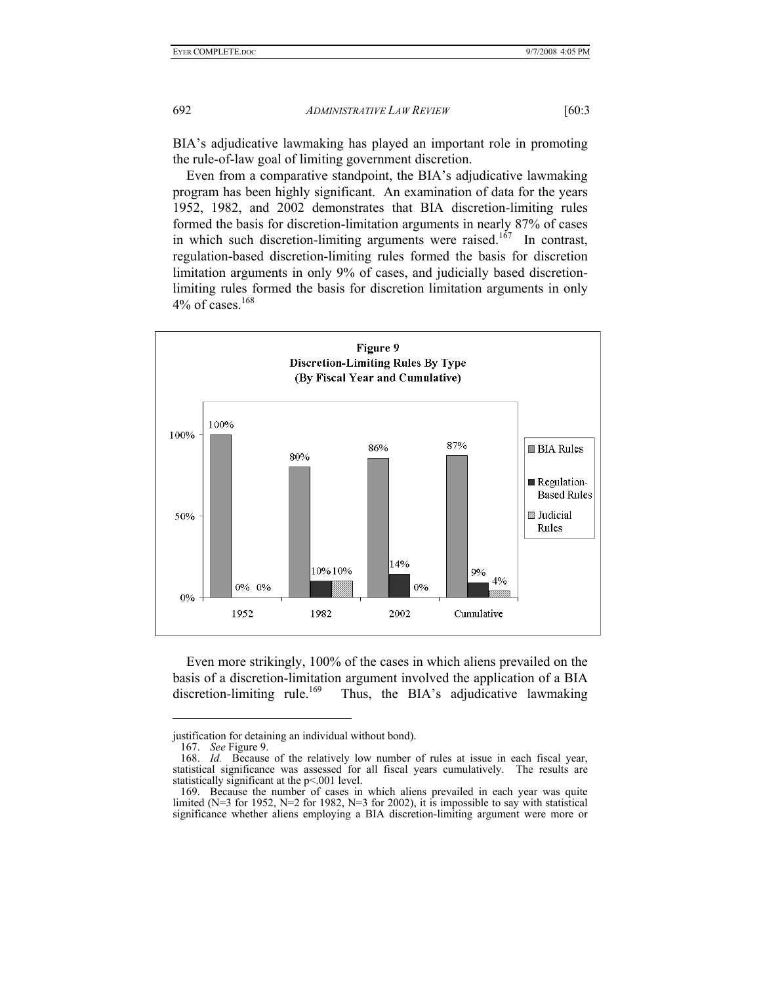BIA's adjudicative lawmaking has played an important role in promoting the rule-of-law goal of limiting government discretion.

Even from a comparative standpoint, the BIA's adjudicative lawmaking program has been highly significant. An examination of data for the years 1952, 1982, and 2002 demonstrates that BIA discretion-limiting rules formed the basis for discretion-limitation arguments in nearly 87% of cases in which such discretion-limiting arguments were raised.<sup>167</sup> In contrast, regulation-based discretion-limiting rules formed the basis for discretion limitation arguments in only 9% of cases, and judicially based discretionlimiting rules formed the basis for discretion limitation arguments in only  $4\%$  of cases  $168$ 



 Even more strikingly, 100% of the cases in which aliens prevailed on the basis of a discretion-limitation argument involved the application of a BIA discretion-limiting rule.<sup>169</sup> Thus, the BIA's adjudicative lawmaking Thus, the BIA's adjudicative lawmaking

justification for detaining an individual without bond).

 <sup>167.</sup> *See* Figure 9.

 <sup>168.</sup> *Id.* Because of the relatively low number of rules at issue in each fiscal year, statistical significance was assessed for all fiscal years cumulatively. The results are statistically significant at the p<.001 level.

 <sup>169.</sup> Because the number of cases in which aliens prevailed in each year was quite limited ( $N=3$  for 1952,  $N=2$  for 1982,  $N=3$  for 2002), it is impossible to say with statistical significance whether aliens employing a BIA discretion-limiting argument were more or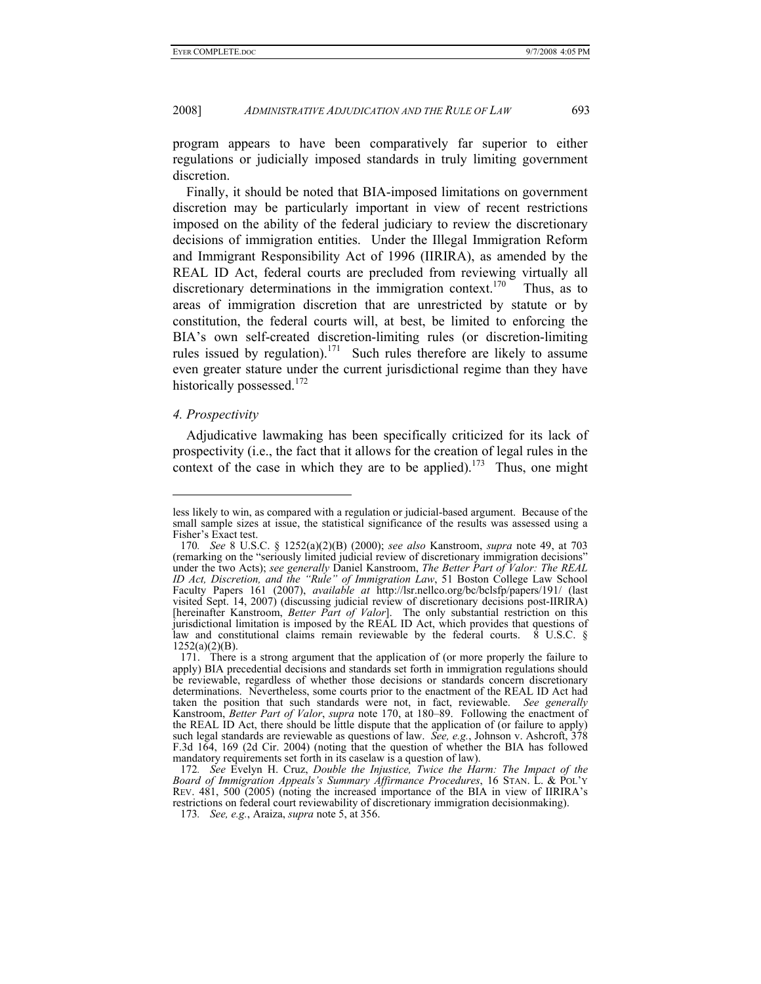program appears to have been comparatively far superior to either regulations or judicially imposed standards in truly limiting government discretion.

Finally, it should be noted that BIA-imposed limitations on government discretion may be particularly important in view of recent restrictions imposed on the ability of the federal judiciary to review the discretionary decisions of immigration entities. Under the Illegal Immigration Reform and Immigrant Responsibility Act of 1996 (IIRIRA), as amended by the REAL ID Act, federal courts are precluded from reviewing virtually all discretionary determinations in the immigration context.<sup>170</sup> Thus, as to areas of immigration discretion that are unrestricted by statute or by constitution, the federal courts will, at best, be limited to enforcing the BIA's own self-created discretion-limiting rules (or discretion-limiting rules issued by regulation).<sup>171</sup> Such rules therefore are likely to assume even greater stature under the current jurisdictional regime than they have historically possessed.<sup>172</sup>

### *4. Prospectivity*

 $\overline{a}$ 

Adjudicative lawmaking has been specifically criticized for its lack of prospectivity (i.e., the fact that it allows for the creation of legal rules in the context of the case in which they are to be applied).<sup>173</sup> Thus, one might

less likely to win, as compared with a regulation or judicial-based argument. Because of the small sample sizes at issue, the statistical significance of the results was assessed using a Fisher's Exact test.

<sup>170</sup>*. See* 8 U.S.C. § 1252(a)(2)(B) (2000); *see also* Kanstroom, *supra* note 49, at 703 (remarking on the "seriously limited judicial review of discretionary immigration decisions" under the two Acts); *see generally* Daniel Kanstroom, *The Better Part of Valor: The REAL ID Act, Discretion, and the "Rule" of Immigration Law*, 51 Boston College Law School Faculty Papers 161 (2007), *available at* http://lsr.nellco.org/bc/bclsfp/papers/191/ (last visited Sept. 14, 2007) (discussing judicial review of discretionary decisions post-IIRIRA) [hereinafter Kanstroom, *Better Part of Valor*]. The only substantial restriction on this jurisdictional limitation is imposed by the REAL ID Act, which provides that questions of law and constitutional claims remain reviewable by the federal courts. 8 U.S.C. §  $1252(a)(2)(B)$ .

 <sup>171.</sup> There is a strong argument that the application of (or more properly the failure to apply) BIA precedential decisions and standards set forth in immigration regulations should be reviewable, regardless of whether those decisions or standards concern discretionary determinations. Nevertheless, some courts prior to the enactment of the REAL ID Act had taken the position that such standards were not, in fact, reviewable. *See generally*  Kanstroom, *Better Part of Valor*, *supra* note 170, at 180–89. Following the enactment of the REAL ID Act, there should be little dispute that the application of (or failure to apply) such legal standards are reviewable as questions of law. *See, e.g.*, Johnson v. Ashcroft, 378 F.3d 164, 169 (2d Cir. 2004) (noting that the question of whether the BIA has followed mandatory requirements set forth in its caselaw is a question of law).

<sup>172</sup>*. See* Evelyn H. Cruz, *Double the Injustice, Twice the Harm: The Impact of the Board of Immigration Appeals's Summary Affirmance Procedures*, 16 STAN. L. & POL'Y REV. 481, 500 (2005) (noting the increased importance of the BIA in view of IIRIRA's restrictions on federal court reviewability of discretionary immigration decisionmaking).

<sup>173</sup>*. See, e.g.*, Araiza, *supra* note 5, at 356.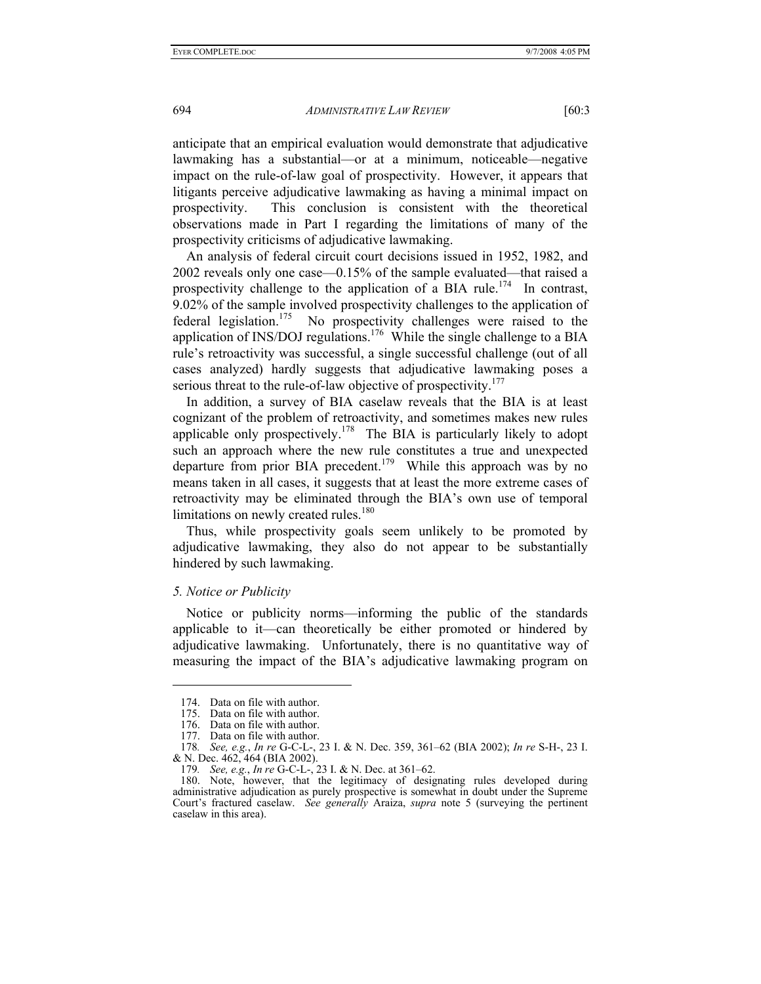anticipate that an empirical evaluation would demonstrate that adjudicative lawmaking has a substantial—or at a minimum, noticeable—negative impact on the rule-of-law goal of prospectivity. However, it appears that litigants perceive adjudicative lawmaking as having a minimal impact on prospectivity. This conclusion is consistent with the theoretical observations made in Part I regarding the limitations of many of the prospectivity criticisms of adjudicative lawmaking.

An analysis of federal circuit court decisions issued in 1952, 1982, and 2002 reveals only one case—0.15% of the sample evaluated—that raised a prospectivity challenge to the application of a BIA rule.<sup>174</sup> In contrast, 9.02% of the sample involved prospectivity challenges to the application of federal legislation.175 No prospectivity challenges were raised to the application of INS/DOJ regulations.<sup>176</sup> While the single challenge to a BIA rule's retroactivity was successful, a single successful challenge (out of all cases analyzed) hardly suggests that adjudicative lawmaking poses a serious threat to the rule-of-law objective of prospectivity.<sup>177</sup>

In addition, a survey of BIA caselaw reveals that the BIA is at least cognizant of the problem of retroactivity, and sometimes makes new rules applicable only prospectively.<sup>178</sup> The BIA is particularly likely to adopt such an approach where the new rule constitutes a true and unexpected departure from prior BIA precedent.<sup>179</sup> While this approach was by no means taken in all cases, it suggests that at least the more extreme cases of retroactivity may be eliminated through the BIA's own use of temporal limitations on newly created rules.<sup>180</sup>

Thus, while prospectivity goals seem unlikely to be promoted by adjudicative lawmaking, they also do not appear to be substantially hindered by such lawmaking.

#### *5. Notice or Publicity*

 $\overline{a}$ 

Notice or publicity norms—informing the public of the standards applicable to it—can theoretically be either promoted or hindered by adjudicative lawmaking. Unfortunately, there is no quantitative way of measuring the impact of the BIA's adjudicative lawmaking program on

 <sup>174.</sup> Data on file with author.

 <sup>175.</sup> Data on file with author.

 <sup>176.</sup> Data on file with author.

 <sup>177.</sup> Data on file with author.

<sup>178</sup>*. See, e.g.*, *In re* G-C-L-, 23 I. & N. Dec. 359, 361–62 (BIA 2002); *In re* S-H-, 23 I. & N. Dec. 462, 464 (BIA 2002).

<sup>179</sup>*. See, e.g.*, *In re* G-C-L-, 23 I. & N. Dec. at 361–62.

 <sup>180.</sup> Note, however, that the legitimacy of designating rules developed during administrative adjudication as purely prospective is somewhat in doubt under the Supreme Court's fractured caselaw. *See generally* Araiza, *supra* note 5 (surveying the pertinent caselaw in this area).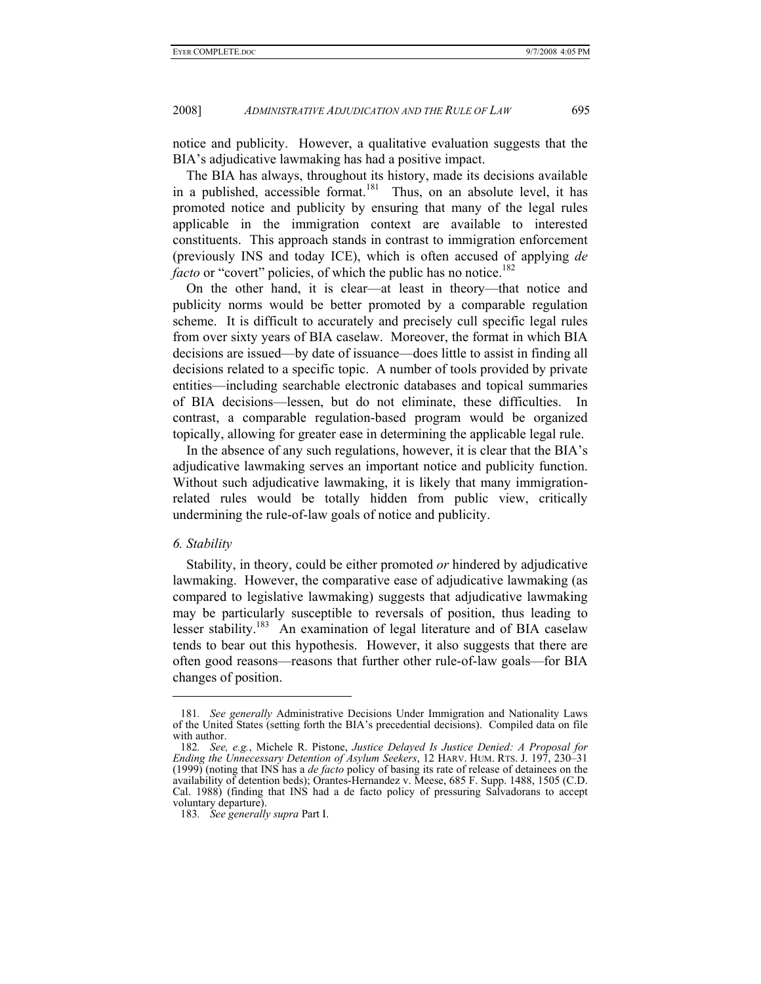notice and publicity. However, a qualitative evaluation suggests that the BIA's adjudicative lawmaking has had a positive impact.

The BIA has always, throughout its history, made its decisions available in a published, accessible format.<sup>181</sup> Thus, on an absolute level, it has promoted notice and publicity by ensuring that many of the legal rules applicable in the immigration context are available to interested constituents. This approach stands in contrast to immigration enforcement (previously INS and today ICE), which is often accused of applying *de facto* or "covert" policies, of which the public has no notice.<sup>182</sup>

On the other hand, it is clear—at least in theory—that notice and publicity norms would be better promoted by a comparable regulation scheme. It is difficult to accurately and precisely cull specific legal rules from over sixty years of BIA caselaw. Moreover, the format in which BIA decisions are issued—by date of issuance—does little to assist in finding all decisions related to a specific topic. A number of tools provided by private entities—including searchable electronic databases and topical summaries of BIA decisions—lessen, but do not eliminate, these difficulties. In contrast, a comparable regulation-based program would be organized topically, allowing for greater ease in determining the applicable legal rule.

In the absence of any such regulations, however, it is clear that the BIA's adjudicative lawmaking serves an important notice and publicity function. Without such adjudicative lawmaking, it is likely that many immigrationrelated rules would be totally hidden from public view, critically undermining the rule-of-law goals of notice and publicity.

#### *6. Stability*

 $\overline{a}$ 

Stability, in theory, could be either promoted *or* hindered by adjudicative lawmaking. However, the comparative ease of adjudicative lawmaking (as compared to legislative lawmaking) suggests that adjudicative lawmaking may be particularly susceptible to reversals of position, thus leading to lesser stability.<sup>183</sup> An examination of legal literature and of BIA caselaw tends to bear out this hypothesis. However, it also suggests that there are often good reasons—reasons that further other rule-of-law goals—for BIA changes of position.

<sup>181</sup>*. See generally* Administrative Decisions Under Immigration and Nationality Laws of the United States (setting forth the BIA's precedential decisions). Compiled data on file with author.

<sup>182</sup>*. See, e.g.*, Michele R. Pistone, *Justice Delayed Is Justice Denied: A Proposal for Ending the Unnecessary Detention of Asylum Seekers*, 12 HARV. HUM. RTS. J. 197, 230–31 (1999) (noting that INS has a *de facto* policy of basing its rate of release of detainees on the availability of detention beds); Orantes-Hernandez v. Meese, 685 F. Supp. 1488, 1505 (C.D. Cal. 1988) (finding that INS had a de facto policy of pressuring Salvadorans to accept voluntary departure).

<sup>183</sup>*. See generally supra* Part I.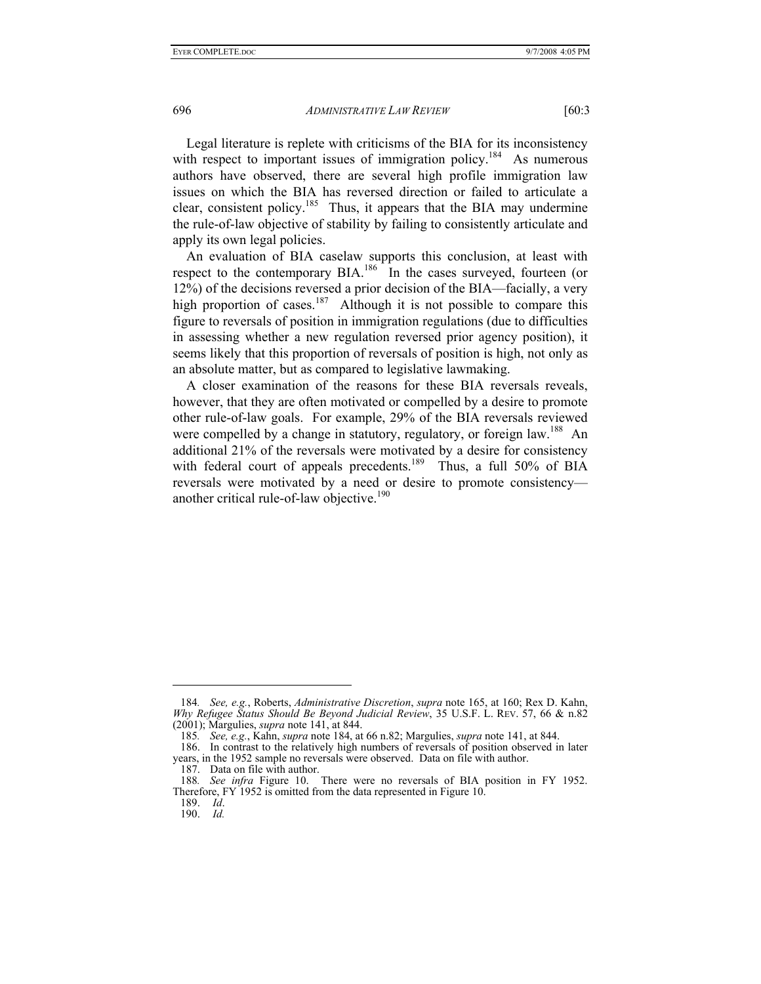Legal literature is replete with criticisms of the BIA for its inconsistency with respect to important issues of immigration policy.<sup>184</sup> As numerous authors have observed, there are several high profile immigration law issues on which the BIA has reversed direction or failed to articulate a clear, consistent policy.<sup>185</sup> Thus, it appears that the BIA may undermine the rule-of-law objective of stability by failing to consistently articulate and apply its own legal policies.

An evaluation of BIA caselaw supports this conclusion, at least with respect to the contemporary BIA.<sup>186</sup> In the cases surveyed, fourteen (or 12%) of the decisions reversed a prior decision of the BIA—facially, a very high proportion of cases.<sup>187</sup> Although it is not possible to compare this figure to reversals of position in immigration regulations (due to difficulties in assessing whether a new regulation reversed prior agency position), it seems likely that this proportion of reversals of position is high, not only as an absolute matter, but as compared to legislative lawmaking.

A closer examination of the reasons for these BIA reversals reveals, however, that they are often motivated or compelled by a desire to promote other rule-of-law goals. For example, 29% of the BIA reversals reviewed were compelled by a change in statutory, regulatory, or foreign law.<sup>188</sup> An additional 21% of the reversals were motivated by a desire for consistency with federal court of appeals precedents.<sup>189</sup> Thus, a full 50% of BIA reversals were motivated by a need or desire to promote consistency another critical rule-of-law objective.<sup>190</sup>

<sup>184</sup>*. See, e.g.*, Roberts, *Administrative Discretion*, *supra* note 165, at 160; Rex D. Kahn, *Why Refugee Status Should Be Beyond Judicial Review*, 35 U.S.F. L. REV. 57, 66 & n.82 (2001); Margulies, *supra* note 141, at 844.

<sup>185</sup>*. See, e.g.*, Kahn, *supra* note 184, at 66 n.82; Margulies, *supra* note 141, at 844.

 <sup>186.</sup> In contrast to the relatively high numbers of reversals of position observed in later years, in the 1952 sample no reversals were observed. Data on file with author.

 <sup>187.</sup> Data on file with author.

<sup>188</sup>*. See infra* Figure 10. There were no reversals of BIA position in FY 1952. Therefore, FY 1952 is omitted from the data represented in Figure 10.

 <sup>189.</sup> *Id*.

 <sup>190.</sup> *Id.*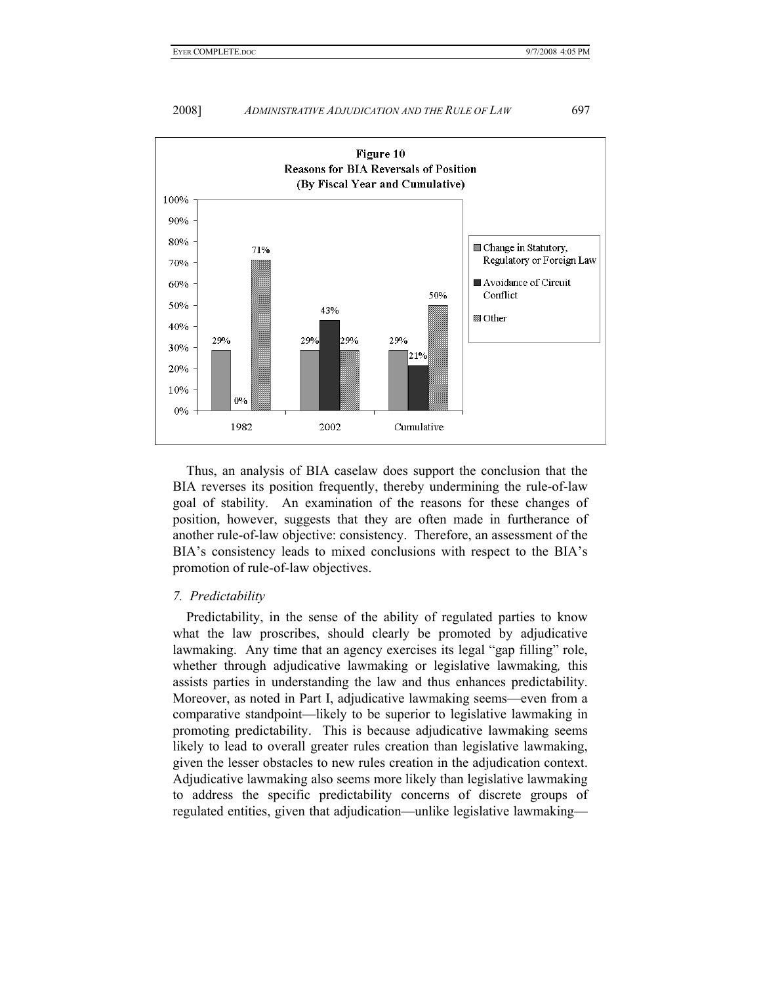

Thus, an analysis of BIA caselaw does support the conclusion that the BIA reverses its position frequently, thereby undermining the rule-of-law goal of stability. An examination of the reasons for these changes of position, however, suggests that they are often made in furtherance of another rule-of-law objective: consistency. Therefore, an assessment of the BIA's consistency leads to mixed conclusions with respect to the BIA's promotion of rule-of-law objectives.

#### *7. Predictability*

Predictability, in the sense of the ability of regulated parties to know what the law proscribes, should clearly be promoted by adjudicative lawmaking. Any time that an agency exercises its legal "gap filling" role, whether through adjudicative lawmaking or legislative lawmaking*,* this assists parties in understanding the law and thus enhances predictability. Moreover, as noted in Part I, adjudicative lawmaking seems—even from a comparative standpoint—likely to be superior to legislative lawmaking in promoting predictability. This is because adjudicative lawmaking seems likely to lead to overall greater rules creation than legislative lawmaking, given the lesser obstacles to new rules creation in the adjudication context. Adjudicative lawmaking also seems more likely than legislative lawmaking to address the specific predictability concerns of discrete groups of regulated entities, given that adjudication—unlike legislative lawmaking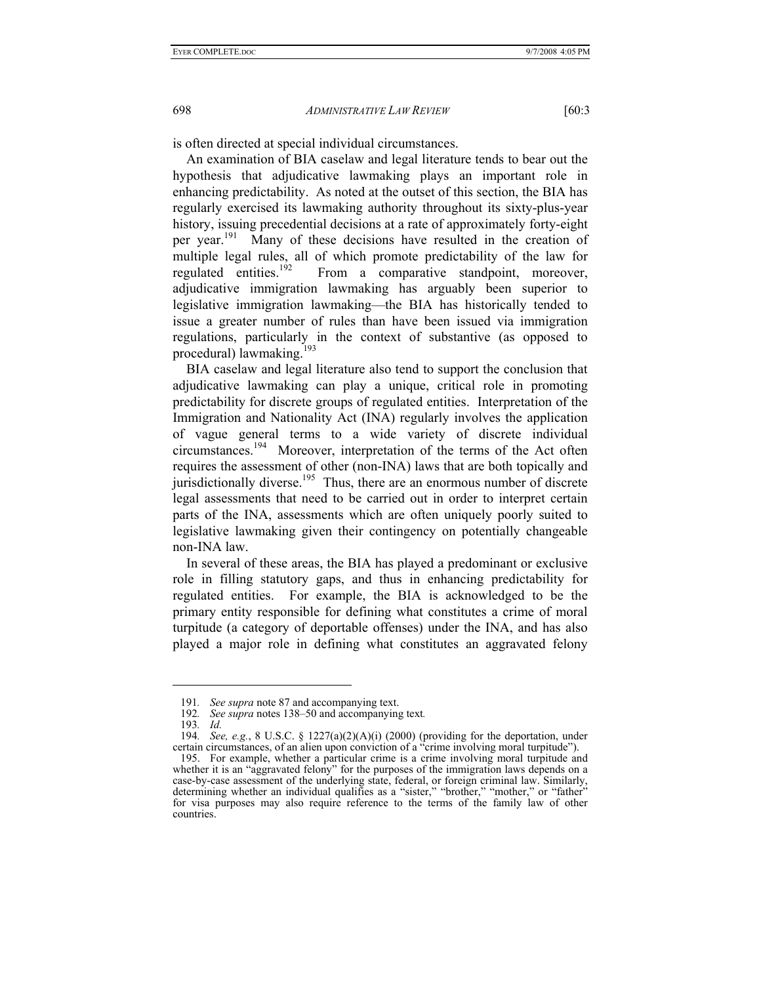is often directed at special individual circumstances.

An examination of BIA caselaw and legal literature tends to bear out the hypothesis that adjudicative lawmaking plays an important role in enhancing predictability. As noted at the outset of this section, the BIA has regularly exercised its lawmaking authority throughout its sixty-plus-year history, issuing precedential decisions at a rate of approximately forty-eight per year.191 Many of these decisions have resulted in the creation of multiple legal rules, all of which promote predictability of the law for regulated entities.<sup>192</sup> From a comparative standpoint, moreover, adjudicative immigration lawmaking has arguably been superior to legislative immigration lawmaking—the BIA has historically tended to issue a greater number of rules than have been issued via immigration regulations, particularly in the context of substantive (as opposed to procedural) lawmaking.193

BIA caselaw and legal literature also tend to support the conclusion that adjudicative lawmaking can play a unique, critical role in promoting predictability for discrete groups of regulated entities. Interpretation of the Immigration and Nationality Act (INA) regularly involves the application of vague general terms to a wide variety of discrete individual circumstances.194 Moreover, interpretation of the terms of the Act often requires the assessment of other (non-INA) laws that are both topically and jurisdictionally diverse.<sup>195</sup> Thus, there are an enormous number of discrete legal assessments that need to be carried out in order to interpret certain parts of the INA, assessments which are often uniquely poorly suited to legislative lawmaking given their contingency on potentially changeable non-INA law.

In several of these areas, the BIA has played a predominant or exclusive role in filling statutory gaps, and thus in enhancing predictability for regulated entities. For example, the BIA is acknowledged to be the primary entity responsible for defining what constitutes a crime of moral turpitude (a category of deportable offenses) under the INA, and has also played a major role in defining what constitutes an aggravated felony

<sup>191</sup>*. See supra* note 87 and accompanying text.

<sup>192</sup>*. See supra* notes 138–50 and accompanying text*.* 

<sup>193</sup>*. Id.*

<sup>194</sup>*. See, e.g.*, 8 U.S.C. § 1227(a)(2)(A)(i) (2000) (providing for the deportation, under certain circumstances, of an alien upon conviction of a "crime involving moral turpitude").

 <sup>195.</sup> For example, whether a particular crime is a crime involving moral turpitude and whether it is an "aggravated felony" for the purposes of the immigration laws depends on a case-by-case assessment of the underlying state, federal, or foreign criminal law. Similarly, determining whether an individual qualifies as a "sister," "brother," "mother," or "father" for visa purposes may also require reference to the terms of the family law of other countries.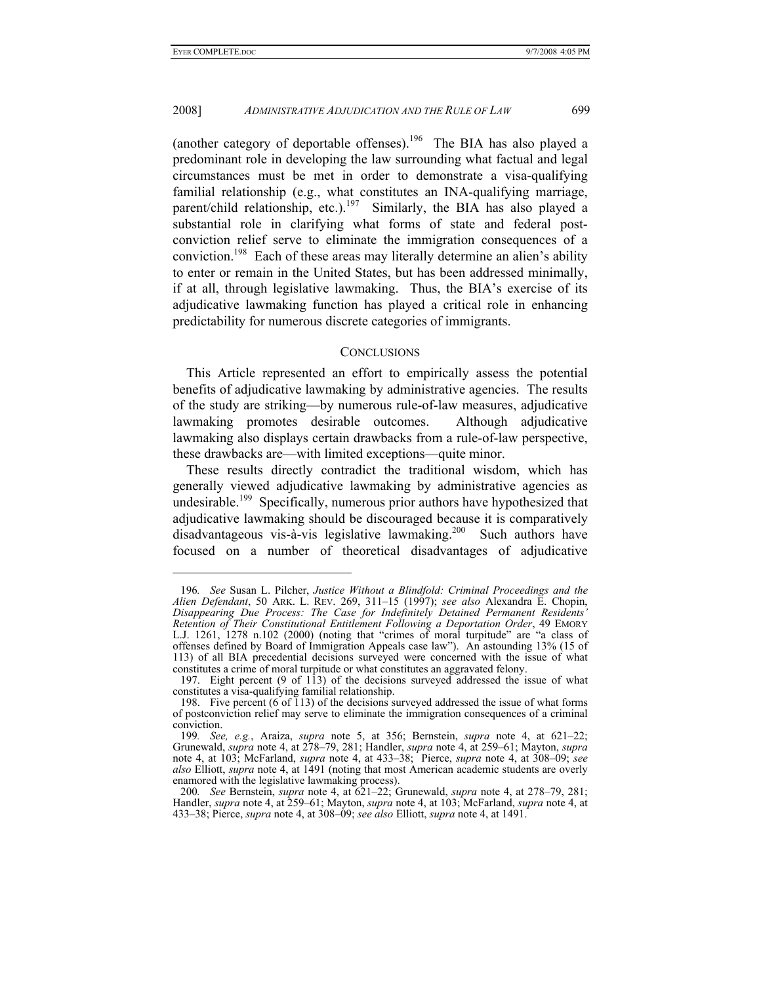(another category of deportable offenses).<sup>196</sup> The BIA has also played a predominant role in developing the law surrounding what factual and legal circumstances must be met in order to demonstrate a visa-qualifying familial relationship (e.g., what constitutes an INA-qualifying marriage, parent/child relationship, etc.).<sup>197</sup> Similarly, the BIA has also played a substantial role in clarifying what forms of state and federal postconviction relief serve to eliminate the immigration consequences of a conviction.198 Each of these areas may literally determine an alien's ability to enter or remain in the United States, but has been addressed minimally, if at all, through legislative lawmaking. Thus, the BIA's exercise of its adjudicative lawmaking function has played a critical role in enhancing predictability for numerous discrete categories of immigrants.

### **CONCLUSIONS**

This Article represented an effort to empirically assess the potential benefits of adjudicative lawmaking by administrative agencies. The results of the study are striking—by numerous rule-of-law measures, adjudicative lawmaking promotes desirable outcomes. Although adjudicative lawmaking also displays certain drawbacks from a rule-of-law perspective, these drawbacks are—with limited exceptions—quite minor.

These results directly contradict the traditional wisdom, which has generally viewed adjudicative lawmaking by administrative agencies as undesirable.<sup>199</sup> Specifically, numerous prior authors have hypothesized that adjudicative lawmaking should be discouraged because it is comparatively disadvantageous vis-à-vis legislative lawmaking.<sup>200</sup> Such authors have focused on a number of theoretical disadvantages of adjudicative

<sup>196</sup>*. See* Susan L. Pilcher, *Justice Without a Blindfold: Criminal Proceedings and the Alien Defendant*, 50 ARK. L. REV. 269, 311–15 (1997); *see also* Alexandra E. Chopin, *Disappearing Due Process: The Case for Indefinitely Detained Permanent Residents' Retention of Their Constitutional Entitlement Following a Deportation Order*, 49 EMORY L.J. 1261, 1278 n.102 (2000) (noting that "crimes of moral turpitude" are "a class of offenses defined by Board of Immigration Appeals case law"). An astounding 13% (15 of 113) of all BIA precedential decisions surveyed were concerned with the issue of what constitutes a crime of moral turpitude or what constitutes an aggravated felony.

 <sup>197.</sup> Eight percent (9 of 113) of the decisions surveyed addressed the issue of what constitutes a visa-qualifying familial relationship.

 <sup>198.</sup> Five percent (6 of 113) of the decisions surveyed addressed the issue of what forms of postconviction relief may serve to eliminate the immigration consequences of a criminal conviction.

<sup>199</sup>*. See, e.g.*, Araiza, *supra* note 5, at 356; Bernstein, *supra* note 4, at 621–22; Grunewald, *supra* note 4, at 278–79, 281; Handler, *supra* note 4, at 259–61; Mayton, *supra*  note 4, at 103; McFarland, *supra* note 4, at 433–38; Pierce, *supra* note 4, at 308–09; *see also* Elliott, *supra* note 4, at 1491 (noting that most American academic students are overly enamored with the legislative lawmaking process).

<sup>200</sup>*. See* Bernstein, *supra* note 4, at 621–22; Grunewald, *supra* note 4, at 278–79, 281; Handler, *supra* note 4, at 259–61; Mayton, *supra* note 4, at 103; McFarland, *supra* note 4, at 433–38; Pierce, *supra* note 4, at 308–09; *see also* Elliott, *supra* note 4, at 1491.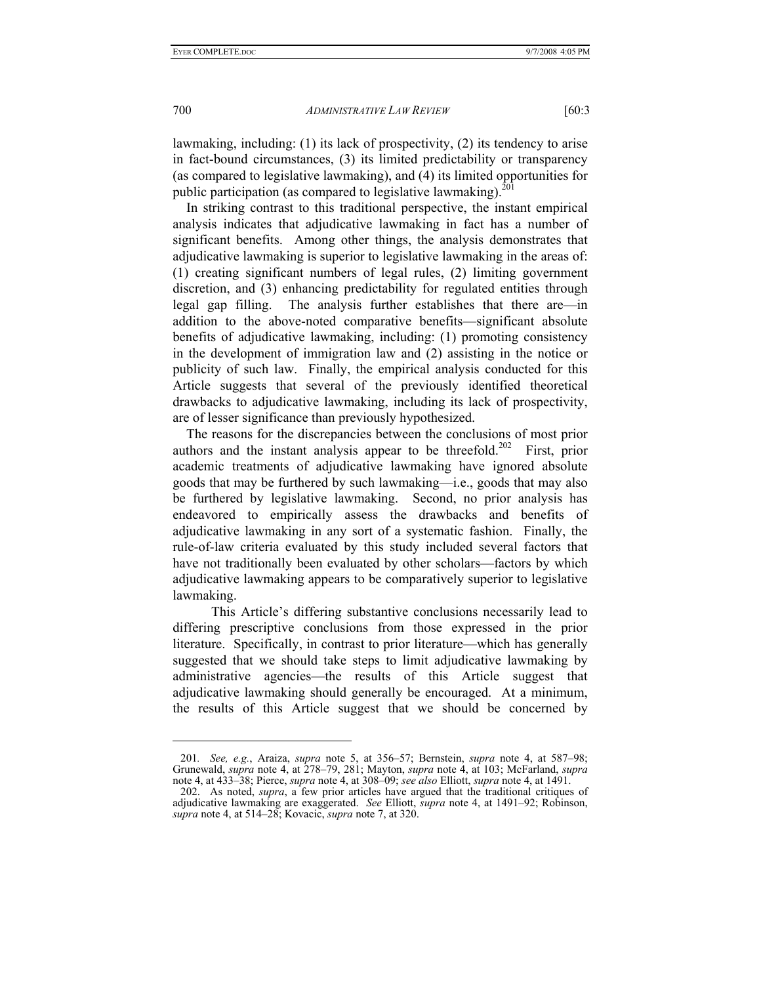lawmaking, including: (1) its lack of prospectivity, (2) its tendency to arise in fact-bound circumstances, (3) its limited predictability or transparency (as compared to legislative lawmaking), and (4) its limited opportunities for public participation (as compared to legislative lawmaking). $^{201}$ 

In striking contrast to this traditional perspective, the instant empirical analysis indicates that adjudicative lawmaking in fact has a number of significant benefits. Among other things, the analysis demonstrates that adjudicative lawmaking is superior to legislative lawmaking in the areas of: (1) creating significant numbers of legal rules, (2) limiting government discretion, and (3) enhancing predictability for regulated entities through legal gap filling. The analysis further establishes that there are—in addition to the above-noted comparative benefits—significant absolute benefits of adjudicative lawmaking, including: (1) promoting consistency in the development of immigration law and (2) assisting in the notice or publicity of such law. Finally, the empirical analysis conducted for this Article suggests that several of the previously identified theoretical drawbacks to adjudicative lawmaking, including its lack of prospectivity, are of lesser significance than previously hypothesized.

The reasons for the discrepancies between the conclusions of most prior authors and the instant analysis appear to be threefold.<sup>202</sup> First, prior academic treatments of adjudicative lawmaking have ignored absolute goods that may be furthered by such lawmaking—i.e., goods that may also be furthered by legislative lawmaking. Second, no prior analysis has endeavored to empirically assess the drawbacks and benefits of adjudicative lawmaking in any sort of a systematic fashion. Finally, the rule-of-law criteria evaluated by this study included several factors that have not traditionally been evaluated by other scholars—factors by which adjudicative lawmaking appears to be comparatively superior to legislative lawmaking.

 This Article's differing substantive conclusions necessarily lead to differing prescriptive conclusions from those expressed in the prior literature. Specifically, in contrast to prior literature—which has generally suggested that we should take steps to limit adjudicative lawmaking by administrative agencies—the results of this Article suggest that adjudicative lawmaking should generally be encouraged. At a minimum, the results of this Article suggest that we should be concerned by

<sup>201</sup>*. See, e.g.*, Araiza, *supra* note 5, at 356–57; Bernstein, *supra* note 4, at 587–98; Grunewald, *supra* note 4, at 278–79, 281; Mayton, *supra* note 4, at 103; McFarland, *supra*  note 4, at 433–38; Pierce, *supra* note 4, at 308–09; *see also* Elliott, *supra* note 4, at 1491.

 <sup>202.</sup> As noted, *supra*, a few prior articles have argued that the traditional critiques of adjudicative lawmaking are exaggerated. *See* Elliott, *supra* note 4, at 1491–92; Robinson, *supra* note 4, at 514–28; Kovacic, *supra* note 7, at 320.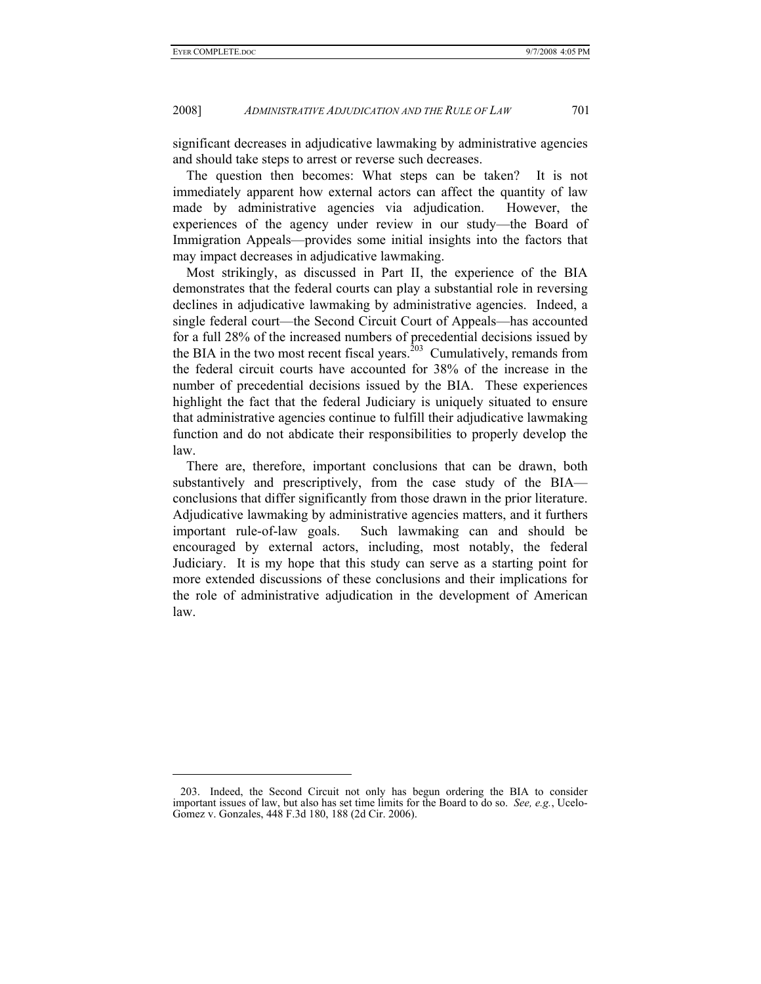significant decreases in adjudicative lawmaking by administrative agencies and should take steps to arrest or reverse such decreases.

The question then becomes: What steps can be taken? It is not immediately apparent how external actors can affect the quantity of law made by administrative agencies via adjudication. However, the experiences of the agency under review in our study—the Board of Immigration Appeals—provides some initial insights into the factors that may impact decreases in adjudicative lawmaking.

Most strikingly, as discussed in Part II, the experience of the BIA demonstrates that the federal courts can play a substantial role in reversing declines in adjudicative lawmaking by administrative agencies. Indeed, a single federal court—the Second Circuit Court of Appeals—has accounted for a full 28% of the increased numbers of precedential decisions issued by the BIA in the two most recent fiscal years.<sup>203</sup> Cumulatively, remands from the federal circuit courts have accounted for 38% of the increase in the number of precedential decisions issued by the BIA. These experiences highlight the fact that the federal Judiciary is uniquely situated to ensure that administrative agencies continue to fulfill their adjudicative lawmaking function and do not abdicate their responsibilities to properly develop the law.

There are, therefore, important conclusions that can be drawn, both substantively and prescriptively, from the case study of the BIA conclusions that differ significantly from those drawn in the prior literature. Adjudicative lawmaking by administrative agencies matters, and it furthers important rule-of-law goals. Such lawmaking can and should be encouraged by external actors, including, most notably, the federal Judiciary. It is my hope that this study can serve as a starting point for more extended discussions of these conclusions and their implications for the role of administrative adjudication in the development of American law.

 <sup>203.</sup> Indeed, the Second Circuit not only has begun ordering the BIA to consider important issues of law, but also has set time limits for the Board to do so. *See, e.g.*, Ucelo-Gomez v. Gonzales, 448 F.3d 180, 188 (2d Cir. 2006).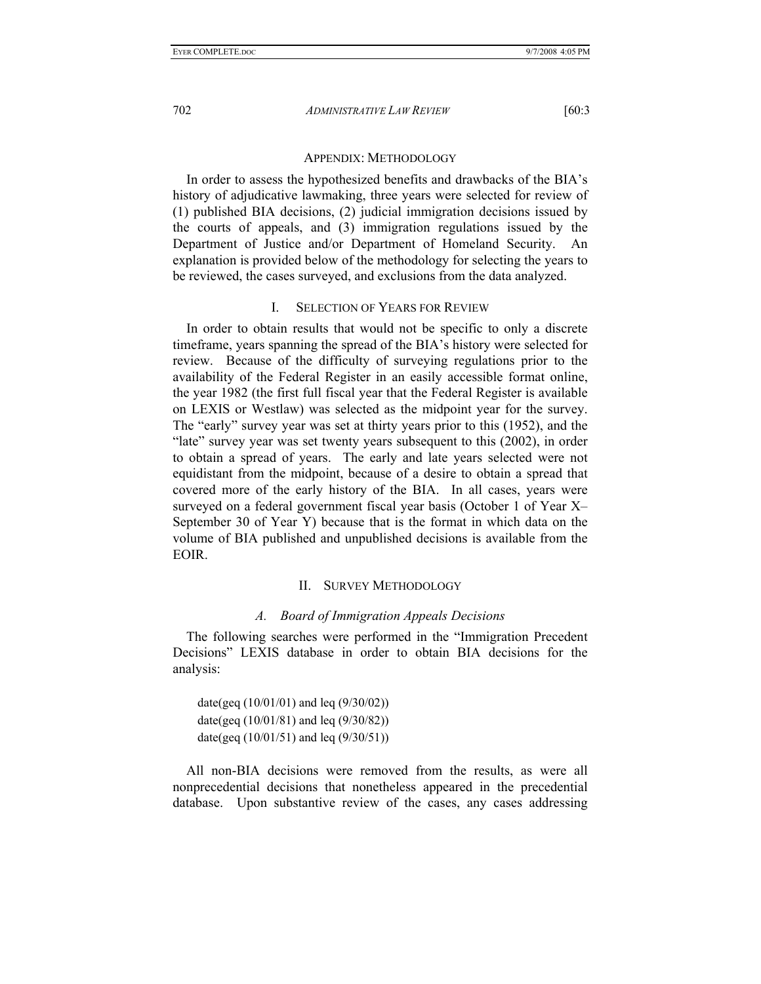#### APPENDIX: METHODOLOGY

In order to assess the hypothesized benefits and drawbacks of the BIA's history of adjudicative lawmaking, three years were selected for review of (1) published BIA decisions, (2) judicial immigration decisions issued by the courts of appeals, and (3) immigration regulations issued by the Department of Justice and/or Department of Homeland Security. An explanation is provided below of the methodology for selecting the years to be reviewed, the cases surveyed, and exclusions from the data analyzed.

#### I. SELECTION OF YEARS FOR REVIEW

In order to obtain results that would not be specific to only a discrete timeframe, years spanning the spread of the BIA's history were selected for review. Because of the difficulty of surveying regulations prior to the availability of the Federal Register in an easily accessible format online, the year 1982 (the first full fiscal year that the Federal Register is available on LEXIS or Westlaw) was selected as the midpoint year for the survey. The "early" survey year was set at thirty years prior to this (1952), and the "late" survey year was set twenty years subsequent to this (2002), in order to obtain a spread of years. The early and late years selected were not equidistant from the midpoint, because of a desire to obtain a spread that covered more of the early history of the BIA. In all cases, years were surveyed on a federal government fiscal year basis (October 1 of Year X– September 30 of Year Y) because that is the format in which data on the volume of BIA published and unpublished decisions is available from the **EOIR** 

#### II. SURVEY METHODOLOGY

### *A. Board of Immigration Appeals Decisions*

The following searches were performed in the "Immigration Precedent Decisions" LEXIS database in order to obtain BIA decisions for the analysis:

date(geq  $(10/01/01)$  and leq  $(9/30/02)$ ) date(geq (10/01/81) and leq (9/30/82)) date(geq  $(10/01/51)$  and leq  $(9/30/51)$ )

All non-BIA decisions were removed from the results, as were all nonprecedential decisions that nonetheless appeared in the precedential database. Upon substantive review of the cases, any cases addressing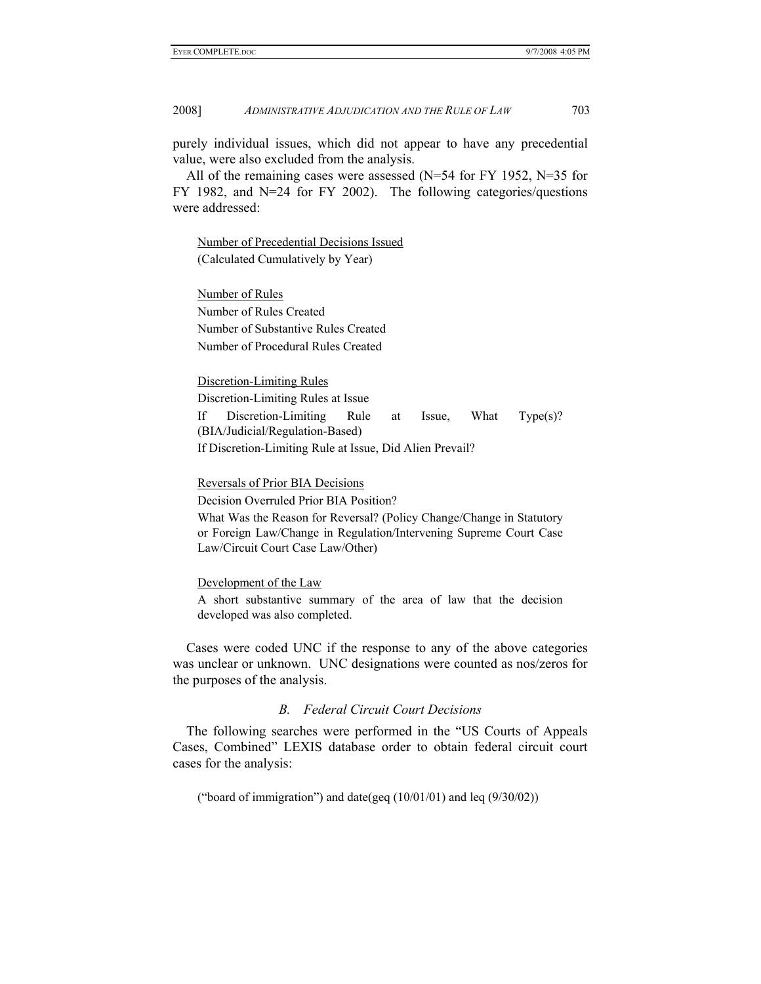#### 2008] *ADMINISTRATIVE ADJUDICATION AND THE RULE OF LAW* 703

purely individual issues, which did not appear to have any precedential value, were also excluded from the analysis.

All of the remaining cases were assessed ( $N=54$  for FY 1952,  $N=35$  for FY 1982, and  $N=24$  for FY 2002). The following categories/questions were addressed:

Number of Precedential Decisions Issued (Calculated Cumulatively by Year)

Number of Rules Number of Rules Created Number of Substantive Rules Created Number of Procedural Rules Created

Discretion-Limiting Rules Discretion-Limiting Rules at Issue If Discretion-Limiting Rule at Issue, What Type(s)? (BIA/Judicial/Regulation-Based) If Discretion-Limiting Rule at Issue, Did Alien Prevail?

Reversals of Prior BIA Decisions Decision Overruled Prior BIA Position?

What Was the Reason for Reversal? (Policy Change/Change in Statutory or Foreign Law/Change in Regulation/Intervening Supreme Court Case Law/Circuit Court Case Law/Other)

Development of the Law

A short substantive summary of the area of law that the decision developed was also completed.

Cases were coded UNC if the response to any of the above categories was unclear or unknown. UNC designations were counted as nos/zeros for the purposes of the analysis.

# *B. Federal Circuit Court Decisions*

The following searches were performed in the "US Courts of Appeals Cases, Combined" LEXIS database order to obtain federal circuit court cases for the analysis:

("board of immigration") and date(geq  $(10/01/01)$  and leq  $(9/30/02)$ )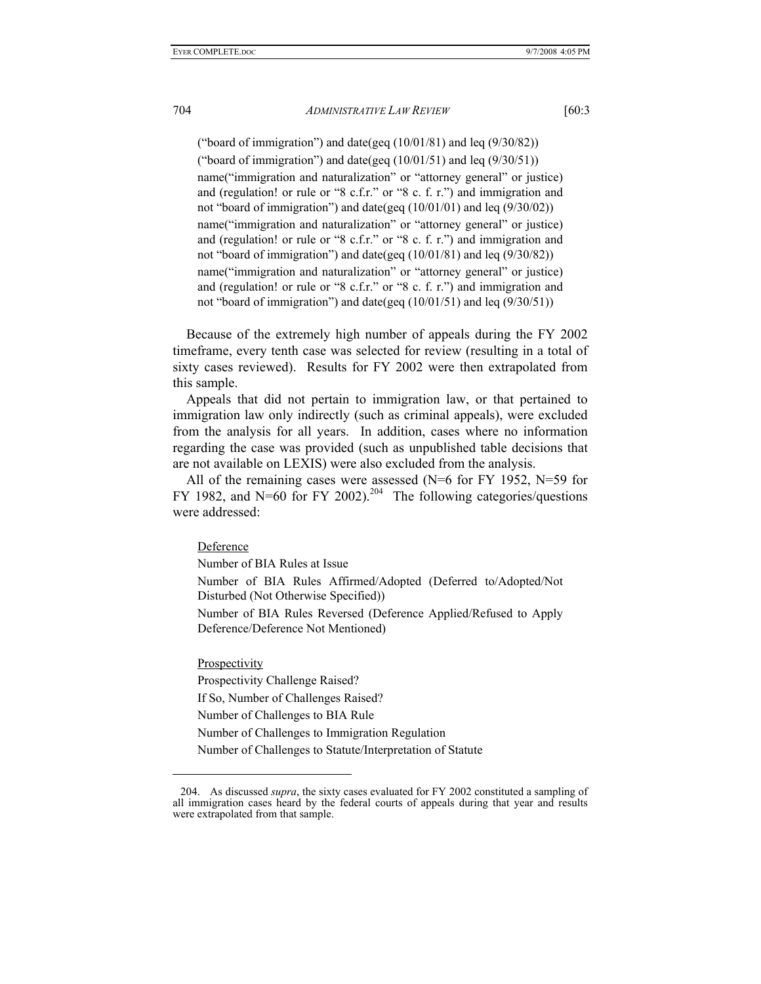("board of immigration") and date(geq  $(10/01/81)$  and leq  $(9/30/82)$ ) ("board of immigration") and date(geq  $(10/01/51)$  and leq  $(9/30/51)$ ) name("immigration and naturalization" or "attorney general" or justice) and (regulation! or rule or "8 c.f.r." or "8 c. f. r.") and immigration and not "board of immigration") and date(geq (10/01/01) and leq (9/30/02)) name("immigration and naturalization" or "attorney general" or justice) and (regulation! or rule or "8 c.f.r." or "8 c. f. r.") and immigration and not "board of immigration") and date(geq (10/01/81) and leq (9/30/82)) name("immigration and naturalization" or "attorney general" or justice) and (regulation! or rule or "8 c.f.r." or "8 c. f. r.") and immigration and not "board of immigration") and date(geq (10/01/51) and leq (9/30/51))

Because of the extremely high number of appeals during the FY 2002 timeframe, every tenth case was selected for review (resulting in a total of sixty cases reviewed). Results for FY 2002 were then extrapolated from this sample.

Appeals that did not pertain to immigration law, or that pertained to immigration law only indirectly (such as criminal appeals), were excluded from the analysis for all years. In addition, cases where no information regarding the case was provided (such as unpublished table decisions that are not available on LEXIS) were also excluded from the analysis.

All of the remaining cases were assessed ( $N=6$  for FY 1952,  $N=59$  for FY 1982, and N=60 for FY 2002).<sup>204</sup> The following categories/questions were addressed:

### Deference

Number of BIA Rules at Issue

Number of BIA Rules Affirmed/Adopted (Deferred to/Adopted/Not Disturbed (Not Otherwise Specified))

Number of BIA Rules Reversed (Deference Applied/Refused to Apply Deference/Deference Not Mentioned)

**Prospectivity** 

 $\overline{a}$ 

Prospectivity Challenge Raised?

If So, Number of Challenges Raised?

Number of Challenges to BIA Rule

Number of Challenges to Immigration Regulation

Number of Challenges to Statute/Interpretation of Statute

 <sup>204.</sup> As discussed *supra*, the sixty cases evaluated for FY 2002 constituted a sampling of all immigration cases heard by the federal courts of appeals during that year and results were extrapolated from that sample.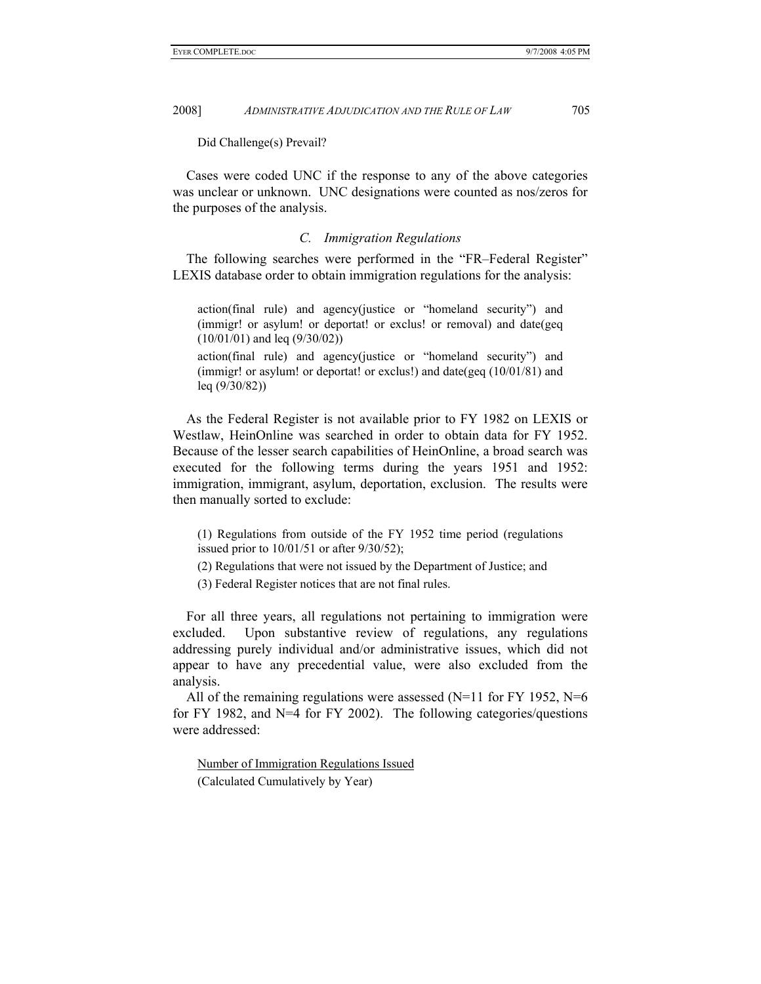Did Challenge(s) Prevail?

Cases were coded UNC if the response to any of the above categories was unclear or unknown. UNC designations were counted as nos/zeros for the purposes of the analysis.

# *C. Immigration Regulations*

The following searches were performed in the "FR–Federal Register" LEXIS database order to obtain immigration regulations for the analysis:

action(final rule) and agency(justice or "homeland security") and (immigr! or asylum! or deportat! or exclus! or removal) and date(geq (10/01/01) and leq (9/30/02))

action(final rule) and agency(justice or "homeland security") and (immigr! or asylum! or deportat! or exclus!) and date(geq (10/01/81) and leq (9/30/82))

As the Federal Register is not available prior to FY 1982 on LEXIS or Westlaw, HeinOnline was searched in order to obtain data for FY 1952. Because of the lesser search capabilities of HeinOnline, a broad search was executed for the following terms during the years 1951 and 1952: immigration, immigrant, asylum, deportation, exclusion. The results were then manually sorted to exclude:

(1) Regulations from outside of the FY 1952 time period (regulations issued prior to 10/01/51 or after 9/30/52);

(2) Regulations that were not issued by the Department of Justice; and

(3) Federal Register notices that are not final rules.

For all three years, all regulations not pertaining to immigration were excluded. Upon substantive review of regulations, any regulations addressing purely individual and/or administrative issues, which did not appear to have any precedential value, were also excluded from the analysis.

All of the remaining regulations were assessed ( $N=11$  for FY 1952,  $N=6$ for FY 1982, and N=4 for FY 2002). The following categories/questions were addressed:

Number of Immigration Regulations Issued (Calculated Cumulatively by Year)